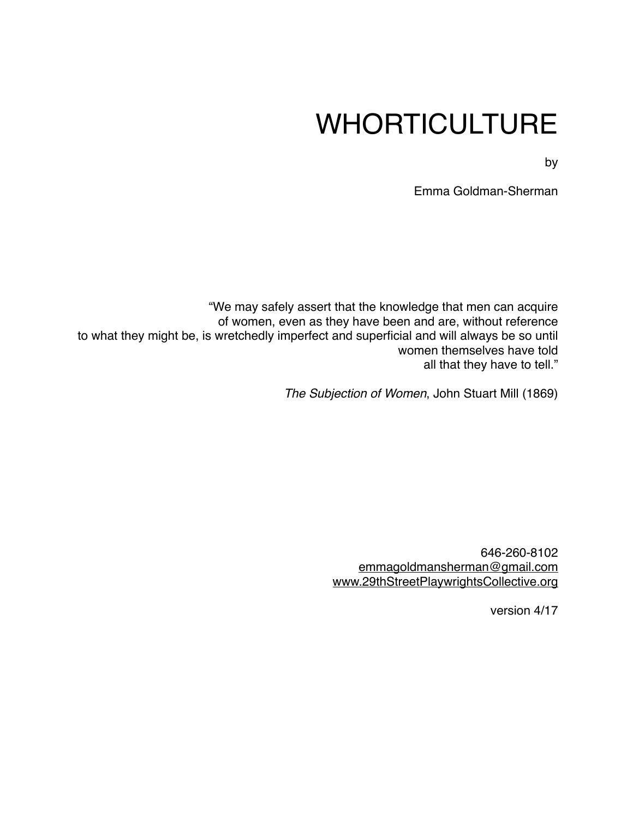# WHORTICULTURE

by

Emma Goldman-Sherman

"We may safely assert that the knowledge that men can acquire of women, even as they have been and are, without reference to what they might be, is wretchedly imperfect and superficial and will always be so until women themselves have told all that they have to tell."

*The Subjection of Women*, John Stuart Mill (1869)

646-260-8102 [emmagoldmansherman@gmail.com](mailto:emmagoldmansherman@gmail.com) [www.29thStreetPlaywrightsCollective.org](http://www.29thStreetPlaywrightsCollective.org)

version 4/17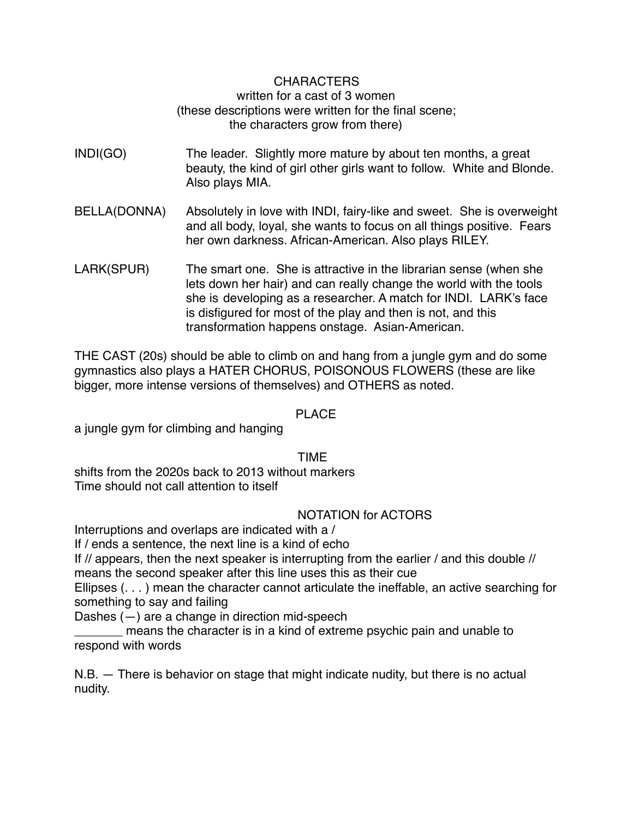# CHARACTERS written for a cast of 3 women (these descriptions were written for the final scene; the characters grow from there)

- INDI(GO) The leader. Slightly more mature by about ten months, a great beauty, the kind of girl other girls want to follow. White and Blonde. Also plays MIA.
- BELLA(DONNA) Absolutely in love with INDI, fairy-like and sweet. She is overweight and all body, loyal, she wants to focus on all things positive. Fears her own darkness. African-American. Also plays RILEY.
- LARK(SPUR) The smart one. She is attractive in the librarian sense (when she lets down her hair) and can really change the world with the tools she is developing as a researcher. A match for INDI. LARK's face is disfigured for most of the play and then is not, and this transformation happens onstage. Asian-American.

THE CAST (20s) should be able to climb on and hang from a jungle gym and do some gymnastics also plays a HATER CHORUS, POISONOUS FLOWERS (these are like bigger, more intense versions of themselves) and OTHERS as noted.

# PLACE

a jungle gym for climbing and hanging

TIME

shifts from the 2020s back to 2013 without markers Time should not call attention to itself

# NOTATION for ACTORS

Interruptions and overlaps are indicated with a /

If / ends a sentence, the next line is a kind of echo

If // appears, then the next speaker is interrupting from the earlier / and this double //

means the second speaker after this line uses this as their cue

Ellipses (. . . ) mean the character cannot articulate the ineffable, an active searching for something to say and failing

Dashes (—) are a change in direction mid-speech

means the character is in a kind of extreme psychic pain and unable to respond with words

N.B. — There is behavior on stage that might indicate nudity, but there is no actual nudity.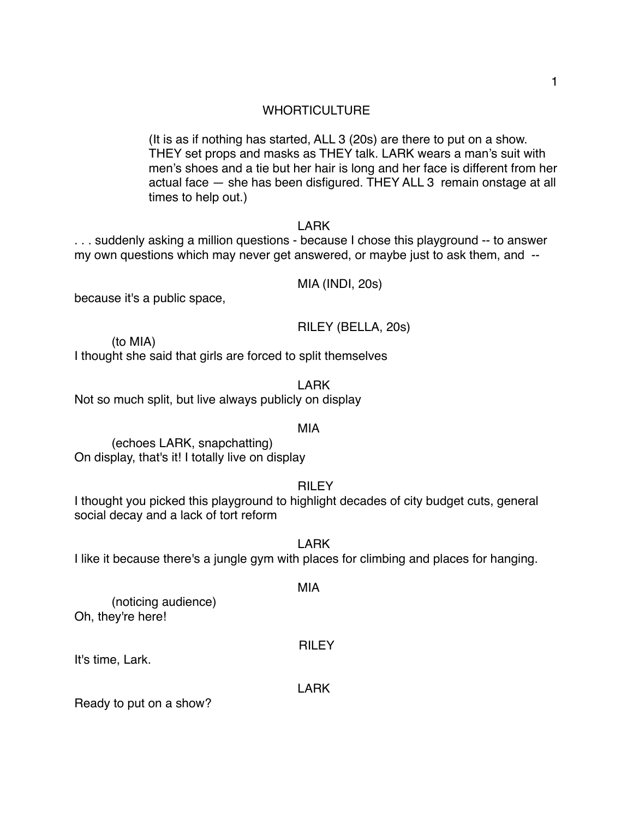# **WHORTICULTURE**

(It is as if nothing has started, ALL 3 (20s) are there to put on a show. THEY set props and masks as THEY talk. LARK wears a man's suit with men's shoes and a tie but her hair is long and her face is different from her actual face — she has been disfigured. THEY ALL 3 remain onstage at all times to help out.)

# LARK

. . . suddenly asking a million questions - because I chose this playground -- to answer my own questions which may never get answered, or maybe just to ask them, and --

MIA (INDI, 20s)

because it's a public space,

RILEY (BELLA, 20s)

(to MIA)

I thought she said that girls are forced to split themselves

LARK Not so much split, but live always publicly on display

#### MIA

(echoes LARK, snapchatting) On display, that's it! I totally live on display

**RILEY** 

I thought you picked this playground to highlight decades of city budget cuts, general social decay and a lack of tort reform

LARK

I like it because there's a jungle gym with places for climbing and places for hanging.

MIA

(noticing audience) Oh, they're here!

RILEY

It's time, Lark.

LARK

Ready to put on a show?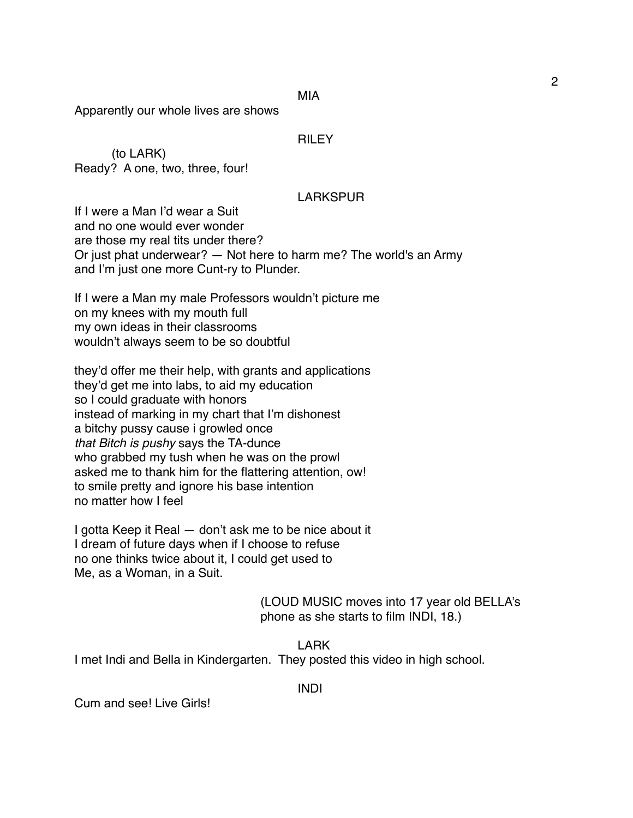MIA

Apparently our whole lives are shows

#### **RILEY**

(to LARK) Ready? A one, two, three, four!

#### LARKSPUR

If I were a Man I'd wear a Suit and no one would ever wonder are those my real tits under there? Or just phat underwear? — Not here to harm me? The world's an Army and I'm just one more Cunt-ry to Plunder.

If I were a Man my male Professors wouldn't picture me on my knees with my mouth full my own ideas in their classrooms wouldn't always seem to be so doubtful

they'd offer me their help, with grants and applications they'd get me into labs, to aid my education so I could graduate with honors instead of marking in my chart that I'm dishonest a bitchy pussy cause i growled once *that Bitch is pushy* says the TA-dunce who grabbed my tush when he was on the prowl asked me to thank him for the flattering attention, ow! to smile pretty and ignore his base intention no matter how I feel

I gotta Keep it Real — don't ask me to be nice about it I dream of future days when if I choose to refuse no one thinks twice about it, I could get used to Me, as a Woman, in a Suit.

> (LOUD MUSIC moves into 17 year old BELLA's phone as she starts to film INDI, 18.)

LARK I met Indi and Bella in Kindergarten. They posted this video in high school.

INDI

Cum and see! Live Girls!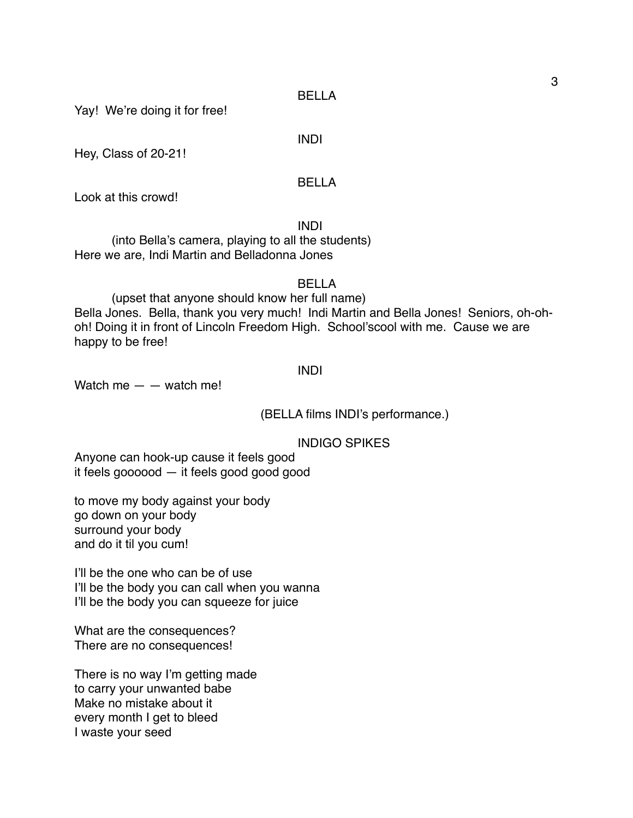Yay! We're doing it for free!

INDI

Hey, Class of 20-21!

# BELLA

Look at this crowd!

INDI

(into Bella's camera, playing to all the students) Here we are, Indi Martin and Belladonna Jones

BELLA

(upset that anyone should know her full name) Bella Jones. Bella, thank you very much! Indi Martin and Bella Jones! Seniors, oh-ohoh! Doing it in front of Lincoln Freedom High. School'scool with me. Cause we are happy to be free!

#### INDI

Watch me  $-$  – watch me!

(BELLA films INDI's performance.)

INDIGO SPIKES

Anyone can hook-up cause it feels good it feels goooood — it feels good good good

to move my body against your body go down on your body surround your body and do it til you cum!

I'll be the one who can be of use I'll be the body you can call when you wanna I'll be the body you can squeeze for juice

What are the consequences? There are no consequences!

There is no way I'm getting made to carry your unwanted babe Make no mistake about it every month I get to bleed I waste your seed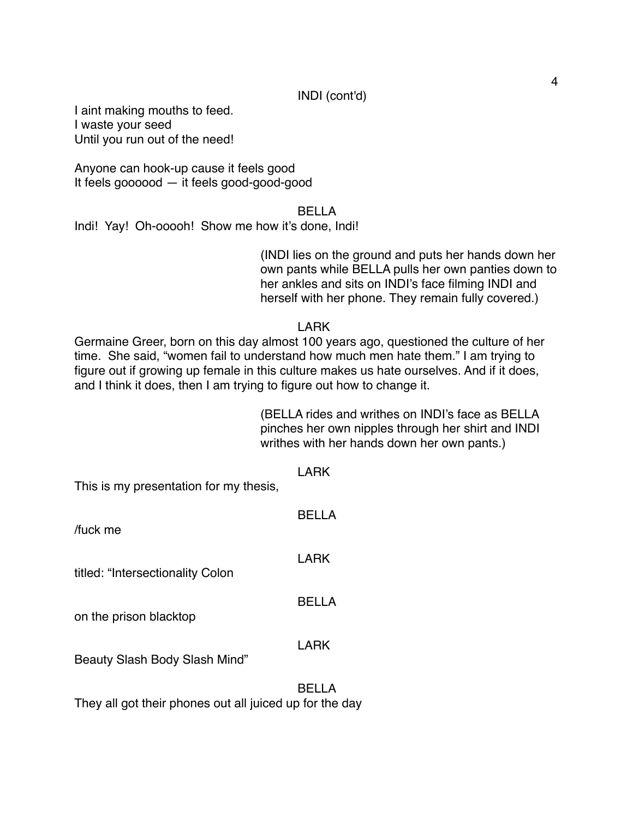I aint making mouths to feed. I waste your seed Until you run out of the need!

Anyone can hook-up cause it feels good It feels goooood — it feels good-good-good

#### BELLA

Indi! Yay! Oh-ooooh! Show me how it's done, Indi!

(INDI lies on the ground and puts her hands down her own pants while BELLA pulls her own panties down to her ankles and sits on INDI's face filming INDI and herself with her phone. They remain fully covered.)

### LARK

Germaine Greer, born on this day almost 100 years ago, questioned the culture of her time. She said, "women fail to understand how much men hate them." I am trying to figure out if growing up female in this culture makes us hate ourselves. And if it does, and I think it does, then I am trying to figure out how to change it.

> (BELLA rides and writhes on INDI's face as BELLA pinches her own nipples through her shirt and INDI writhes with her hands down her own pants.)

| This is my presentation for my thesis, | LARK        |
|----------------------------------------|-------------|
| fuck me                                | BELLA       |
| titled: "Intersectionality Colon       | <b>LARK</b> |
| on the prison blacktop                 | BELLA       |
| Beauty Slash Body Slash Mind"          | <b>LARK</b> |
|                                        | BELLA       |

They all got their phones out all juiced up for the day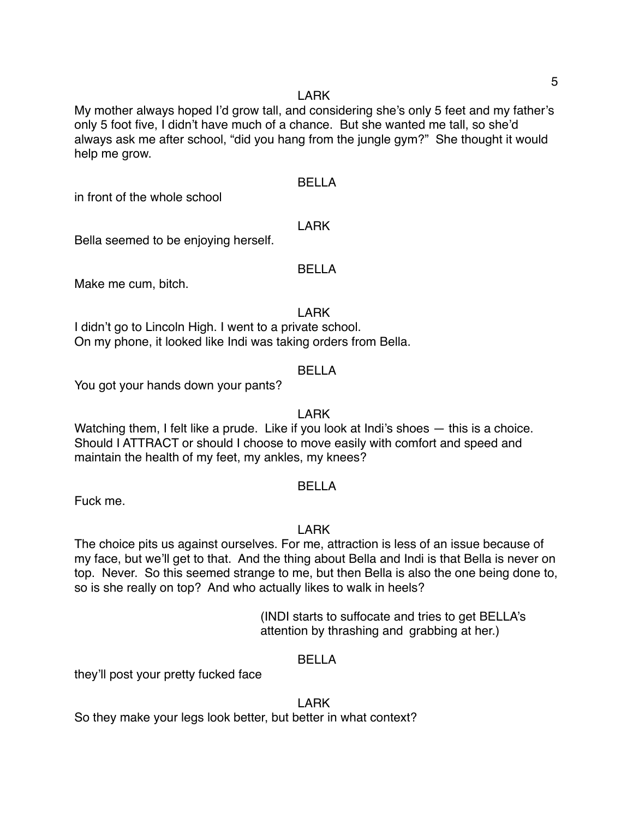#### LARK

My mother always hoped I'd grow tall, and considering she's only 5 feet and my father's only 5 foot five, I didn't have much of a chance. But she wanted me tall, so she'd always ask me after school, "did you hang from the jungle gym?" She thought it would help me grow.

# BELLA

in front of the whole school

# LARK

Bella seemed to be enjoying herself.

# BELLA

Make me cum, bitch.

LARK

I didn't go to Lincoln High. I went to a private school. On my phone, it looked like Indi was taking orders from Bella.

# BELLA

You got your hands down your pants?

# LARK

Watching them, I felt like a prude. Like if you look at Indi's shoes — this is a choice. Should I ATTRACT or should I choose to move easily with comfort and speed and maintain the health of my feet, my ankles, my knees?

# BELLA

Fuck me.

# LARK

The choice pits us against ourselves. For me, attraction is less of an issue because of my face, but we'll get to that. And the thing about Bella and Indi is that Bella is never on top. Never. So this seemed strange to me, but then Bella is also the one being done to, so is she really on top? And who actually likes to walk in heels?

> (INDI starts to suffocate and tries to get BELLA's attention by thrashing and grabbing at her.)

# BELLA

they'll post your pretty fucked face

# LARK

So they make your legs look better, but better in what context?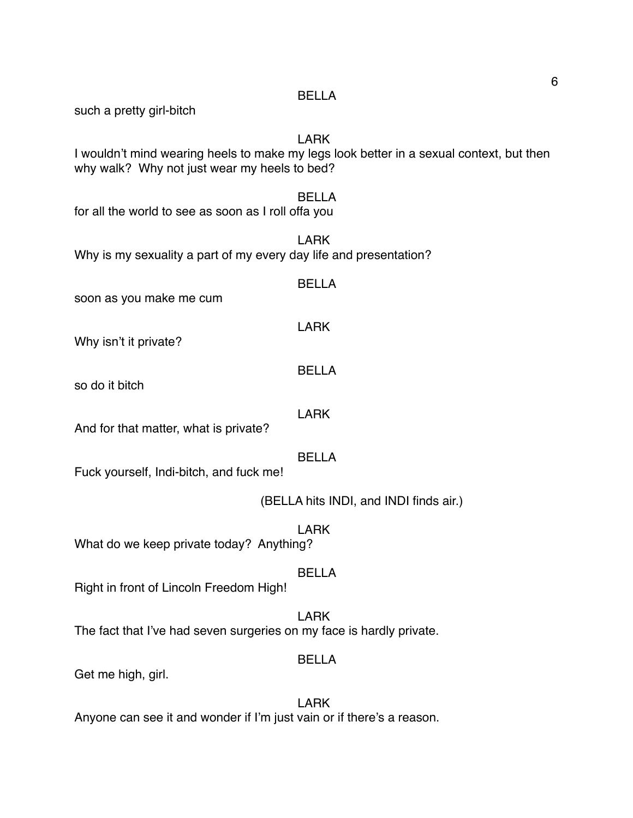| such a pretty girl-bitch                                             |                                                                                                        |
|----------------------------------------------------------------------|--------------------------------------------------------------------------------------------------------|
| why walk? Why not just wear my heels to bed?                         | <b>LARK</b><br>I wouldn't mind wearing heels to make my legs look better in a sexual context, but then |
| for all the world to see as soon as I roll offa you                  | <b>BELLA</b>                                                                                           |
| Why is my sexuality a part of my every day life and presentation?    | <b>LARK</b>                                                                                            |
| soon as you make me cum                                              | <b>BELLA</b>                                                                                           |
| Why isn't it private?                                                | <b>LARK</b>                                                                                            |
| so do it bitch                                                       | <b>BELLA</b>                                                                                           |
| And for that matter, what is private?                                | <b>LARK</b>                                                                                            |
| Fuck yourself, Indi-bitch, and fuck me!                              | <b>BELLA</b>                                                                                           |
|                                                                      | (BELLA hits INDI, and INDI finds air.)                                                                 |
| What do we keep private today? Anything?                             | <b>LARK</b>                                                                                            |
| Right in front of Lincoln Freedom High!                              | <b>BELLA</b>                                                                                           |
| The fact that I've had seven surgeries on my face is hardly private. | <b>LARK</b>                                                                                            |
| Get me high, girl.                                                   | <b>BELLA</b>                                                                                           |
|                                                                      | <b>LARK</b>                                                                                            |

BELLA

Anyone can see it and wonder if I'm just vain or if there's a reason.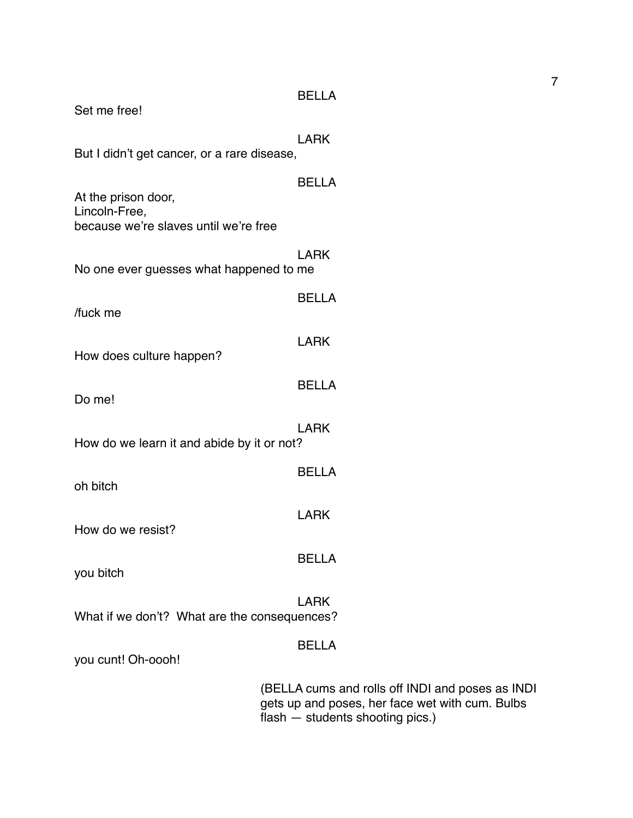| Set me free!                                                                  | <b>BELLA</b>                               |
|-------------------------------------------------------------------------------|--------------------------------------------|
| But I didn't get cancer, or a rare disease,                                   | <b>LARK</b>                                |
| At the prison door,<br>Lincoln-Free,<br>because we're slaves until we're free | <b>BELLA</b>                               |
| No one ever guesses what happened to me                                       | <b>LARK</b>                                |
| /fuck me                                                                      | <b>BELLA</b>                               |
| How does culture happen?                                                      | LARK                                       |
| Do me!                                                                        | <b>BELLA</b>                               |
| How do we learn it and abide by it or not?                                    | <b>LARK</b>                                |
| oh bitch                                                                      | <b>BELLA</b>                               |
| How do we resist?                                                             | <b>LARK</b>                                |
| you bitch                                                                     | <b>BELLA</b>                               |
| What if we don't? What are the consequences?                                  | <b>LARK</b>                                |
| you cunt! Oh-oooh!                                                            | <b>BELLA</b>                               |
|                                                                               | (BELLA cums and ro<br>gets up and poses, h |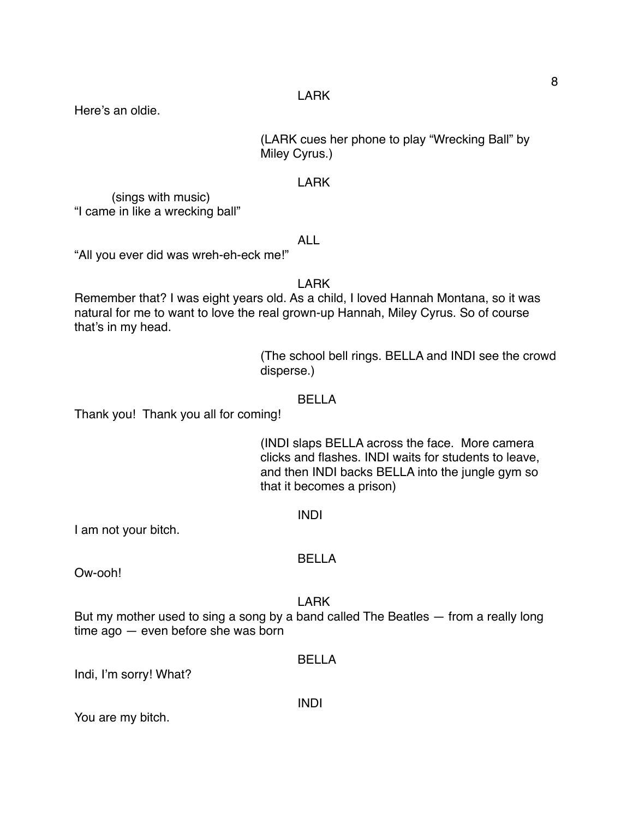Here's an oldie.

(LARK cues her phone to play "Wrecking Ball" by Miley Cyrus.)

# LARK

(sings with music) "I came in like a wrecking ball"

# ALL

"All you ever did was wreh-eh-eck me!"

# LARK

Remember that? I was eight years old. As a child, I loved Hannah Montana, so it was natural for me to want to love the real grown-up Hannah, Miley Cyrus. So of course that's in my head.

> (The school bell rings. BELLA and INDI see the crowd disperse.)

#### BELLA

Thank you! Thank you all for coming!

(INDI slaps BELLA across the face. More camera clicks and flashes. INDI waits for students to leave, and then INDI backs BELLA into the jungle gym so that it becomes a prison)

#### INDI

I am not your bitch.

#### BELLA

Ow-ooh!

#### LARK

But my mother used to sing a song by a band called The Beatles — from a really long time ago — even before she was born

# BELLA

INDI

Indi, I'm sorry! What?

You are my bitch.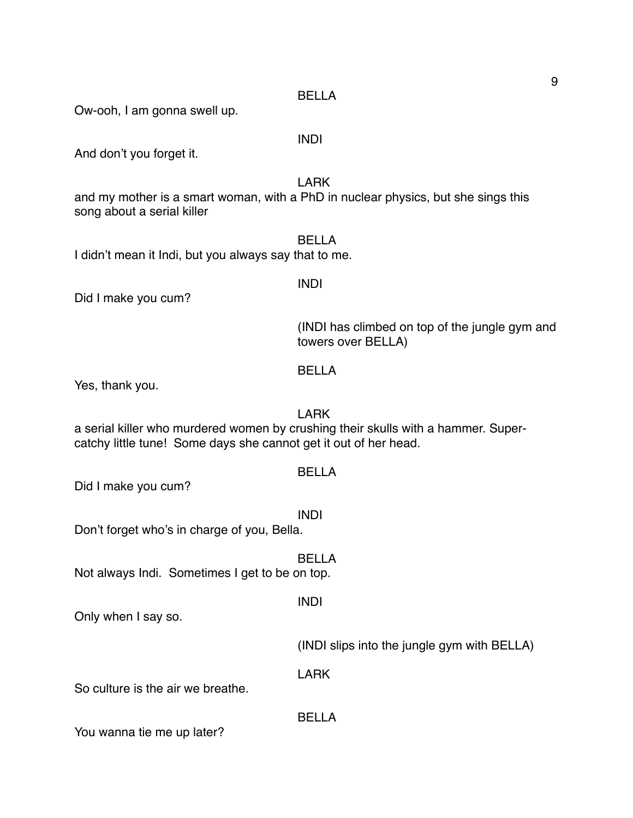#### BELLA

Ow-ooh, I am gonna swell up.

# INDI

And don't you forget it.

LARK

and my mother is a smart woman, with a PhD in nuclear physics, but she sings this song about a serial killer

#### BELLA

I didn't mean it Indi, but you always say that to me.

# INDI

Did I make you cum?

(INDI has climbed on top of the jungle gym and towers over BELLA)

#### BELLA

Yes, thank you.

#### LARK

a serial killer who murdered women by crushing their skulls with a hammer. Supercatchy little tune! Some days she cannot get it out of her head.

### BELLA

Did I make you cum?

INDI

Don't forget who's in charge of you, Bella.

BELLA

Not always Indi. Sometimes I get to be on top.

Only when I say so.

(INDI slips into the jungle gym with BELLA)

LARK

BELLA

INDI

So culture is the air we breathe.

You wanna tie me up later?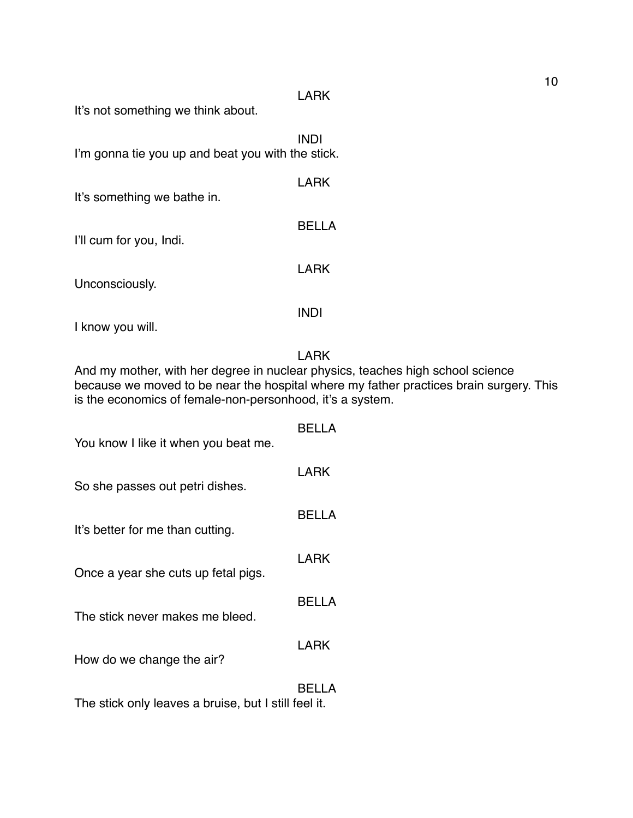#### LARK

It's not something we think about.

INDI I'm gonna tie you up and beat you with the stick.

| It's something we bathe in. | LARK  |
|-----------------------------|-------|
| I'll cum for you, Indi.     | BELLA |
| Unconsciously.              | LARK  |
|                             |       |

I know you will.

#### LARK

And my mother, with her degree in nuclear physics, teaches high school science because we moved to be near the hospital where my father practices brain surgery. This is the economics of female-non-personhood, it's a system.

| You know I like it when you beat me.                 | BEI I A      |
|------------------------------------------------------|--------------|
| So she passes out petri dishes.                      | LARK         |
| It's better for me than cutting.                     | <b>BELLA</b> |
|                                                      | LARK         |
| Once a year she cuts up fetal pigs.                  |              |
| The stick never makes me bleed.                      | BELLA        |
| How do we change the air?                            | LARK         |
| The stick only leaves a bruise, but I still feel it. | BELLA        |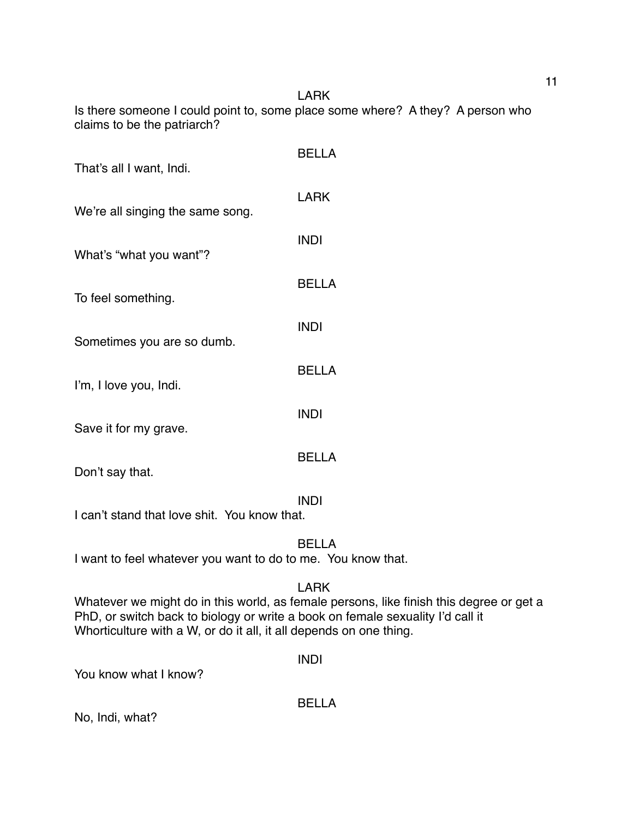LARK Is there someone I could point to, some place some where? A they? A person who claims to be the patriarch?

| That's all I want, Indi.         | <b>BELLA</b> |
|----------------------------------|--------------|
| We're all singing the same song. | <b>LARK</b>  |
| What's "what you want"?          | <b>INDI</b>  |
| To feel something.               | <b>BELLA</b> |
| Sometimes you are so dumb.       | <b>INDI</b>  |
| I'm, I love you, Indi.           | <b>BELLA</b> |
| Save it for my grave.            | <b>INDI</b>  |
| Don't say that.                  | BELLA        |
|                                  | <b>INDI</b>  |

I can't stand that love shit. You know that.

BELLA

I want to feel whatever you want to do to me. You know that.

# LARK

Whatever we might do in this world, as female persons, like finish this degree or get a PhD, or switch back to biology or write a book on female sexuality I'd call it Whorticulture with a W, or do it all, it all depends on one thing.

INDI

You know what I know?

BELLA

No, Indi, what?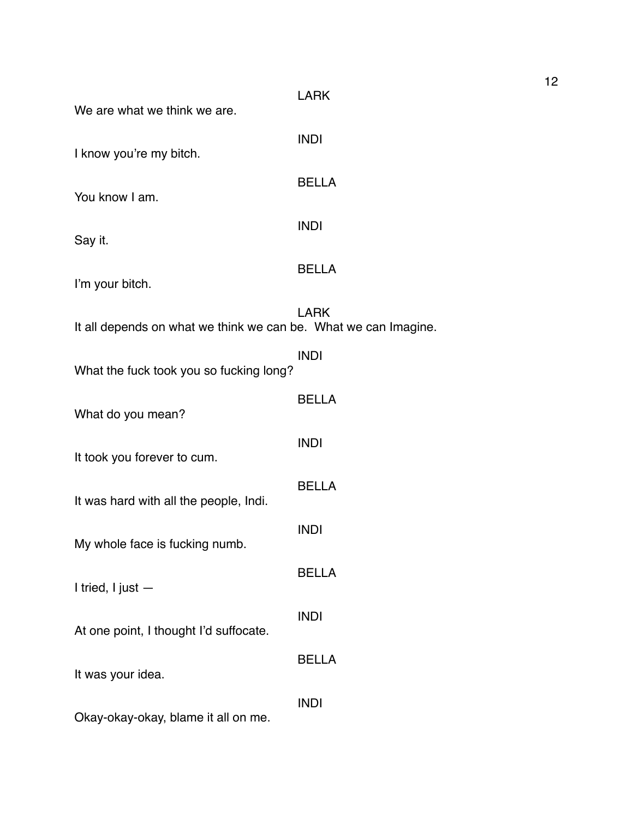| We are what we think we are.                                    | <b>LARK</b>  |
|-----------------------------------------------------------------|--------------|
| I know you're my bitch.                                         | <b>INDI</b>  |
| You know I am.                                                  | <b>BELLA</b> |
| Say it.                                                         | <b>INDI</b>  |
| I'm your bitch.                                                 | <b>BELLA</b> |
| It all depends on what we think we can be. What we can Imagine. | <b>LARK</b>  |
| What the fuck took you so fucking long?                         | <b>INDI</b>  |
| What do you mean?                                               | <b>BELLA</b> |
| It took you forever to cum.                                     | <b>INDI</b>  |
| It was hard with all the people, Indi.                          | <b>BELLA</b> |
| My whole face is fucking numb.                                  | <b>INDI</b>  |
| I tried, I just $-$                                             | <b>BELLA</b> |
| At one point, I thought I'd suffocate.                          | <b>INDI</b>  |
| It was your idea.                                               | <b>BELLA</b> |
| Okay-okay-okay, blame it all on me.                             | <b>INDI</b>  |

12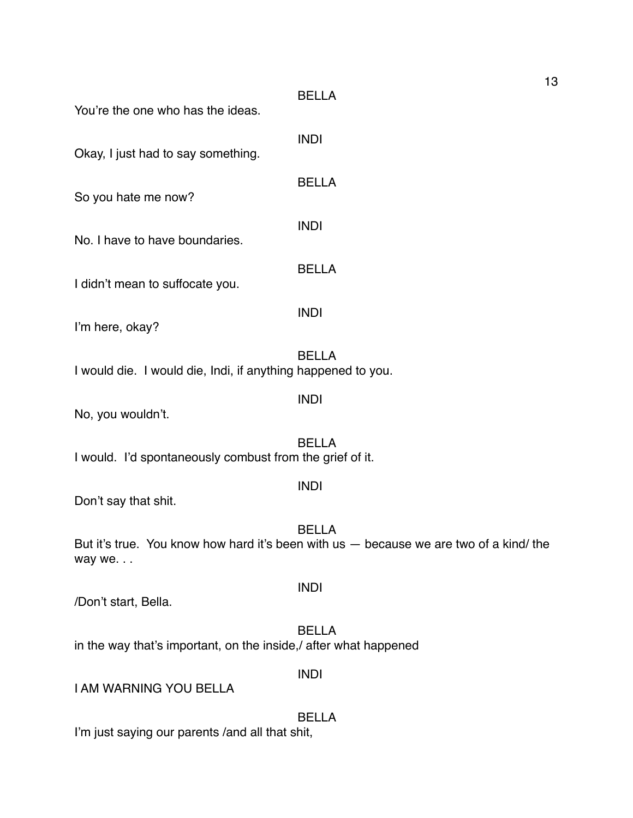| You're the one who has the ideas.                                | <b>BELLA</b>                                                                                           | יי |
|------------------------------------------------------------------|--------------------------------------------------------------------------------------------------------|----|
| Okay, I just had to say something.                               | <b>INDI</b>                                                                                            |    |
| So you hate me now?                                              | <b>BELLA</b>                                                                                           |    |
| No. I have to have boundaries.                                   | <b>INDI</b>                                                                                            |    |
| I didn't mean to suffocate you.                                  | <b>BELLA</b>                                                                                           |    |
| I'm here, okay?                                                  | <b>INDI</b>                                                                                            |    |
| I would die. I would die, Indi, if anything happened to you.     | <b>BELLA</b>                                                                                           |    |
| No, you wouldn't.                                                | <b>INDI</b>                                                                                            |    |
| I would. I'd spontaneously combust from the grief of it.         | <b>BELLA</b>                                                                                           |    |
| Don't say that shit.                                             | <b>INDI</b>                                                                                            |    |
| way we                                                           | <b>BELLA</b><br>But it's true. You know how hard it's been with us — because we are two of a kind/ the |    |
| /Don't start, Bella.                                             | <b>INDI</b>                                                                                            |    |
| in the way that's important, on the inside,/ after what happened | <b>BELLA</b>                                                                                           |    |
| <b>I AM WARNING YOU BELLA</b>                                    | <b>INDI</b>                                                                                            |    |
|                                                                  | <b>BELLA</b>                                                                                           |    |

I'm just saying our parents /and all that shit,

13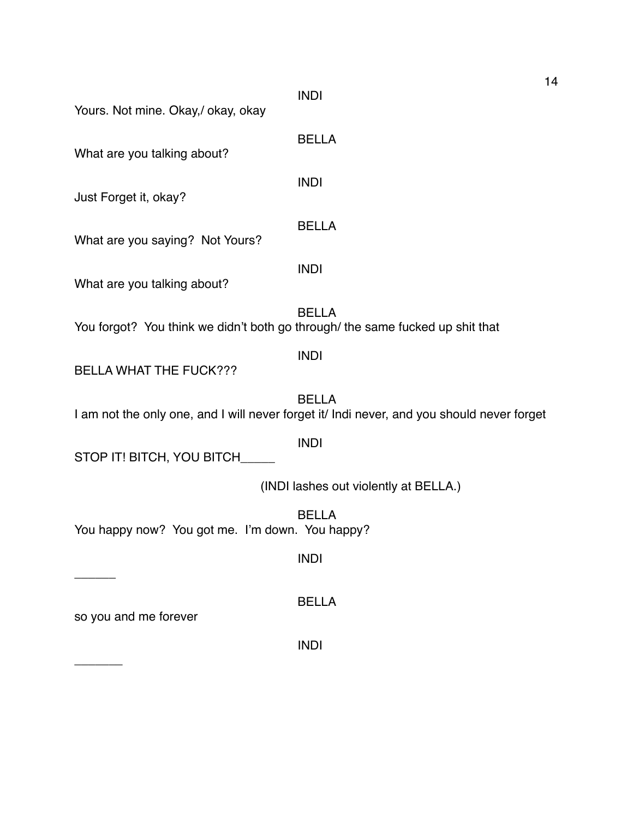| Yours. Not mine. Okay,/ okay, okay                                            | <b>INDI</b>                                                                                                | 14 |
|-------------------------------------------------------------------------------|------------------------------------------------------------------------------------------------------------|----|
| What are you talking about?                                                   | <b>BELLA</b>                                                                                               |    |
| Just Forget it, okay?                                                         | <b>INDI</b>                                                                                                |    |
| What are you saying? Not Yours?                                               | <b>BELLA</b>                                                                                               |    |
| What are you talking about?                                                   | <b>INDI</b>                                                                                                |    |
| You forgot? You think we didn't both go through/ the same fucked up shit that | <b>BELLA</b>                                                                                               |    |
| <b>BELLA WHAT THE FUCK???</b>                                                 | <b>INDI</b>                                                                                                |    |
|                                                                               | <b>BELLA</b><br>I am not the only one, and I will never forget it/ Indi never, and you should never forget |    |
| STOP IT! BITCH, YOU BITCH_____                                                | <b>INDI</b>                                                                                                |    |
|                                                                               | (INDI lashes out violently at BELLA.)                                                                      |    |
| You happy now? You got me. I'm down. You happy?                               | <b>BELLA</b>                                                                                               |    |
|                                                                               | <b>INDI</b>                                                                                                |    |
| so you and me forever                                                         | <b>BELLA</b>                                                                                               |    |
|                                                                               | <b>INDI</b>                                                                                                |    |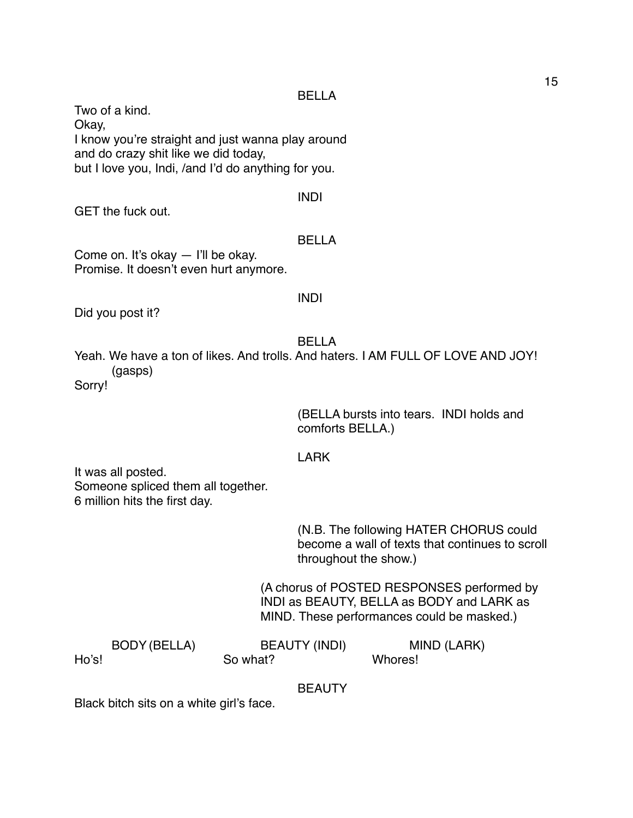#### BELLA

Two of a kind. Okay, I know you're straight and just wanna play around and do crazy shit like we did today, but I love you, Indi, /and I'd do anything for you.

#### INDI

GET the fuck out.

#### BELLA

Come on. It's okay — I'll be okay. Promise. It doesn't even hurt anymore.

#### INDI

Did you post it?

BELLA

Yeah. We have a ton of likes. And trolls. And haters. I AM FULL OF LOVE AND JOY! (gasps) Sorry!

> (BELLA bursts into tears. INDI holds and comforts BELLA.)

#### LARK

It was all posted. Someone spliced them all together. 6 million hits the first day.

> (N.B. The following HATER CHORUS could become a wall of texts that continues to scroll throughout the show.)

(A chorus of POSTED RESPONSES performed by INDI as BEAUTY, BELLA as BODY and LARK as MIND. These performances could be masked.)

|       | BODY (BELLA) | <b>BEAUTY (INDI)</b> | MIND (LARK) |
|-------|--------------|----------------------|-------------|
| Ho's! |              | So what?             | Whores!     |

BEAUTY

Black bitch sits on a white girl's face.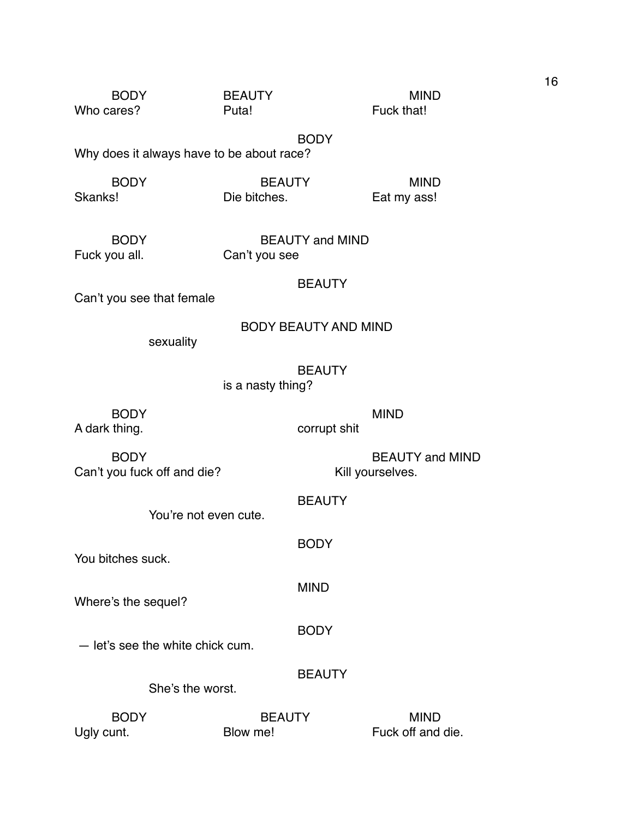| <b>BODY</b> | <b>BEAUTY</b>                             | <b>MIND</b> |
|-------------|-------------------------------------------|-------------|
| Who cares?  | Puta!                                     | Fuck that!  |
|             | <b>BODY</b>                               |             |
|             | Why does it always have to be about race? |             |
| <b>BODY</b> | <b>BEAUTY</b>                             | <b>MIND</b> |
| Skanks!     | Die bitches.                              | Eat my ass! |

| <b>BODY</b>   | <b>BEAUTY and MIND</b> |
|---------------|------------------------|
| Fuck you all. | Can't you see          |

Can't you see that female

| <b>BODY BEAUTY AND MIND</b> |
|-----------------------------|
|-----------------------------|

sexuality

is a nasty thing?

BODY MIND A dark thing. The corrupt shit

BODY BEAUTY and MIND Can't you fuck off and die? Kill yourselves.

You're not even cute.

You bitches suck.

MIND

BODY

BODY

Where's the sequel?

— let's see the white chick cum.

**BEAUTY** 

She's the worst.

BODY BEAUTY MIND Ugly cunt. Blow me! Fuck off and die. 16

BEAUTY

**BEAUTY**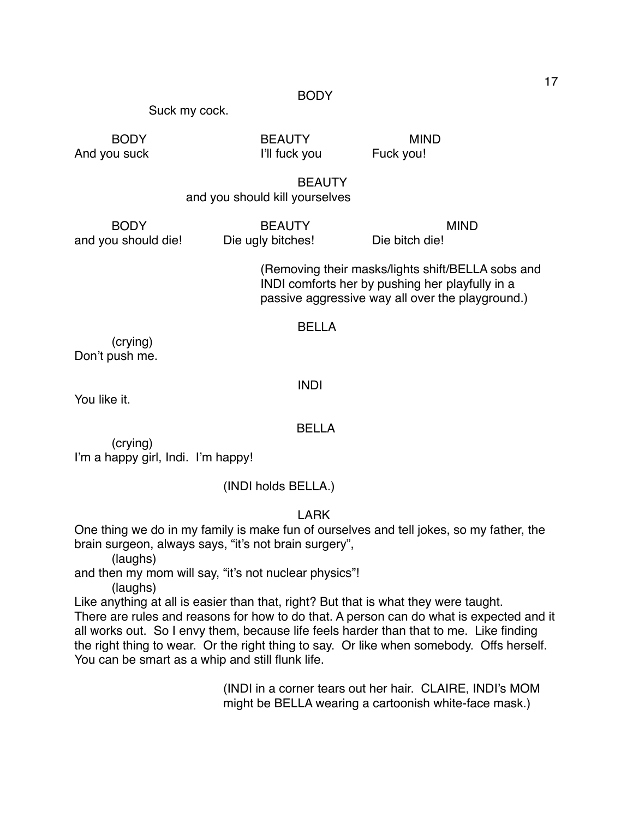#### BODY

Suck my cock.

And you suck **I'll fuck you** Fuck you!

BODY BEAUTY MIND

BEAUTY

# and you should kill yourselves

and you should die! Die ugly bitches! Die bitch die!

BODY BEAUTY MIND

(Removing their masks/lights shift/BELLA sobs and INDI comforts her by pushing her playfully in a passive aggressive way all over the playground.)

#### BELLA

(crying) Don't push me.

INDI

You like it.

#### BELLA

(crying) I'm a happy girl, Indi. I'm happy!

(INDI holds BELLA.)

# LARK

One thing we do in my family is make fun of ourselves and tell jokes, so my father, the brain surgeon, always says, "it's not brain surgery",

(laughs)

and then my mom will say, "it's not nuclear physics"!

(laughs)

Like anything at all is easier than that, right? But that is what they were taught. There are rules and reasons for how to do that. A person can do what is expected and it all works out. So I envy them, because life feels harder than that to me. Like finding the right thing to wear. Or the right thing to say. Or like when somebody. Offs herself. You can be smart as a whip and still flunk life.

> (INDI in a corner tears out her hair. CLAIRE, INDI's MOM might be BELLA wearing a cartoonish white-face mask.)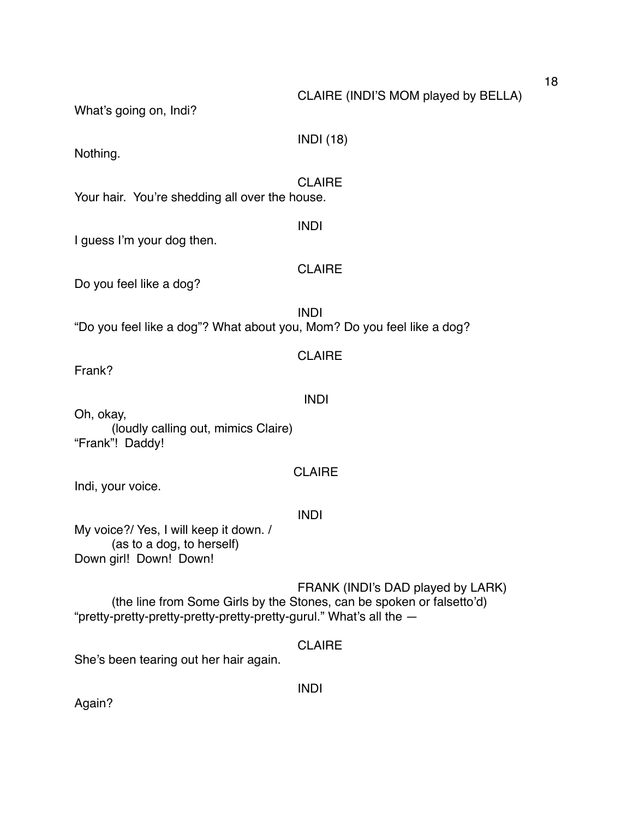# CLAIRE (INDI'S MOM played by BELLA)

What's going on, Indi?

Nothing.

### **CLAIRE**

INDI

INDI (18)

Your hair. You're shedding all over the house.

I guess I'm your dog then.

# **CLAIRE**

Do you feel like a dog?

INDI "Do you feel like a dog"? What about you, Mom? Do you feel like a dog?

Frank?

#### INDI

CLAIRE

Oh, okay, (loudly calling out, mimics Claire) "Frank"! Daddy!

### CLAIRE

Indi, your voice.

# INDI

My voice?/ Yes, I will keep it down. / (as to a dog, to herself) Down girl! Down! Down!

FRANK (INDI's DAD played by LARK) (the line from Some Girls by the Stones, can be spoken or falsetto'd) "pretty-pretty-pretty-pretty-pretty-pretty-gurul." What's all the —

# CLAIRE

INDI

She's been tearing out her hair again.

Again?

18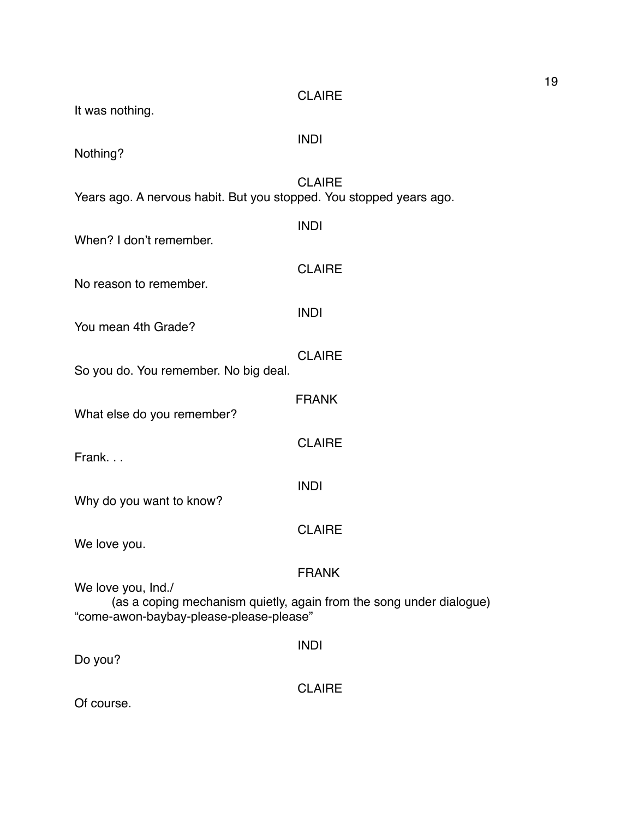| It was nothing.                                                     | <b>CLAIRE</b>                                                       |
|---------------------------------------------------------------------|---------------------------------------------------------------------|
| Nothing?                                                            | <b>INDI</b>                                                         |
| Years ago. A nervous habit. But you stopped. You stopped years ago. | <b>CLAIRE</b>                                                       |
| When? I don't remember.                                             | <b>INDI</b>                                                         |
| No reason to remember.                                              | <b>CLAIRE</b>                                                       |
| You mean 4th Grade?                                                 | <b>INDI</b>                                                         |
| So you do. You remember. No big deal.                               | <b>CLAIRE</b>                                                       |
| What else do you remember?                                          | <b>FRANK</b>                                                        |
| Frank                                                               | <b>CLAIRE</b>                                                       |
| Why do you want to know?                                            | <b>INDI</b>                                                         |
| We love you.                                                        | <b>CLAIRE</b>                                                       |
| We love you, Ind./                                                  | <b>FRANK</b>                                                        |
| "come-awon-baybay-please-please-please"                             | (as a coping mechanism quietly, again from the song under dialogue) |
| Do you?                                                             | <b>INDI</b>                                                         |
| Of course.                                                          | <b>CLAIRE</b>                                                       |

19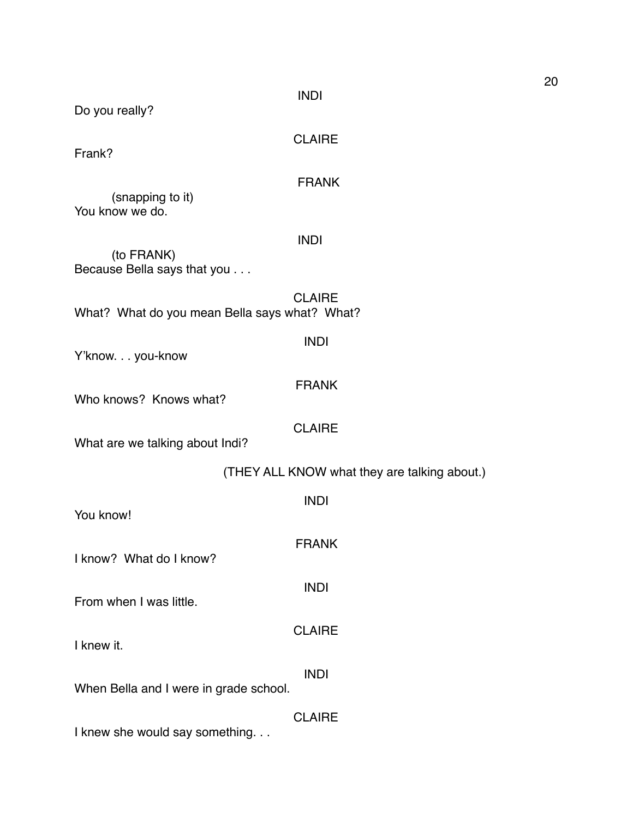20

INDI

Do you really?

CLAIRE

Frank?

# FRANK

(snapping to it) You know we do.

# INDI

(to FRANK) Because Bella says that you . . .

CLAIRE What? What do you mean Bella says what? What?

| Y'knowyou-know |
|----------------|
|----------------|

FRANK

CLAIRE

INDI

Who knows? Knows what?

What are we talking about Indi?

| (THEY ALL KNOW what they are talking about.) |  |
|----------------------------------------------|--|
|----------------------------------------------|--|

| You know!                                                    | <b>INDI</b>   |
|--------------------------------------------------------------|---------------|
| I know? What do I know?                                      | <b>FRANK</b>  |
| From when I was little.                                      | <b>INDI</b>   |
| I knew it.                                                   | <b>CLAIRE</b> |
| When Bella and I were in grade school.                       | <b>INDI</b>   |
| والمعاصر والمحاصر الملادية والمستحدث والمستحل المستحل المرار | <b>CLAIRE</b> |

I knew she would say something. . .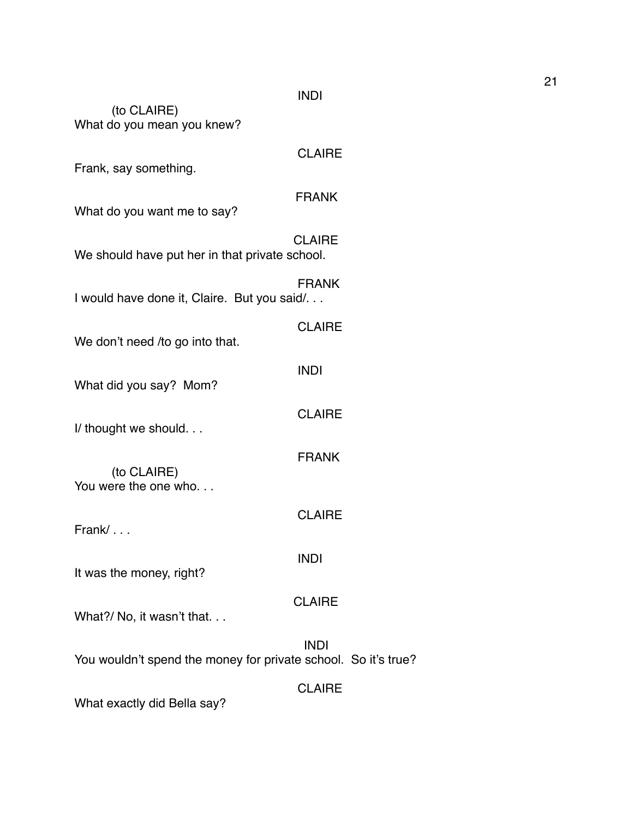# INDI

| (to CLAIRE)<br>What do you mean you knew?                      |               |  |
|----------------------------------------------------------------|---------------|--|
| Frank, say something.                                          | <b>CLAIRE</b> |  |
| What do you want me to say?                                    | <b>FRANK</b>  |  |
| We should have put her in that private school.                 | <b>CLAIRE</b> |  |
| I would have done it, Claire. But you said/                    | <b>FRANK</b>  |  |
| We don't need /to go into that.                                | <b>CLAIRE</b> |  |
| What did you say? Mom?                                         | <b>INDI</b>   |  |
| I/ thought we should                                           | <b>CLAIRE</b> |  |
| (to CLAIRE)                                                    | <b>FRANK</b>  |  |
| You were the one who                                           |               |  |
| Frank/                                                         | <b>CLAIRE</b> |  |
| It was the money, right?                                       | <b>INDI</b>   |  |
| What?/ No, it wasn't that                                      | <b>CLAIRE</b> |  |
| You wouldn't spend the money for private school. So it's true? | <b>INDI</b>   |  |
| What exactly did Bella say?                                    | <b>CLAIRE</b> |  |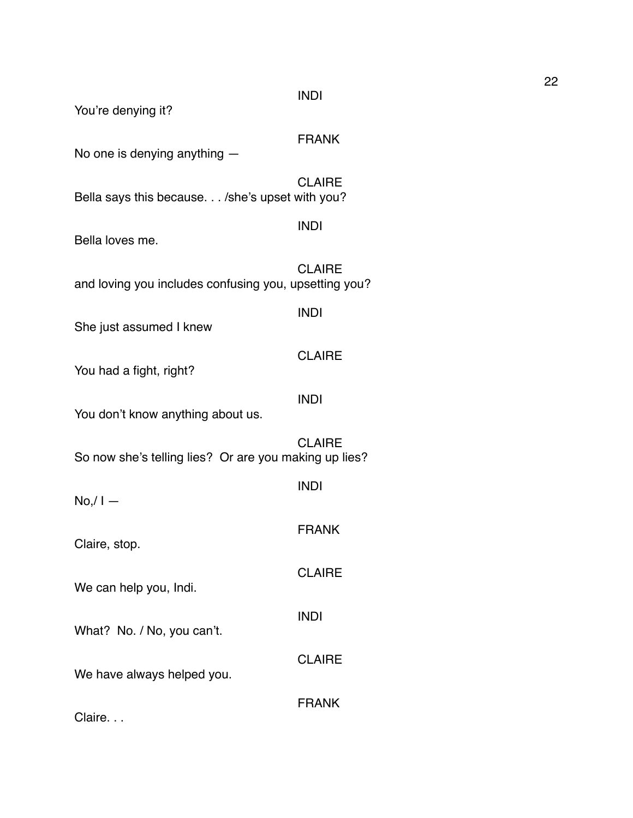INDI

You're denying it?

FRANK

INDI

INDI

No one is denying anything —

**CLAIRE** Bella says this because. . . /she's upset with you?

Bella loves me.

**CLAIRE** and loving you includes confusing you, upsetting you?

She just assumed I knew

You had a fight, right?

INDI

**CLAIRE** 

You don't know anything about us.

**CLAIRE** So now she's telling lies? Or are you making up lies?

INDI  $No/I -$ FRANK Claire, stop. **CLAIRE** We can help you, Indi. INDI What? No. / No, you can't. **CLAIRE** We have always helped you. FRANK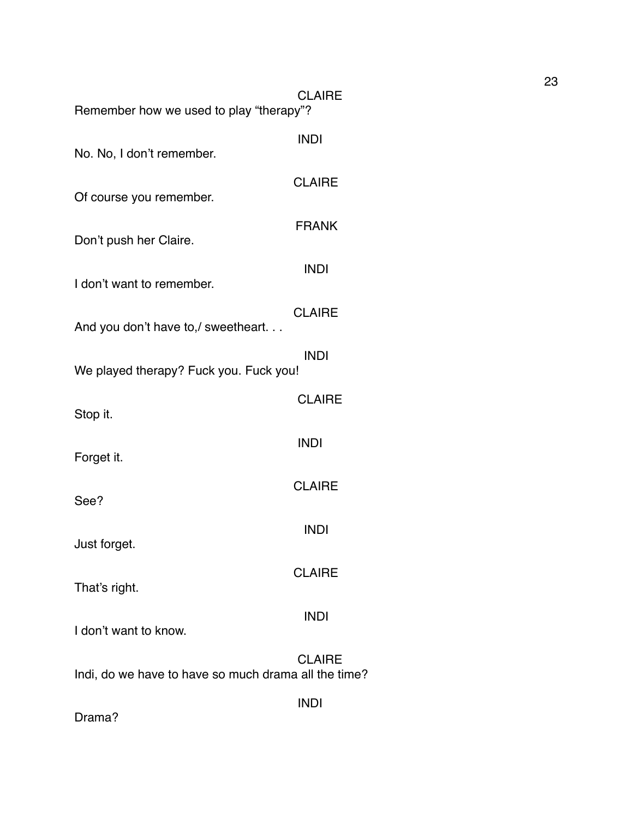| <b>CLAIRE</b><br>Remember how we used to play "therapy"?            |
|---------------------------------------------------------------------|
| <b>INDI</b>                                                         |
| <b>CLAIRE</b>                                                       |
| <b>FRANK</b>                                                        |
| <b>INDI</b>                                                         |
| <b>CLAIRE</b>                                                       |
| <b>INDI</b><br>We played therapy? Fuck you. Fuck you!               |
| <b>CLAIRE</b>                                                       |
| <b>INDI</b>                                                         |
| <b>CLAIRE</b>                                                       |
| <b>INDI</b>                                                         |
| <b>CLAIRE</b>                                                       |
| <b>INDI</b>                                                         |
| <b>CLAIRE</b>                                                       |
| Indi, do we have to have so much drama all the time?<br><b>INDI</b> |
|                                                                     |

Drama?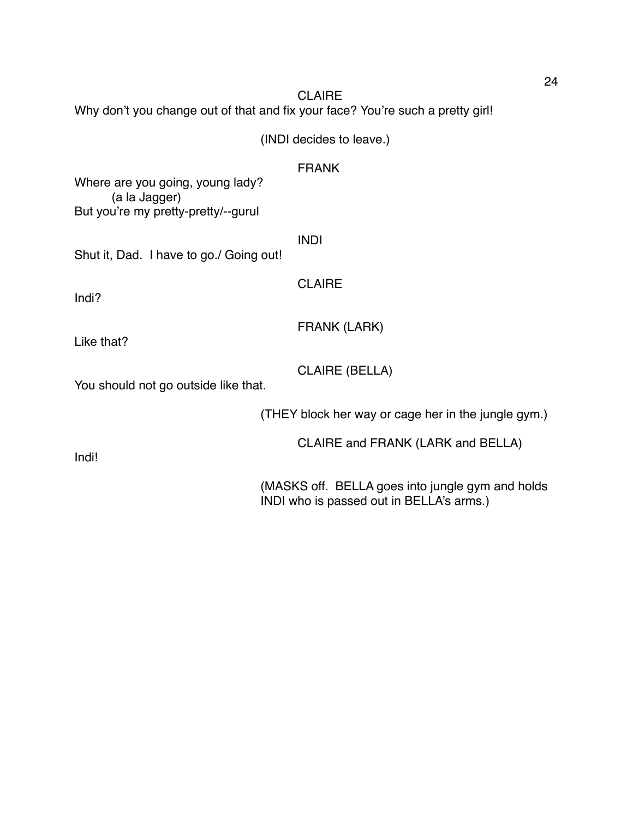**CLAIRE** Why don't you change out of that and fix your face? You're such a pretty girl! (INDI decides to leave.) FRANK Where are you going, young lady? (a la Jagger) But you're my pretty-pretty/--gurul INDI

Shut it, Dad. I have to go./ Going out!

Indi?

CLAIRE

Like that?

CLAIRE (BELLA)

FRANK (LARK)

You should not go outside like that.

(THEY block her way or cage her in the jungle gym.)

CLAIRE and FRANK (LARK and BELLA)

Indi!

(MASKS off. BELLA goes into jungle gym and holds INDI who is passed out in BELLA's arms.)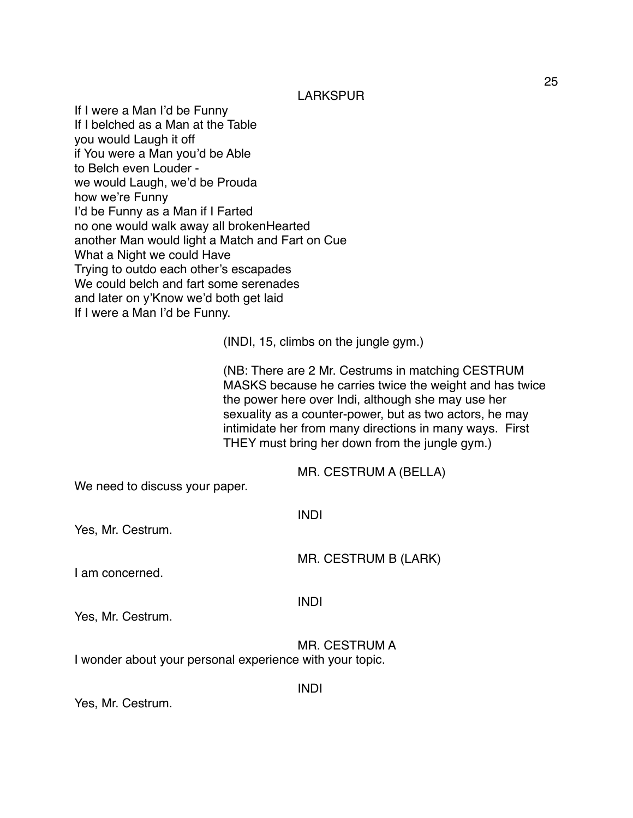LARKSPUR

If I were a Man I'd be Funny If I belched as a Man at the Table you would Laugh it off if You were a Man you'd be Able to Belch even Louder we would Laugh, we'd be Prouda how we're Funny I'd be Funny as a Man if I Farted no one would walk away all brokenHearted another Man would light a Match and Fart on Cue What a Night we could Have Trying to outdo each other's escapades We could belch and fart some serenades and later on y'Know we'd both get laid If I were a Man I'd be Funny.

(INDI, 15, climbs on the jungle gym.)

(NB: There are 2 Mr. Cestrums in matching CESTRUM MASKS because he carries twice the weight and has twice the power here over Indi, although she may use her sexuality as a counter-power, but as two actors, he may intimidate her from many directions in many ways. First THEY must bring her down from the jungle gym.)

MR. CESTRUM A (BELLA)

We need to discuss your paper.

| Yes, Mr. Cestrum. | <b>INDI</b>          |
|-------------------|----------------------|
| I am concerned.   | MR. CESTRUM B (LARK) |
| Yes, Mr. Cestrum. | <b>INDI</b>          |

INDI

MR. CESTRUM A I wonder about your personal experience with your topic.

Yes, Mr. Cestrum.

25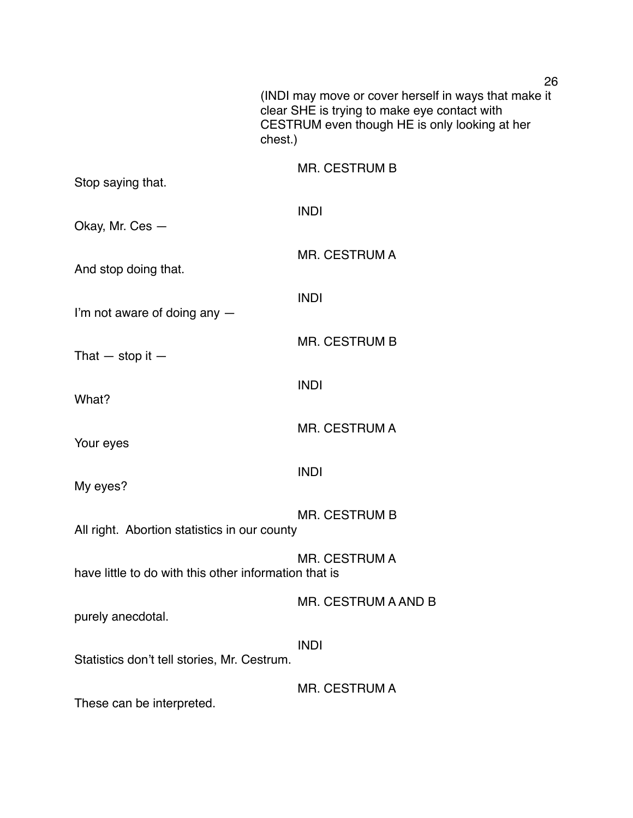|                                                       | 26<br>(INDI may move or cover herself in ways that make it<br>clear SHE is trying to make eye contact with<br>CESTRUM even though HE is only looking at her<br>chest.) |
|-------------------------------------------------------|------------------------------------------------------------------------------------------------------------------------------------------------------------------------|
| Stop saying that.                                     | <b>MR. CESTRUM B</b>                                                                                                                                                   |
| Okay, Mr. Ces -                                       | <b>INDI</b>                                                                                                                                                            |
| And stop doing that.                                  | <b>MR. CESTRUM A</b>                                                                                                                                                   |
| I'm not aware of doing any -                          | <b>INDI</b>                                                                                                                                                            |
| That $-$ stop it $-$                                  | MR. CESTRUM B                                                                                                                                                          |
| What?                                                 | <b>INDI</b>                                                                                                                                                            |
| Your eyes                                             | MR. CESTRUM A                                                                                                                                                          |
| My eyes?                                              | <b>INDI</b>                                                                                                                                                            |
| All right. Abortion statistics in our county          | <b>MR. CESTRUM B</b>                                                                                                                                                   |
| have little to do with this other information that is | <b>MR. CESTRUM A</b>                                                                                                                                                   |
| purely anecdotal.                                     | MR. CESTRUM A AND B                                                                                                                                                    |
| Statistics don't tell stories, Mr. Cestrum.           | <b>INDI</b>                                                                                                                                                            |
| These can be interpreted.                             | <b>MR. CESTRUM A</b>                                                                                                                                                   |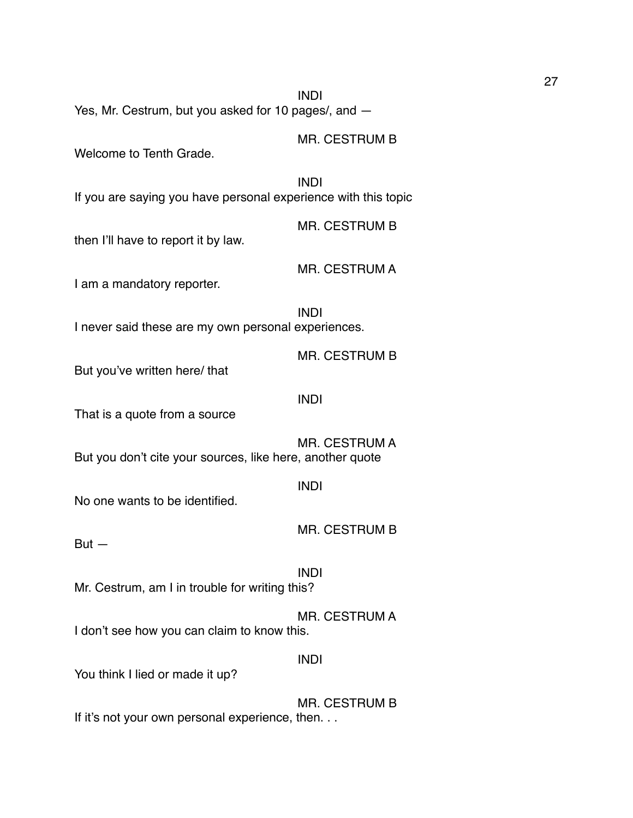INDI Yes, Mr. Cestrum, but you asked for 10 pages/, and —

Welcome to Tenth Grade.

INDI

If you are saying you have personal experience with this topic

MR. CESTRUM B

MR. CESTRUM B

then I'll have to report it by law.

MR. CESTRUM A

I am a mandatory reporter.

INDI I never said these are my own personal experiences.

MR. CESTRUM B

But you've written here/ that

#### INDI

INDI

That is a quote from a source

MR. CESTRUM A But you don't cite your sources, like here, another quote

No one wants to be identified.

MR. CESTRUM B

 $But -$ 

INDI

Mr. Cestrum, am I in trouble for writing this?

MR. CESTRUM A I don't see how you can claim to know this.

#### INDI

You think I lied or made it up?

MR. CESTRUM B If it's not your own personal experience, then. . .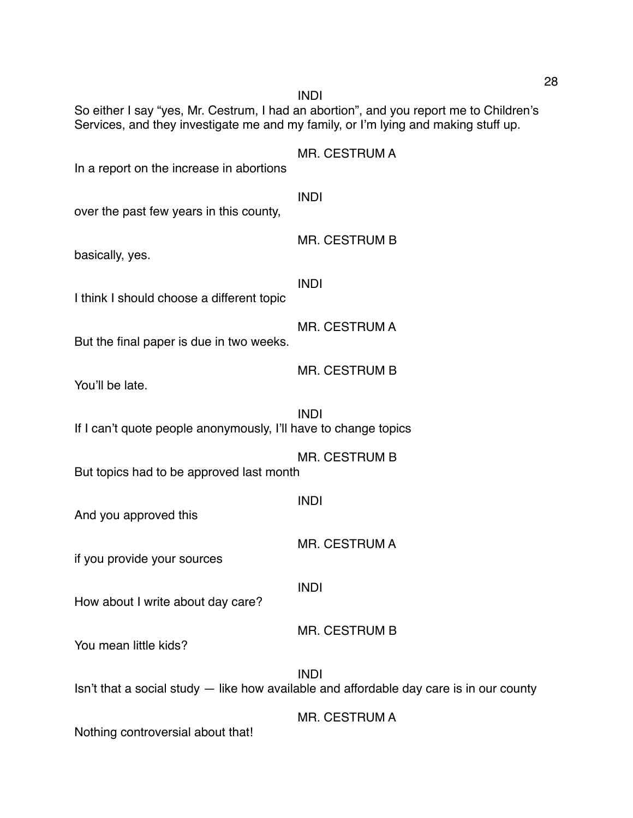So either I say "yes, Mr. Cestrum, I had an abortion", and you report me to Children's Services, and they investigate me and my family, or I'm lying and making stuff up. MR. CESTRUM A In a report on the increase in abortions INDI over the past few years in this county, MR. CESTRUM B basically, yes. INDI I think I should choose a different topic MR. CESTRUM A But the final paper is due in two weeks. MR. CESTRUM B You'll be late. INDI If I can't quote people anonymously, I'll have to change topics MR. CESTRUM B But topics had to be approved last month INDI And you approved this MR. CESTRUM A if you provide your sources INDI How about I write about day care? MR. CESTRUM B You mean little kids? INDI Isn't that a social study — like how available and affordable day care is in our county MR. CESTRUM A

INDI

Nothing controversial about that!

28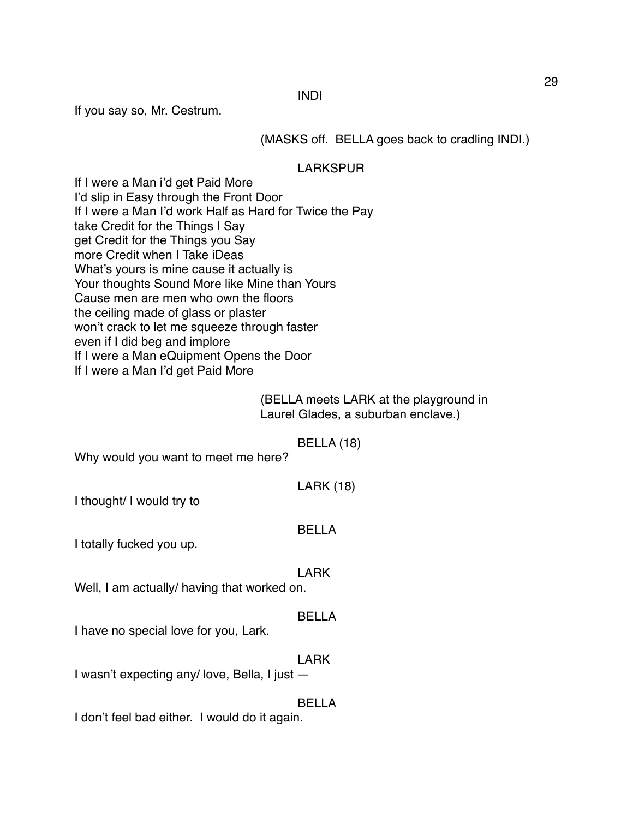INDI

If you say so, Mr. Cestrum.

(MASKS off. BELLA goes back to cradling INDI.)

LARKSPUR

If I were a Man i'd get Paid More I'd slip in Easy through the Front Door If I were a Man I'd work Half as Hard for Twice the Pay take Credit for the Things I Say get Credit for the Things you Say more Credit when I Take iDeas What's yours is mine cause it actually is Your thoughts Sound More like Mine than Yours Cause men are men who own the floors the ceiling made of glass or plaster won't crack to let me squeeze through faster even if I did beg and implore If I were a Man eQuipment Opens the Door If I were a Man I'd get Paid More

> (BELLA meets LARK at the playground in Laurel Glades, a suburban enclave.)

> > BELLA (18)

Why would you want to meet me here?

LARK (18)

I thought/ I would try to

#### BELLA

I totally fucked you up.

#### LARK

Well, I am actually/ having that worked on.

# BELLA

I have no special love for you, Lark.

#### LARK

I wasn't expecting any/ love, Bella, I just —

### BELLA

I don't feel bad either. I would do it again.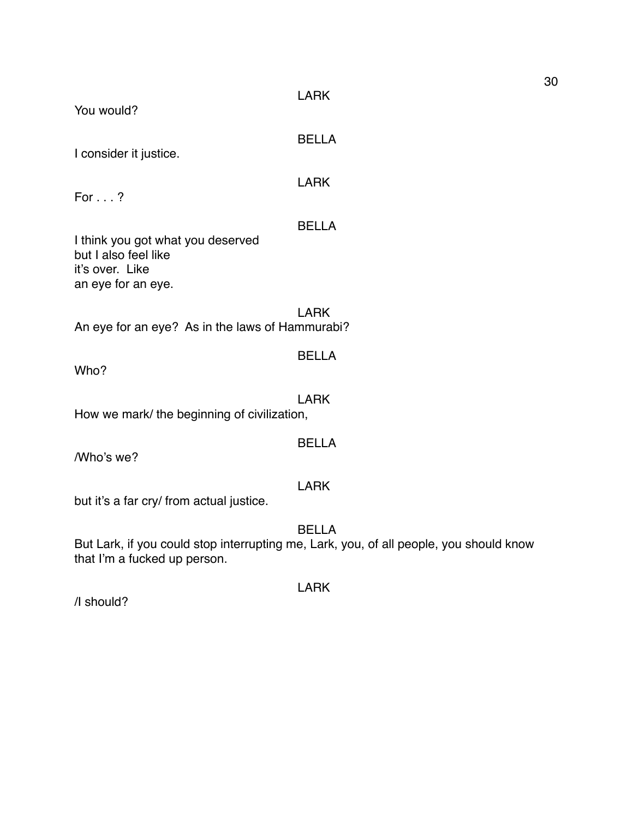| You would?                                                                                         | <b>LARK</b>                                                                                            |
|----------------------------------------------------------------------------------------------------|--------------------------------------------------------------------------------------------------------|
| I consider it justice.                                                                             | <b>BELLA</b>                                                                                           |
| For $\ldots$ ?                                                                                     | <b>LARK</b>                                                                                            |
| I think you got what you deserved<br>but I also feel like<br>it's over. Like<br>an eye for an eye. | <b>BELLA</b>                                                                                           |
| An eye for an eye? As in the laws of Hammurabi?                                                    | <b>LARK</b>                                                                                            |
| Who?                                                                                               | <b>BELLA</b>                                                                                           |
| How we mark/ the beginning of civilization,                                                        | <b>LARK</b>                                                                                            |
| /Who's we?                                                                                         | <b>BELLA</b>                                                                                           |
| but it's a far cry/ from actual justice.                                                           | <b>LARK</b>                                                                                            |
| that I'm a fucked up person.                                                                       | <b>BELLA</b><br>But Lark, if you could stop interrupting me, Lark, you, of all people, you should know |

/I should?

LARK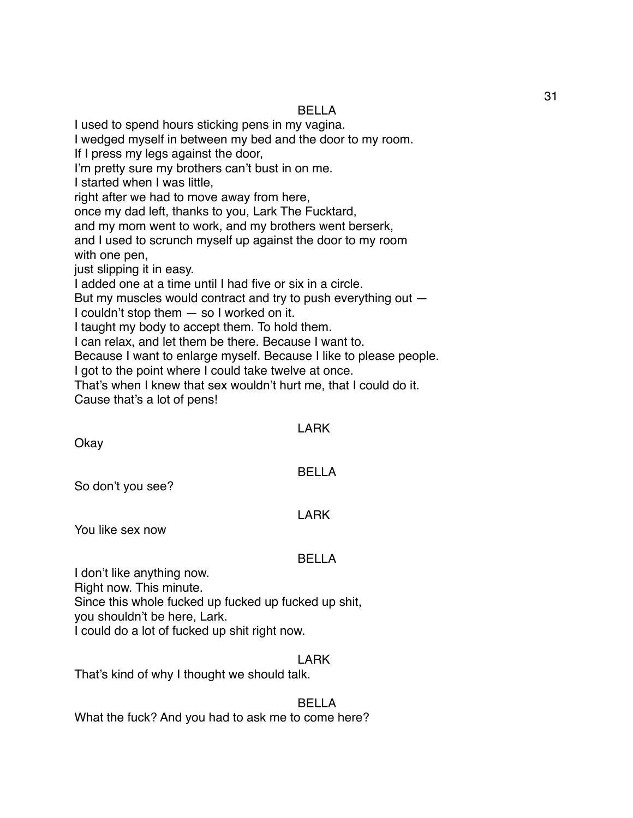# BELLA

I used to spend hours sticking pens in my vagina.

I wedged myself in between my bed and the door to my room.

If I press my legs against the door,

I'm pretty sure my brothers can't bust in on me.

I started when I was little,

right after we had to move away from here,

once my dad left, thanks to you, Lark The Fucktard,

and my mom went to work, and my brothers went berserk,

and I used to scrunch myself up against the door to my room with one pen,

just slipping it in easy.

I added one at a time until I had five or six in a circle.

But my muscles would contract and try to push everything out —

I couldn't stop them — so I worked on it.

I taught my body to accept them. To hold them.

I can relax, and let them be there. Because I want to.

Because I want to enlarge myself. Because I like to please people.

I got to the point where I could take twelve at once.

That's when I knew that sex wouldn't hurt me, that I could do it.

Cause that's a lot of pens!

#### LARK

**Okay** 

# BELLA

So don't you see?

#### LARK

You like sex now

# BELLA

I don't like anything now.

Right now. This minute.

Since this whole fucked up fucked up fucked up shit, you shouldn't be here, Lark.

I could do a lot of fucked up shit right now.

# LARK

That's kind of why I thought we should talk.

# BELLA

What the fuck? And you had to ask me to come here?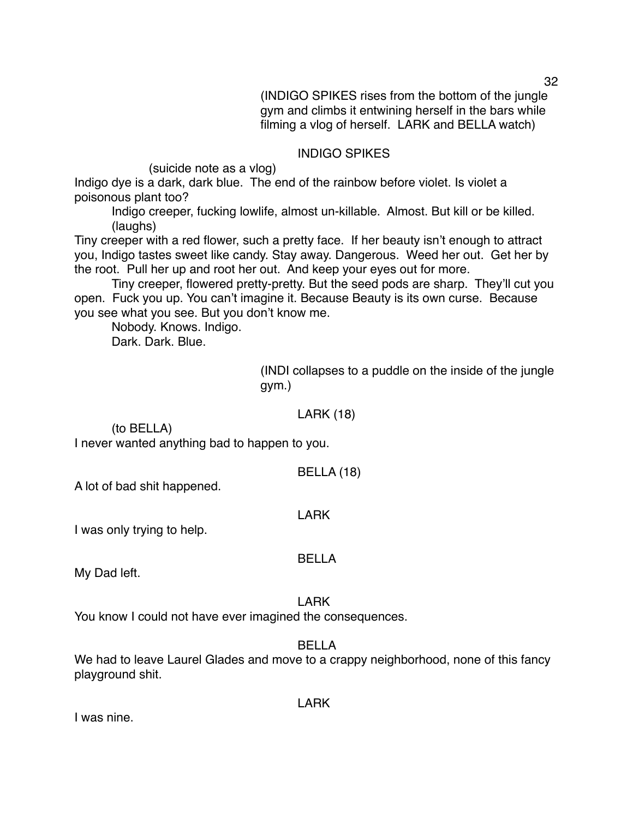(INDIGO SPIKES rises from the bottom of the jungle gym and climbs it entwining herself in the bars while filming a vlog of herself. LARK and BELLA watch)

#### INDIGO SPIKES

(suicide note as a vlog)

Indigo dye is a dark, dark blue. The end of the rainbow before violet. Is violet a poisonous plant too?

Indigo creeper, fucking lowlife, almost un-killable. Almost. But kill or be killed. (laughs)

Tiny creeper with a red flower, such a pretty face. If her beauty isn't enough to attract you, Indigo tastes sweet like candy. Stay away. Dangerous. Weed her out. Get her by the root. Pull her up and root her out. And keep your eyes out for more.

Tiny creeper, flowered pretty-pretty. But the seed pods are sharp. They'll cut you open. Fuck you up. You can't imagine it. Because Beauty is its own curse. Because you see what you see. But you don't know me.

Nobody. Knows. Indigo.

Dark. Dark. Blue.

(INDI collapses to a puddle on the inside of the jungle gym.)

#### LARK (18)

(to BELLA) I never wanted anything bad to happen to you.

BELLA (18)

A lot of bad shit happened.

#### LARK

I was only trying to help.

#### BELLA

My Dad left.

#### LARK

You know I could not have ever imagined the consequences.

BELLA

We had to leave Laurel Glades and move to a crappy neighborhood, none of this fancy playground shit.

LARK

I was nine.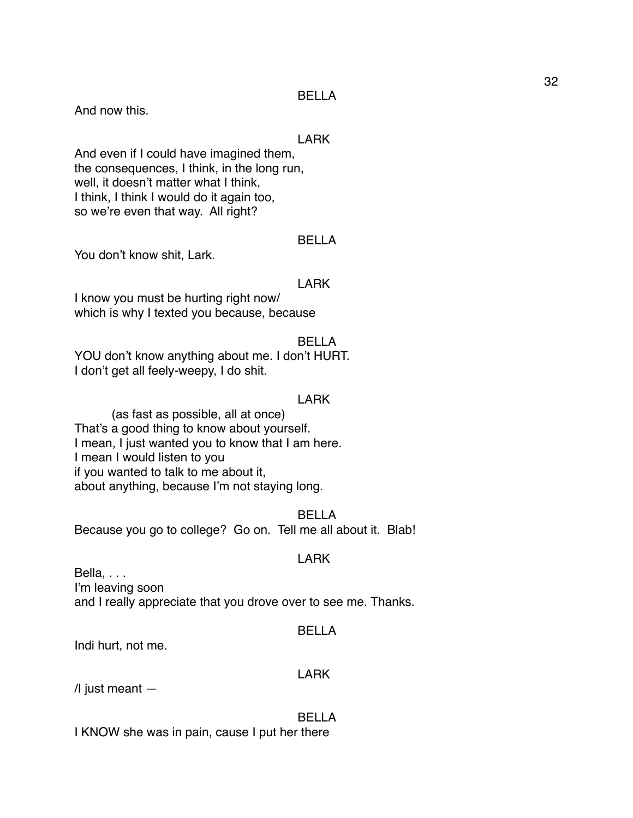#### BELLA

And now this.

#### LARK

And even if I could have imagined them, the consequences, I think, in the long run, well, it doesn't matter what I think, I think, I think I would do it again too, so we're even that way. All right?

#### BELLA

You don't know shit, Lark.

#### LARK

I know you must be hurting right now/ which is why I texted you because, because

#### BELLA

YOU don't know anything about me. I don't HURT. I don't get all feely-weepy, I do shit.

#### LARK

(as fast as possible, all at once) That's a good thing to know about yourself. I mean, I just wanted you to know that I am here. I mean I would listen to you if you wanted to talk to me about it, about anything, because I'm not staying long.

#### BELLA

Because you go to college? Go on. Tell me all about it. Blab!

#### LARK

Bella, . . . I'm leaving soon and I really appreciate that you drove over to see me. Thanks.

#### BELLA

Indi hurt, not me.

#### LARK

 $\sqrt{l}$  just meant  $-$ 

#### BELLA

I KNOW she was in pain, cause I put her there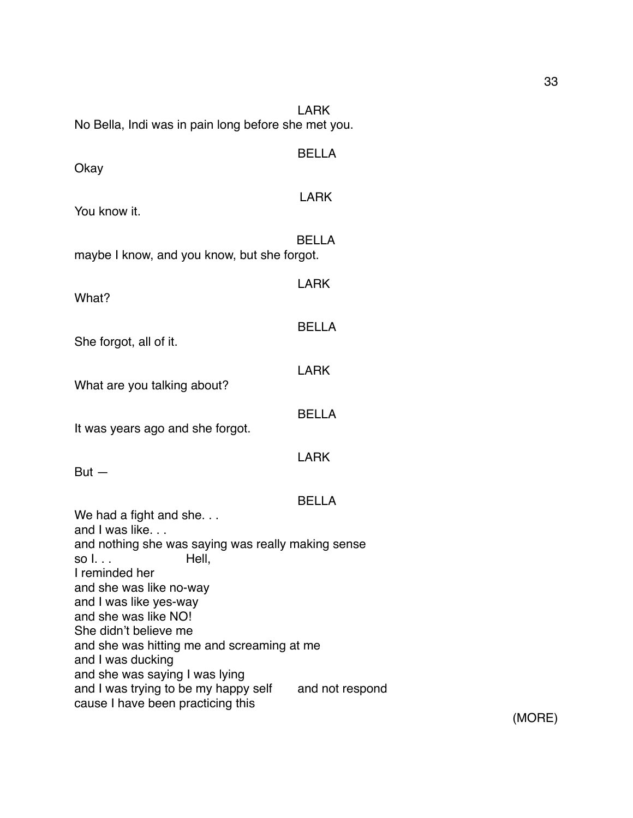| No Bella, Indi was in pain long before she met you.                                                         | <b>LARK</b>     |
|-------------------------------------------------------------------------------------------------------------|-----------------|
| Okay                                                                                                        | <b>BELLA</b>    |
| You know it.                                                                                                | <b>LARK</b>     |
| maybe I know, and you know, but she forgot.                                                                 | <b>BELLA</b>    |
| What?                                                                                                       | <b>LARK</b>     |
| She forgot, all of it.                                                                                      | <b>BELLA</b>    |
| What are you talking about?                                                                                 | <b>LARK</b>     |
| It was years ago and she forgot.                                                                            | <b>BELLA</b>    |
| $But -$                                                                                                     | <b>LARK</b>     |
| We had a fight and she                                                                                      | <b>BELLA</b>    |
| and I was like<br>and nothing she was saying was really making sense<br>Hell,                               |                 |
| I reminded her<br>and she was like no-way<br>and I was like yes-way<br>and she was like NO!                 |                 |
| She didn't believe me<br>and she was hitting me and screaming at me<br>and I was ducking                    |                 |
| and she was saying I was lying<br>and I was trying to be my happy self<br>cause I have been practicing this | and not respond |

(MORE)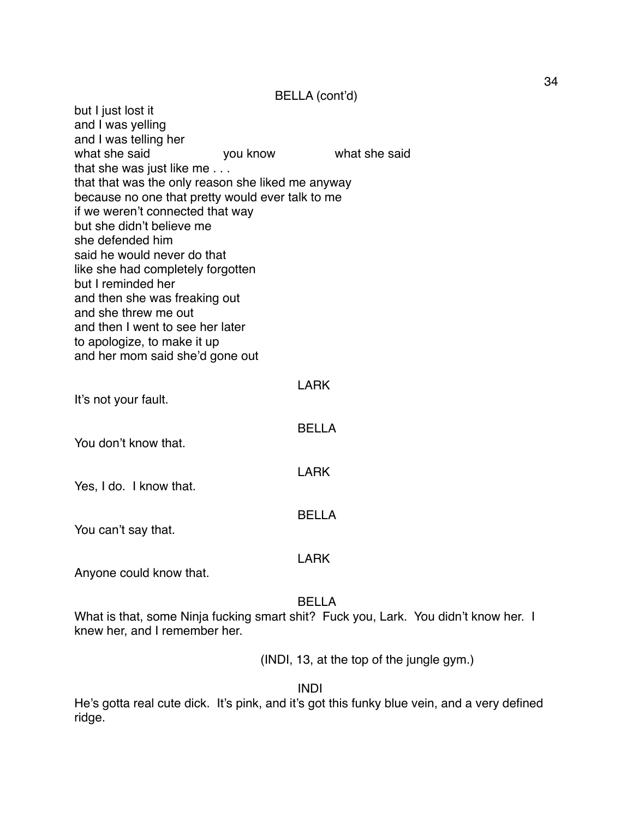BELLA (cont'd)

but I just lost it and I was yelling and I was telling her what she said **you know** what she said that she was just like me . . . that that was the only reason she liked me anyway because no one that pretty would ever talk to me if we weren't connected that way but she didn't believe me she defended him said he would never do that like she had completely forgotten but I reminded her and then she was freaking out and she threw me out and then I went to see her later to apologize, to make it up and her mom said she'd gone out LARK It's not your fault. BELLA You don't know that. LARK Yes, I do. I know that. BELLA You can't say that. LARK Anyone could know that. BELLA What is that, some Ninja fucking smart shit? Fuck you, Lark. You didn't know her. I knew her, and I remember her. (INDI, 13, at the top of the jungle gym.) INDI

He's gotta real cute dick. It's pink, and it's got this funky blue vein, and a very defined ridge.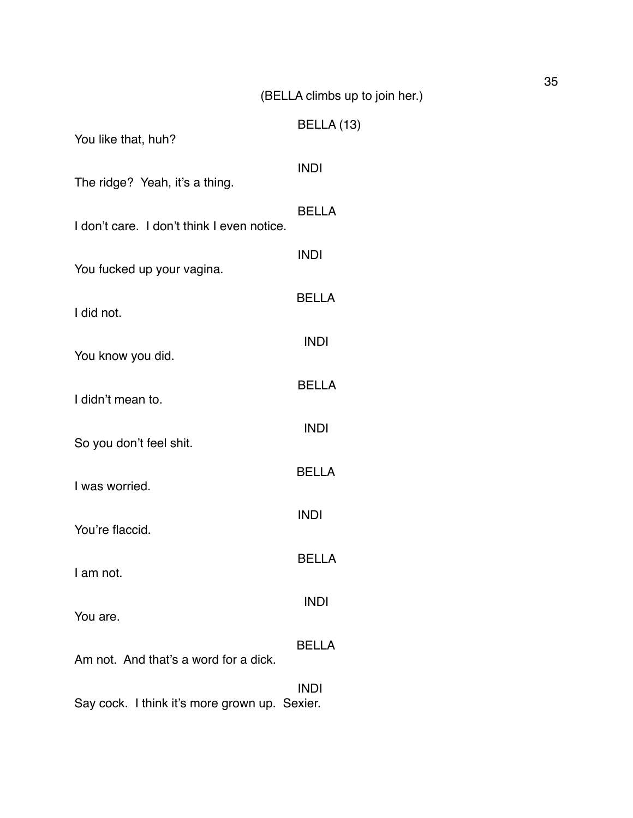# (BELLA climbs up to join her.)

| You like that, huh?                        | BELLA (13)   |
|--------------------------------------------|--------------|
| The ridge? Yeah, it's a thing.             | <b>INDI</b>  |
| I don't care. I don't think I even notice. | <b>BELLA</b> |
|                                            | <b>INDI</b>  |
| You fucked up your vagina.                 | <b>BELLA</b> |
| I did not.                                 | <b>INDI</b>  |
| You know you did.                          | <b>BELLA</b> |
| I didn't mean to.                          | <b>INDI</b>  |
| So you don't feel shit.                    |              |
| I was worried.                             | <b>BELLA</b> |
| You're flaccid.                            | <b>INDI</b>  |
| I am not.                                  | BELLA        |
| You are.                                   | <b>INDI</b>  |
| Am not. And that's a word for a dick.      | <b>BELLA</b> |
|                                            | <b>INDI</b>  |

Say cock. I think it's more grown up. Sexier.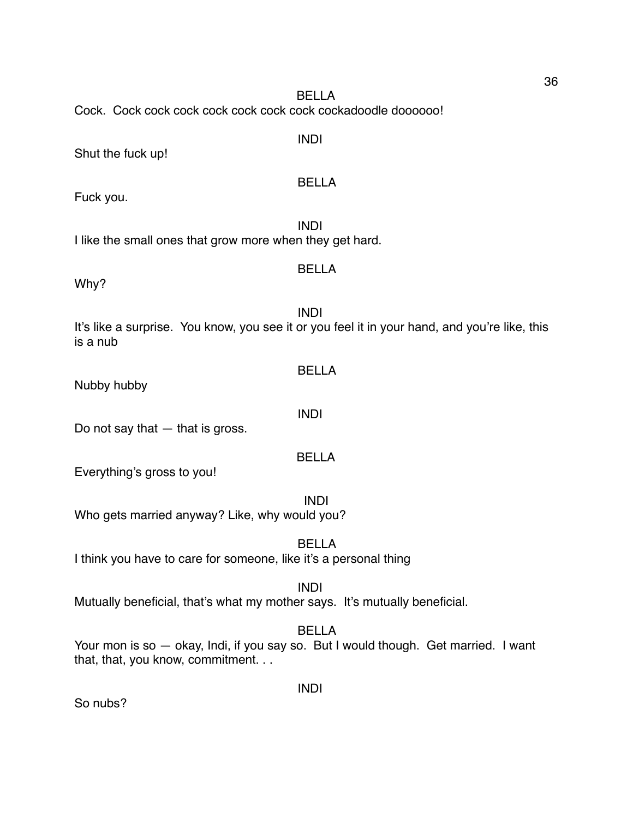BELLA Cock. Cock cock cock cock cock cock cock cockadoodle doooooo!

Shut the fuck up!

# BELLA

INDI

Fuck you.

INDI I like the small ones that grow more when they get hard.

# BELLA

Why?

INDI It's like a surprise. You know, you see it or you feel it in your hand, and you're like, this is a nub

Nubby hubby

Do not say that  $-$  that is gross.

Everything's gross to you!

INDI Who gets married anyway? Like, why would you?

BELLA I think you have to care for someone, like it's a personal thing

INDI

Mutually beneficial, that's what my mother says. It's mutually beneficial.

BELLA

Your mon is so — okay, Indi, if you say so. But I would though. Get married. I want that, that, you know, commitment. . .

INDI

So nubs?

INDI

BELLA

BELLA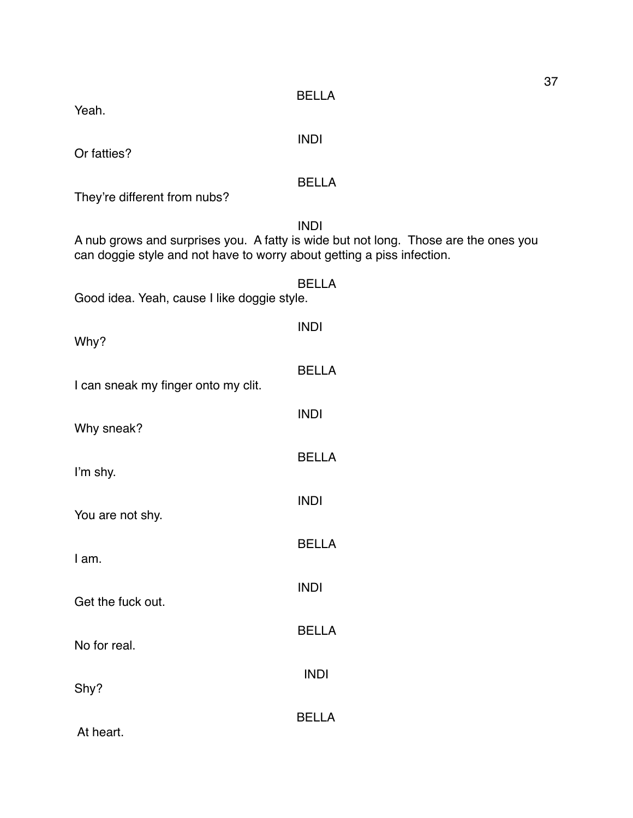Yeah.

INDI

Or fatties?

# BELLA

They're different from nubs?

INDI A nub grows and surprises you. A fatty is wide but not long. Those are the ones you can doggie style and not have to worry about getting a piss infection.

| Good idea. Yeah, cause I like doggie style. | <b>BELLA</b> |
|---------------------------------------------|--------------|
| Why?                                        | <b>INDI</b>  |
| I can sneak my finger onto my clit.         | <b>BELLA</b> |
| Why sneak?                                  | <b>INDI</b>  |
| I'm shy.                                    | <b>BELLA</b> |
| You are not shy.                            | <b>INDI</b>  |
| I am.                                       | <b>BELLA</b> |
|                                             | <b>INDI</b>  |
| Get the fuck out.                           | <b>BELLA</b> |
| No for real.                                | <b>INDI</b>  |
| Shy?                                        | <b>BELLA</b> |
| At heart.                                   |              |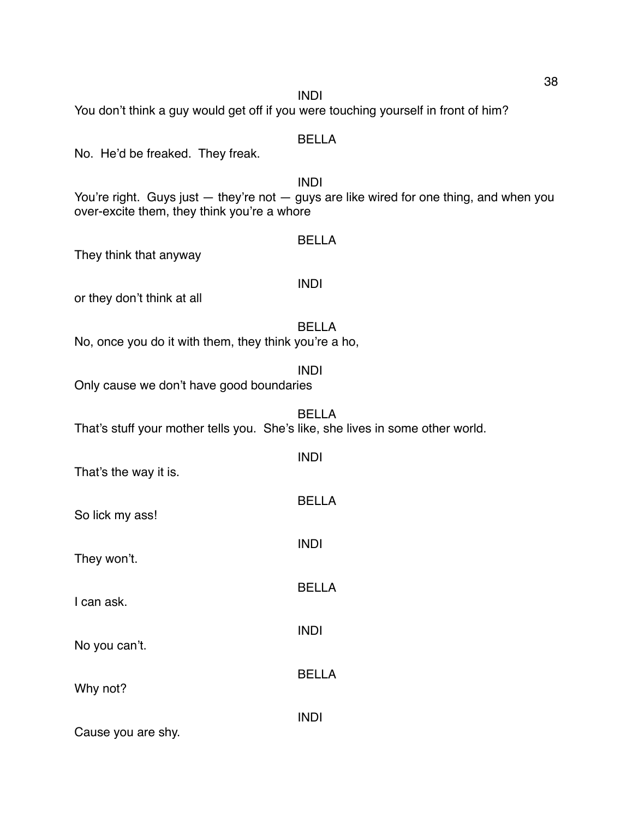BELLA No. He'd be freaked. They freak. INDI You're right. Guys just — they're not — guys are like wired for one thing, and when you over-excite them, they think you're a whore BELLA They think that anyway INDI or they don't think at all BELLA No, once you do it with them, they think you're a ho, INDI Only cause we don't have good boundaries BELLA That's stuff your mother tells you. She's like, she lives in some other world. INDI That's the way it is. BELLA So lick my ass! INDI They won't. BELLA I can ask. INDI No you can't. BELLA Why not? INDI

Cause you are shy.

#### INDI

You don't think a guy would get off if you were touching yourself in front of him?

38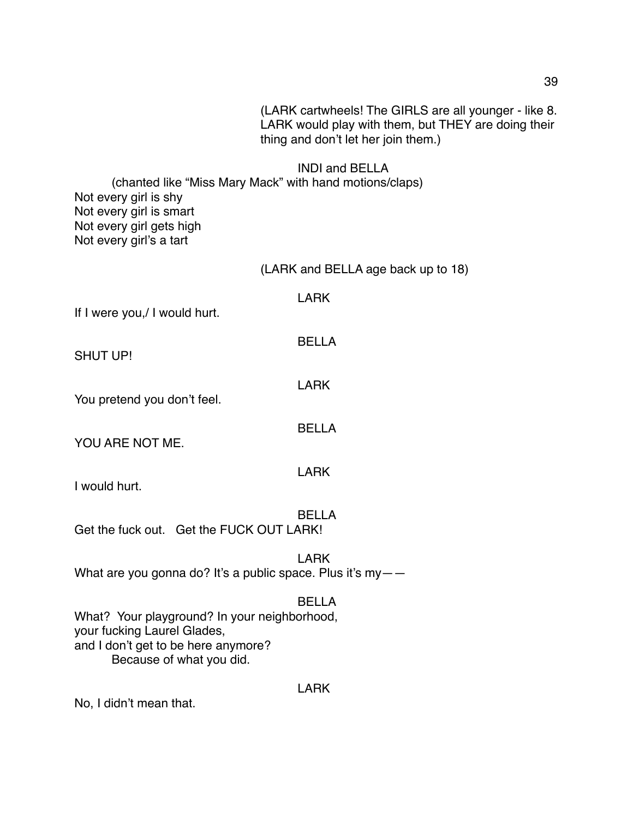LARK would play with them, but THEY are doing their thing and don't let her join them.) INDI and BELLA (chanted like "Miss Mary Mack" with hand motions/claps) Not every girl is shy Not every girl is smart Not every girl gets high Not every girl's a tart (LARK and BELLA age back up to 18) LARK If I were you,/ I would hurt. BELLA

(LARK cartwheels! The GIRLS are all younger - like 8.

SHUT UP!

You pretend you don't feel.

YOU ARE NOT ME.

I would hurt.

BELLA Get the fuck out. Get the FUCK OUT LARK!

LARK What are you gonna do? It's a public space. Plus it's my--

#### BELLA

LARK

LARK

BELLA

LARK

What? Your playground? In your neighborhood, your fucking Laurel Glades, and I don't get to be here anymore? Because of what you did.

No, I didn't mean that.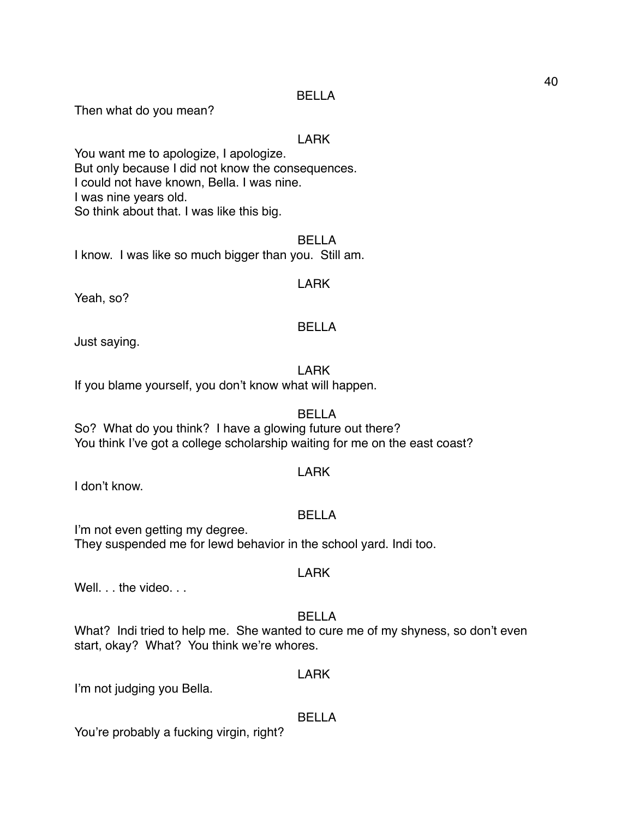Then what do you mean?

#### LARK

You want me to apologize, I apologize. But only because I did not know the consequences. I could not have known, Bella. I was nine. I was nine years old. So think about that. I was like this big.

BELLA I know. I was like so much bigger than you. Still am.

#### LARK

Yeah, so?

#### BELLA

Just saying.

# LARK

If you blame yourself, you don't know what will happen.

# BELLA

So? What do you think? I have a glowing future out there? You think I've got a college scholarship waiting for me on the east coast?

#### LARK

I don't know.

# BELLA

I'm not even getting my degree.

They suspended me for lewd behavior in the school yard. Indi too.

#### LARK

Well. . . the video. . .

# BELLA

What? Indi tried to help me. She wanted to cure me of my shyness, so don't even start, okay? What? You think we're whores.

#### LARK

I'm not judging you Bella.

# BELLA

You're probably a fucking virgin, right?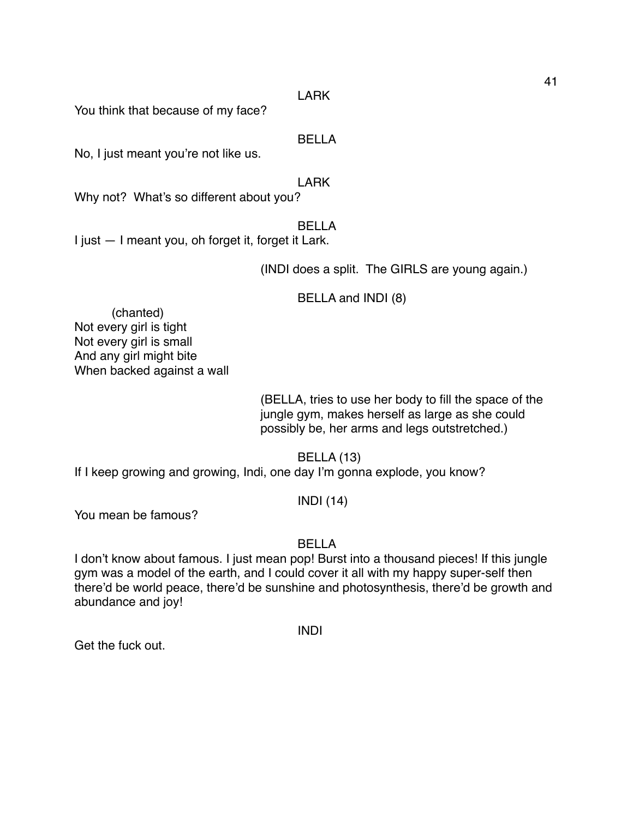#### LARK

You think that because of my face?

BELLA

No, I just meant you're not like us.

LARK

Why not? What's so different about you?

# BELLA

I just — I meant you, oh forget it, forget it Lark.

(INDI does a split. The GIRLS are young again.)

BELLA and INDI (8)

(chanted) Not every girl is tight Not every girl is small And any girl might bite When backed against a wall

> (BELLA, tries to use her body to fill the space of the jungle gym, makes herself as large as she could possibly be, her arms and legs outstretched.)

> > BELLA (13)

If I keep growing and growing, Indi, one day I'm gonna explode, you know?

# INDI (14)

You mean be famous?

# BELLA

I don't know about famous. I just mean pop! Burst into a thousand pieces! If this jungle gym was a model of the earth, and I could cover it all with my happy super-self then there'd be world peace, there'd be sunshine and photosynthesis, there'd be growth and abundance and joy!

INDI

Get the fuck out.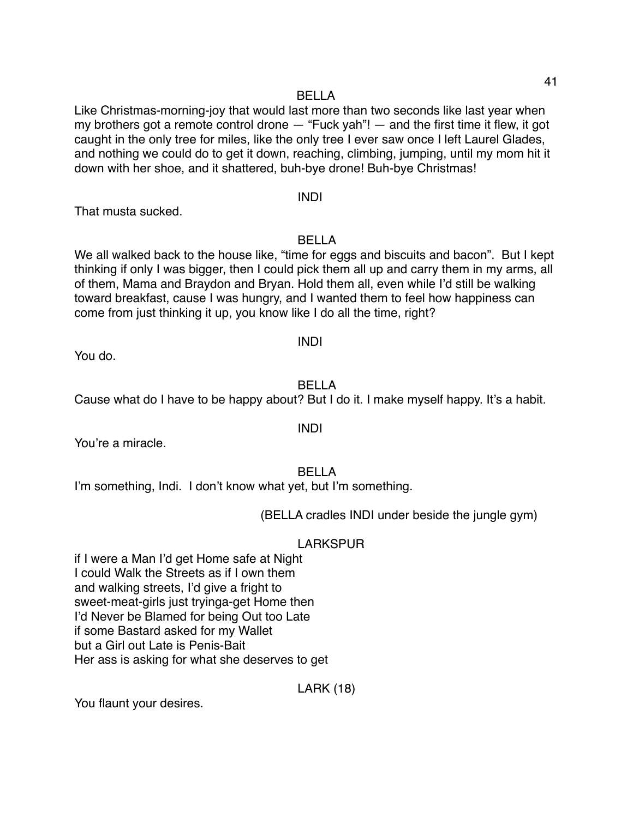Like Christmas-morning-joy that would last more than two seconds like last year when my brothers got a remote control drone  $-$  "Fuck yah"!  $-$  and the first time it flew, it got caught in the only tree for miles, like the only tree I ever saw once I left Laurel Glades, and nothing we could do to get it down, reaching, climbing, jumping, until my mom hit it down with her shoe, and it shattered, buh-bye drone! Buh-bye Christmas!

#### INDI

That musta sucked.

BELLA

We all walked back to the house like, "time for eggs and biscuits and bacon". But I kept thinking if only I was bigger, then I could pick them all up and carry them in my arms, all of them, Mama and Braydon and Bryan. Hold them all, even while I'd still be walking toward breakfast, cause I was hungry, and I wanted them to feel how happiness can come from just thinking it up, you know like I do all the time, right?

# INDI

You do.

# BELLA

Cause what do I have to be happy about? But I do it. I make myself happy. It's a habit.

You're a miracle.

# BELLA

I'm something, Indi. I don't know what yet, but I'm something.

(BELLA cradles INDI under beside the jungle gym)

# LARKSPUR

if I were a Man I'd get Home safe at Night I could Walk the Streets as if I own them and walking streets, I'd give a fright to sweet-meat-girls just tryinga-get Home then I'd Never be Blamed for being Out too Late if some Bastard asked for my Wallet but a Girl out Late is Penis-Bait Her ass is asking for what she deserves to get

LARK (18)

You flaunt your desires.

INDI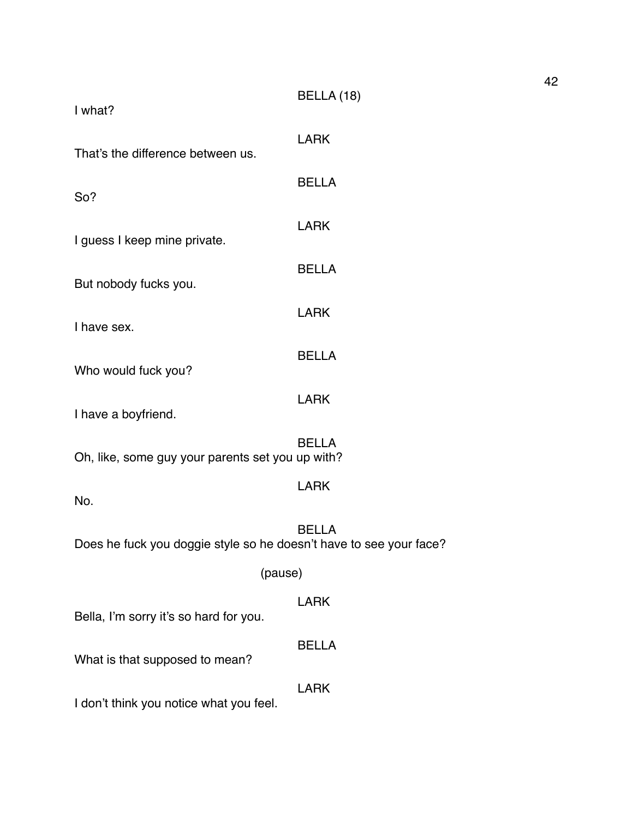| I what?                                                            | BELLA (18)   |
|--------------------------------------------------------------------|--------------|
| That's the difference between us.                                  | <b>LARK</b>  |
| So?                                                                | <b>BELLA</b> |
| I guess I keep mine private.                                       | <b>LARK</b>  |
| But nobody fucks you.                                              | <b>BELLA</b> |
| I have sex.                                                        | <b>LARK</b>  |
| Who would fuck you?                                                | <b>BELLA</b> |
| I have a boyfriend.                                                | <b>LARK</b>  |
| Oh, like, some guy your parents set you up with?                   | <b>BELLA</b> |
| No.                                                                | <b>LARK</b>  |
| Does he fuck you doggie style so he doesn't have to see your face? | <b>BELLA</b> |
| (pause)                                                            |              |
| Bella, I'm sorry it's so hard for you.                             | <b>LARK</b>  |
| What is that supposed to mean?                                     | <b>BELLA</b> |
| I don't think you notice what you feel.                            | <b>LARK</b>  |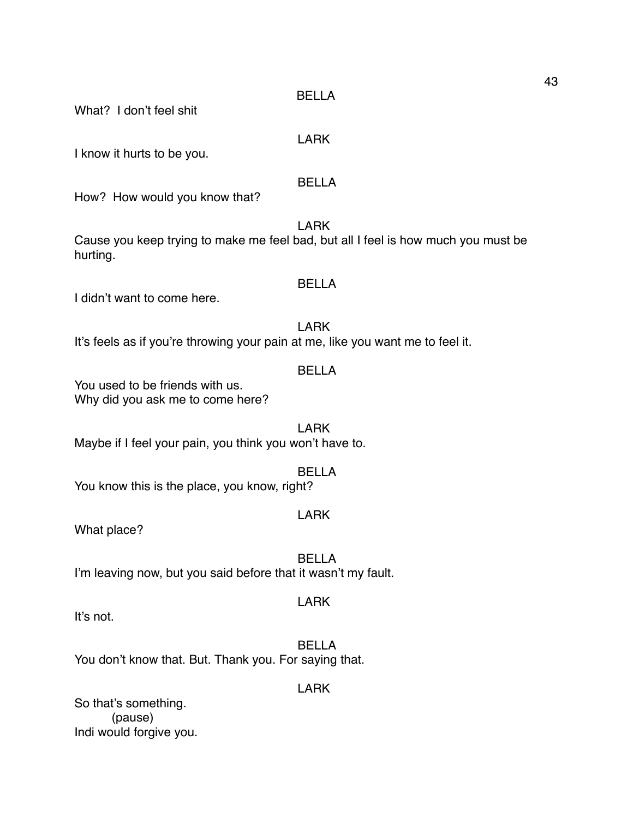What? I don't feel shit

LARK

I know it hurts to be you.

# BELLA

How? How would you know that?

LARK

Cause you keep trying to make me feel bad, but all I feel is how much you must be hurting.

# BELLA

I didn't want to come here.

# LARK

It's feels as if you're throwing your pain at me, like you want me to feel it.

#### BELLA

You used to be friends with us. Why did you ask me to come here?

LARK Maybe if I feel your pain, you think you won't have to.

# BELLA

You know this is the place, you know, right?

# LARK

What place?

BELLA I'm leaving now, but you said before that it wasn't my fault.

# LARK

It's not.

BELLA You don't know that. But. Thank you. For saying that.

### LARK

So that's something. (pause) Indi would forgive you.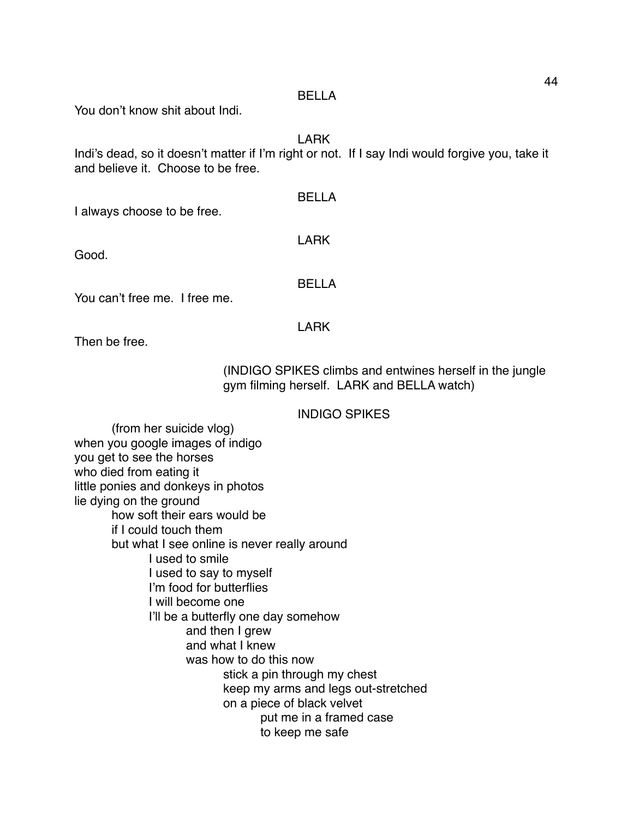You don't know shit about Indi.

LARK

Indi's dead, so it doesn't matter if I'm right or not. If I say Indi would forgive you, take it and believe it. Choose to be free.

I always choose to be free.

Good.

LARK

BELLA

BELLA

You can't free me. I free me.

LARK

Then be free.

(INDIGO SPIKES climbs and entwines herself in the jungle gym filming herself. LARK and BELLA watch)

# INDIGO SPIKES

(from her suicide vlog) when you google images of indigo you get to see the horses who died from eating it little ponies and donkeys in photos lie dying on the ground how soft their ears would be if I could touch them but what I see online is never really around I used to smile I used to say to myself I'm food for butterflies I will become one I'll be a butterfly one day somehow and then I grew and what I knew was how to do this now stick a pin through my chest keep my arms and legs out-stretched on a piece of black velvet put me in a framed case to keep me safe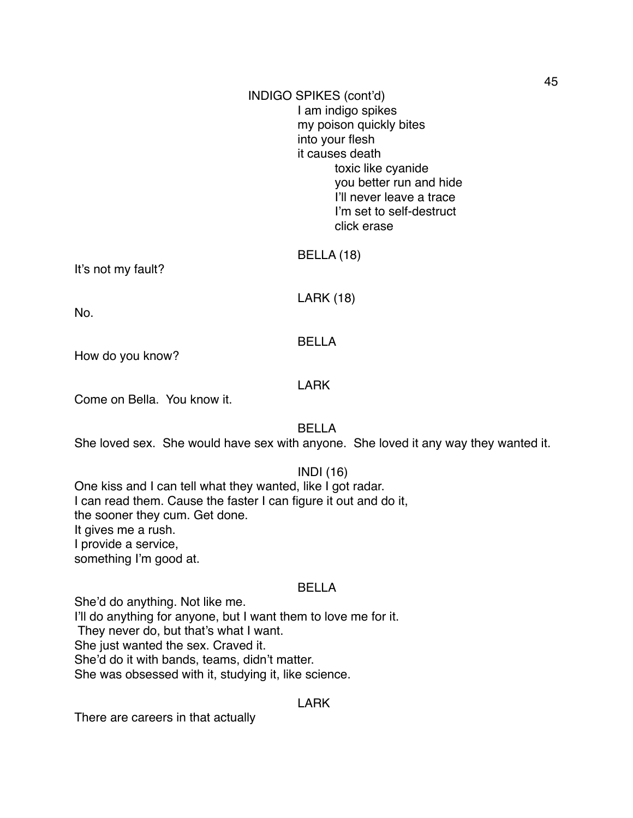# INDIGO SPIKES (cont'd) I am indigo spikes my poison quickly bites into your flesh it causes death toxic like cyanide you better run and hide I'll never leave a trace I'm set to self-destruct click erase

It's not my fault?

BELLA (18)

LARK (18)

No.

# BELLA

How do you know?

# LARK

Come on Bella. You know it.

BELLA

She loved sex. She would have sex with anyone. She loved it any way they wanted it.

#### INDI (16)

One kiss and I can tell what they wanted, like I got radar. I can read them. Cause the faster I can figure it out and do it, the sooner they cum. Get done. It gives me a rush. I provide a service, something I'm good at.

# BELLA

She'd do anything. Not like me. I'll do anything for anyone, but I want them to love me for it. They never do, but that's what I want. She just wanted the sex. Craved it. She'd do it with bands, teams, didn't matter. She was obsessed with it, studying it, like science.

# LARK

There are careers in that actually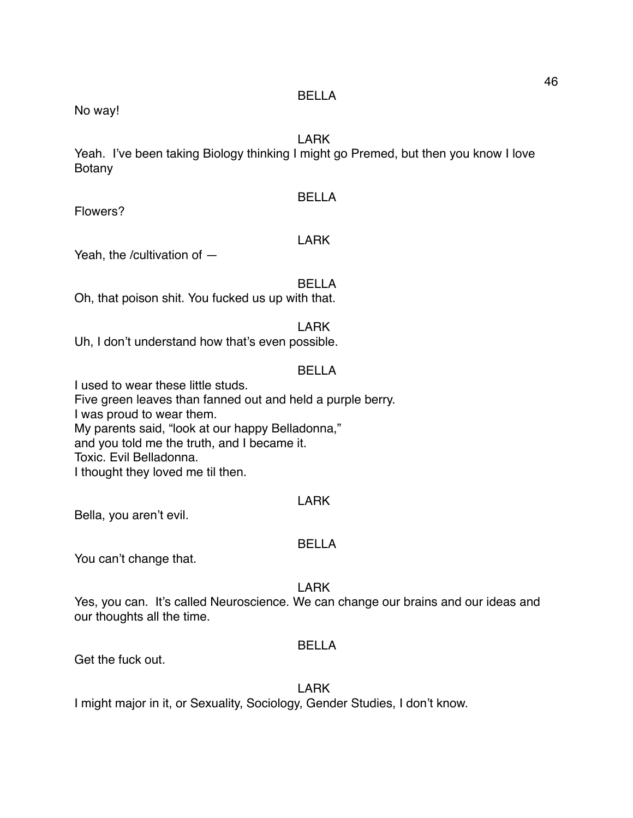No way!

# LARK

Yeah. I've been taking Biology thinking I might go Premed, but then you know I love Botany

#### BELLA

Flowers?

# LARK

Yeah, the /cultivation of —

#### BELLA

Oh, that poison shit. You fucked us up with that.

#### LARK

Uh, I don't understand how that's even possible.

# BELLA

I used to wear these little studs. Five green leaves than fanned out and held a purple berry. I was proud to wear them. My parents said, "look at our happy Belladonna," and you told me the truth, and I became it. Toxic. Evil Belladonna. I thought they loved me til then.

# LARK

Bella, you aren't evil.

#### BELLA

You can't change that.

#### LARK

Yes, you can. It's called Neuroscience. We can change our brains and our ideas and our thoughts all the time.

#### BELLA

Get the fuck out.

# LARK

I might major in it, or Sexuality, Sociology, Gender Studies, I don't know.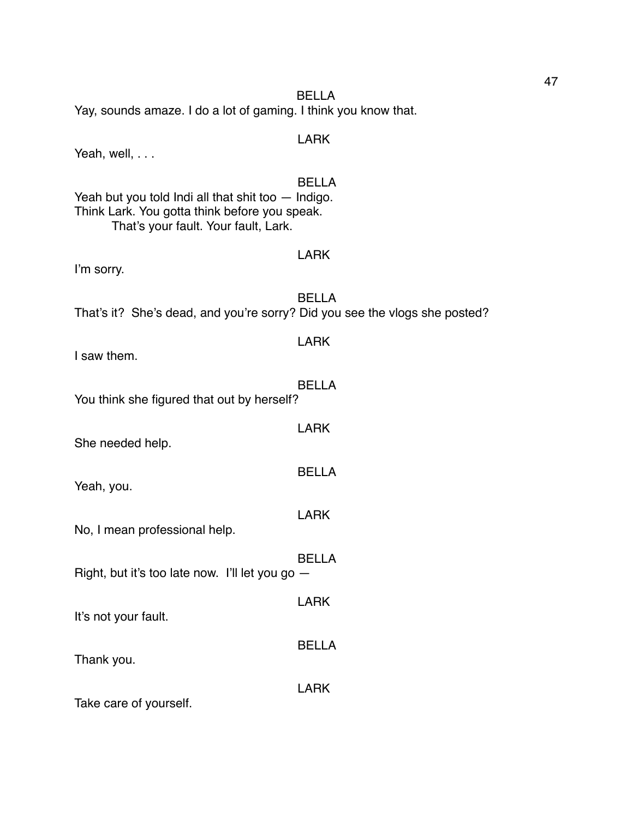Yeah, well, . . . BELLA Yeah but you told Indi all that shit too — Indigo. Think Lark. You gotta think before you speak. That's your fault. Your fault, Lark. LARK I'm sorry. BELLA That's it? She's dead, and you're sorry? Did you see the vlogs she posted? LARK I saw them. BELLA You think she figured that out by herself? LARK She needed help. BELLA Yeah, you. LARK No, I mean professional help. BELLA Right, but it's too late now. I'll let you go — LARK It's not your fault. BELLA Thank you. LARK

Take care of yourself.

Yay, sounds amaze. I do a lot of gaming. I think you know that.

BELLA

# LARK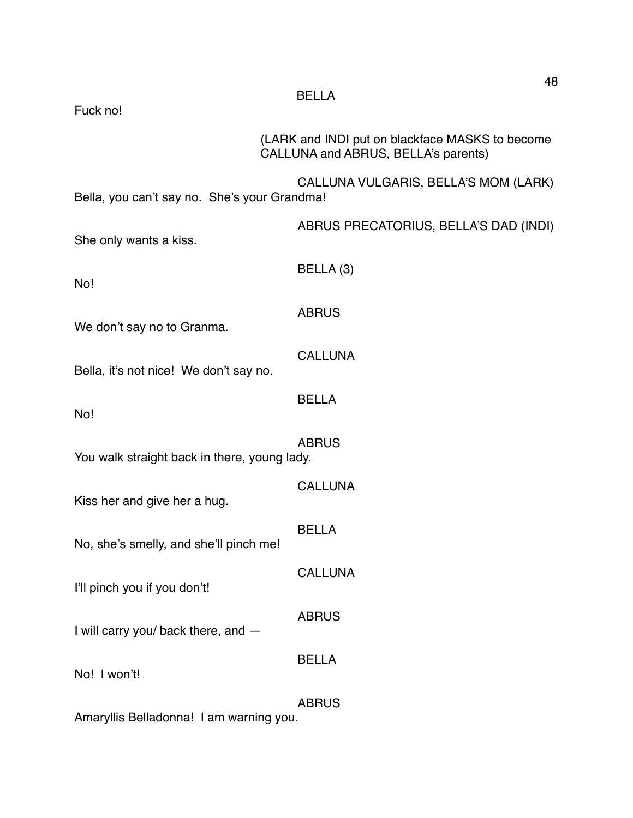| Fuck no!                                     | <b>BELLA</b>                                                                           |
|----------------------------------------------|----------------------------------------------------------------------------------------|
|                                              | (LARK and INDI put on blackface MASKS to become<br>CALLUNA and ABRUS, BELLA's parents) |
| Bella, you can't say no. She's your Grandma! | CALLUNA VULGARIS, BELLA'S MOM (LARK)                                                   |
| She only wants a kiss.                       | ABRUS PRECATORIUS, BELLA'S DAD (INDI)                                                  |
| No!                                          | BELLA (3)                                                                              |
| We don't say no to Granma.                   | <b>ABRUS</b>                                                                           |
| Bella, it's not nice! We don't say no.       | <b>CALLUNA</b>                                                                         |
| No!                                          | <b>BELLA</b>                                                                           |
| You walk straight back in there, young lady. | <b>ABRUS</b>                                                                           |
| Kiss her and give her a hug.                 | <b>CALLUNA</b>                                                                         |
| No, she's smelly, and she'll pinch me!       | <b>BELLA</b>                                                                           |
| I'll pinch you if you don't!                 | <b>CALLUNA</b>                                                                         |
| I will carry you/ back there, and -          | <b>ABRUS</b>                                                                           |
| No! I won't!                                 | <b>BELLA</b>                                                                           |
| Amaryllis Belladonna! I am warning you.      | <b>ABRUS</b>                                                                           |

48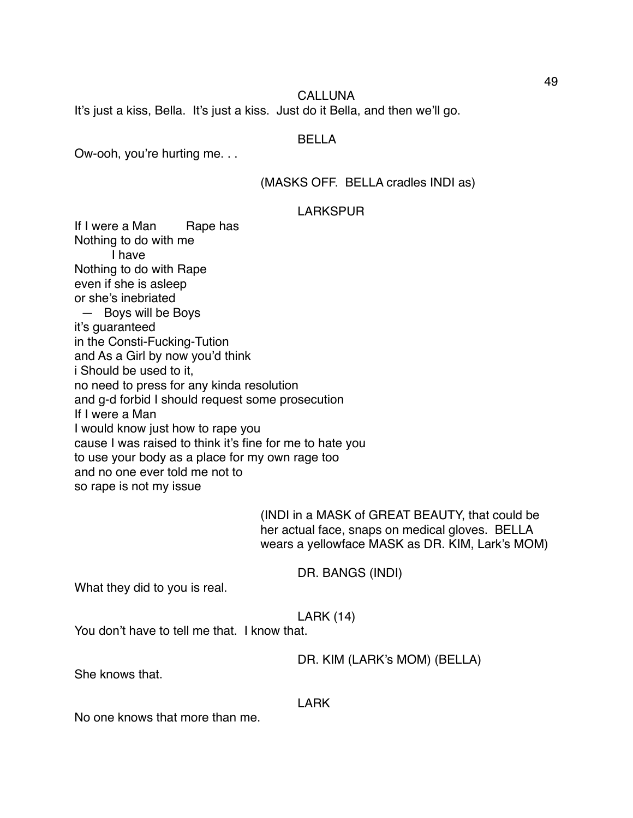#### CALLUNA

It's just a kiss, Bella. It's just a kiss. Just do it Bella, and then we'll go.

#### BELLA

Ow-ooh, you're hurting me. . .

# (MASKS OFF. BELLA cradles INDI as)

#### LARKSPUR

If I were a Man Rape has Nothing to do with me I have Nothing to do with Rape even if she is asleep or she's inebriated — Boys will be Boys it's guaranteed in the Consti-Fucking-Tution and As a Girl by now you'd think i Should be used to it, no need to press for any kinda resolution and g-d forbid I should request some prosecution If I were a Man I would know just how to rape you cause I was raised to think it's fine for me to hate you to use your body as a place for my own rage too and no one ever told me not to so rape is not my issue

> (INDI in a MASK of GREAT BEAUTY, that could be her actual face, snaps on medical gloves. BELLA wears a yellowface MASK as DR. KIM, Lark's MOM)

> > DR. BANGS (INDI)

What they did to you is real.

#### LARK (14)

You don't have to tell me that. I know that.

#### DR. KIM (LARK's MOM) (BELLA)

She knows that.

#### LARK

No one knows that more than me.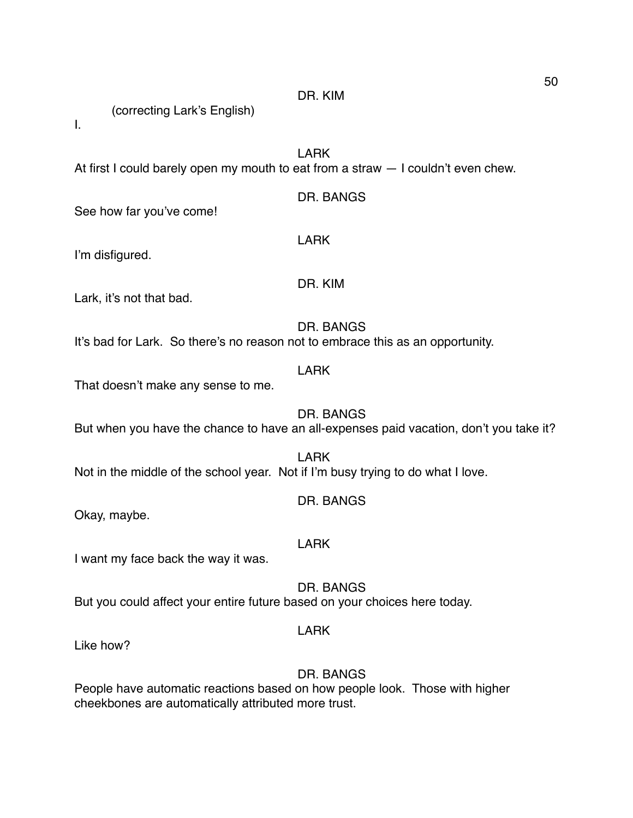DR. KIM

(correcting Lark's English)

I.

LARK

LARK

DR. KIM

At first I could barely open my mouth to eat from a straw — I couldn't even chew.

# DR. BANGS

See how far you've come!

I'm disfigured.

Lark, it's not that bad.

DR. BANGS It's bad for Lark. So there's no reason not to embrace this as an opportunity.

That doesn't make any sense to me.

DR. BANGS But when you have the chance to have an all-expenses paid vacation, don't you take it?

LARK

LARK Not in the middle of the school year. Not if I'm busy trying to do what I love.

Okay, maybe.

LARK

DR. BANGS

I want my face back the way it was.

DR. BANGS But you could affect your entire future based on your choices here today.

LARK

Like how?

# DR. BANGS

People have automatic reactions based on how people look. Those with higher cheekbones are automatically attributed more trust.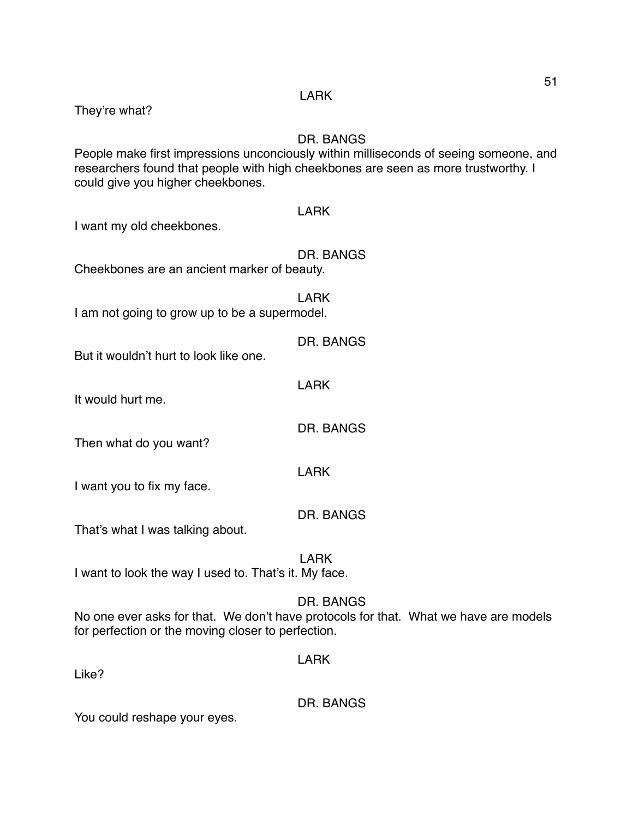| They're what?                                         | <b>LARK</b>                                                                                                                                                                                     |
|-------------------------------------------------------|-------------------------------------------------------------------------------------------------------------------------------------------------------------------------------------------------|
| could give you higher cheekbones.                     | <b>DR. BANGS</b><br>People make first impressions unconciously within milliseconds of seeing someone, and<br>researchers found that people with high cheekbones are seen as more trustworthy. I |
| I want my old cheekbones.                             | <b>LARK</b>                                                                                                                                                                                     |
| Cheekbones are an ancient marker of beauty.           | DR. BANGS                                                                                                                                                                                       |
| I am not going to grow up to be a supermodel.         | <b>LARK</b>                                                                                                                                                                                     |
| But it wouldn't hurt to look like one.                | DR. BANGS                                                                                                                                                                                       |
| It would hurt me.                                     | <b>LARK</b>                                                                                                                                                                                     |
| Then what do you want?                                | <b>DR. BANGS</b>                                                                                                                                                                                |
| I want you to fix my face.                            | <b>LARK</b>                                                                                                                                                                                     |
| That's what I was talking about.                      | <b>DR. BANGS</b>                                                                                                                                                                                |
| I want to look the way I used to. That's it. My face. | <b>LARK</b>                                                                                                                                                                                     |
| for perfection or the moving closer to perfection.    | DR. BANGS<br>No one ever asks for that. We don't have protocols for that. What we have are models                                                                                               |
| Like?                                                 | <b>LARK</b>                                                                                                                                                                                     |
|                                                       |                                                                                                                                                                                                 |

51

DR. BANGS

You could reshape your eyes.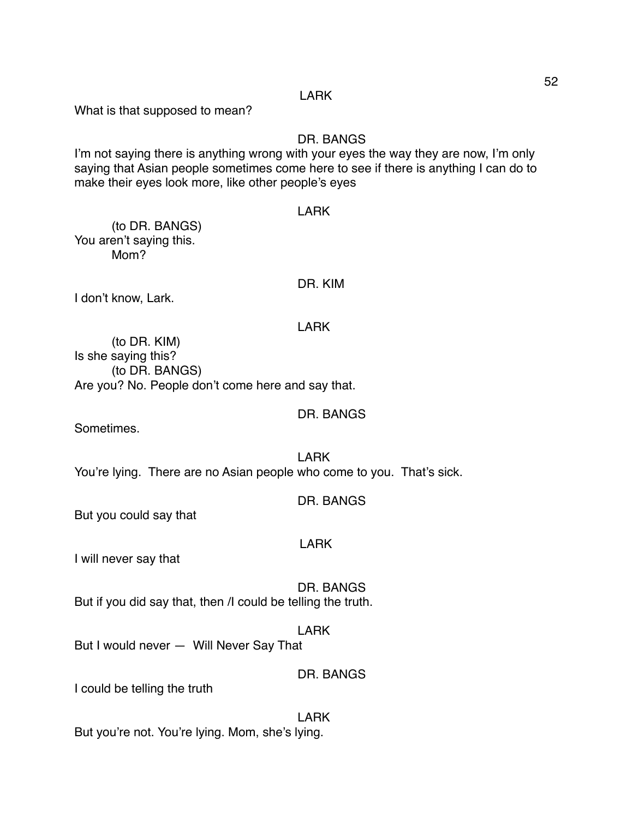#### LARK

What is that supposed to mean?

## DR. BANGS

I'm not saying there is anything wrong with your eyes the way they are now, I'm only saying that Asian people sometimes come here to see if there is anything I can do to make their eyes look more, like other people's eyes

#### LARK

(to DR. BANGS) You aren't saying this. Mom?

#### DR. KIM

I don't know, Lark.

#### LARK

(to DR. KIM) Is she saying this? (to DR. BANGS) Are you? No. People don't come here and say that.

Sometimes.

LARK You're lying. There are no Asian people who come to you. That's sick.

DR. BANGS

DR. BANGS

But you could say that

#### LARK

I will never say that

DR. BANGS But if you did say that, then /I could be telling the truth.

#### LARK

But I would never — Will Never Say That

#### DR. BANGS

I could be telling the truth

#### LARK

But you're not. You're lying. Mom, she's lying.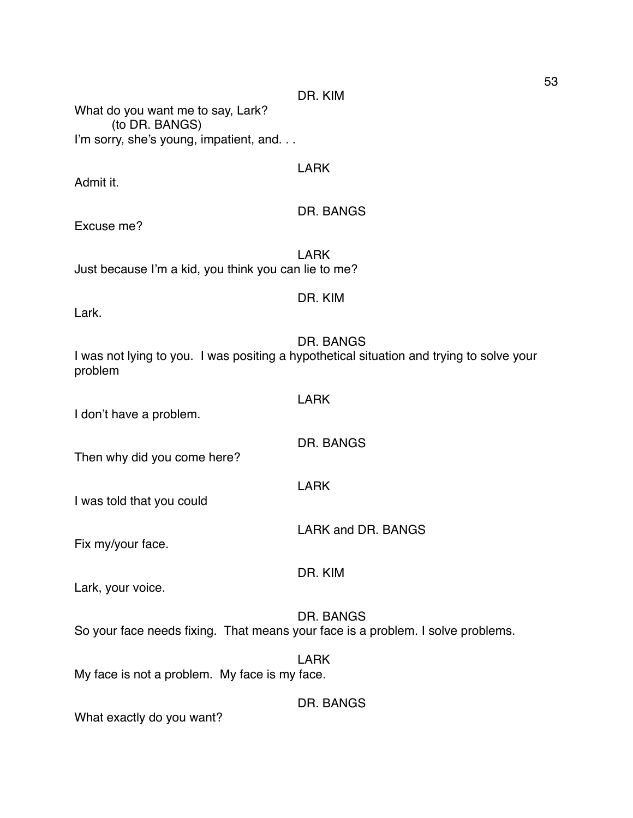What do you want me to say, Lark? (to DR. BANGS) I'm sorry, she's young, impatient, and. . .

#### LARK

Admit it.

# DR. BANGS

Excuse me?

LARK Just because I'm a kid, you think you can lie to me?

#### DR. KIM

Lark.

DR. BANGS

DR. BANGS

LARK and DR. BANGS

I was not lying to you. I was positing a hypothetical situation and trying to solve your problem

LARK

LARK

I don't have a problem.

Then why did you come here?

I was told that you could

Fix my/your face.

DR. KIM

Lark, your voice.

DR. BANGS So your face needs fixing. That means your face is a problem. I solve problems.

LARK My face is not a problem. My face is my face.

DR. BANGS

What exactly do you want?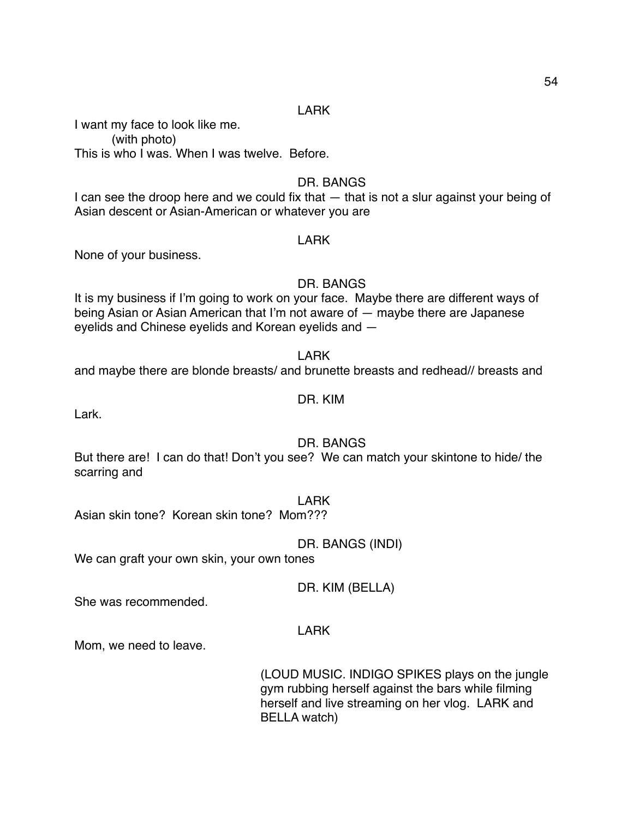#### LARK

I want my face to look like me. (with photo) This is who I was. When I was twelve. Before.

# DR. BANGS

I can see the droop here and we could fix that — that is not a slur against your being of Asian descent or Asian-American or whatever you are

#### LARK

None of your business.

# DR. BANGS

It is my business if I'm going to work on your face. Maybe there are different ways of being Asian or Asian American that I'm not aware of — maybe there are Japanese eyelids and Chinese eyelids and Korean eyelids and —

LARK

and maybe there are blonde breasts/ and brunette breasts and redhead// breasts and

#### DR. KIM

Lark.

# DR. BANGS

But there are! I can do that! Don't you see? We can match your skintone to hide/ the scarring and

#### LARK

Asian skin tone? Korean skin tone? Mom???

DR. BANGS (INDI)

We can graft your own skin, your own tones

DR. KIM (BELLA)

She was recommended.

# LARK

Mom, we need to leave.

(LOUD MUSIC. INDIGO SPIKES plays on the jungle gym rubbing herself against the bars while filming herself and live streaming on her vlog. LARK and BELLA watch)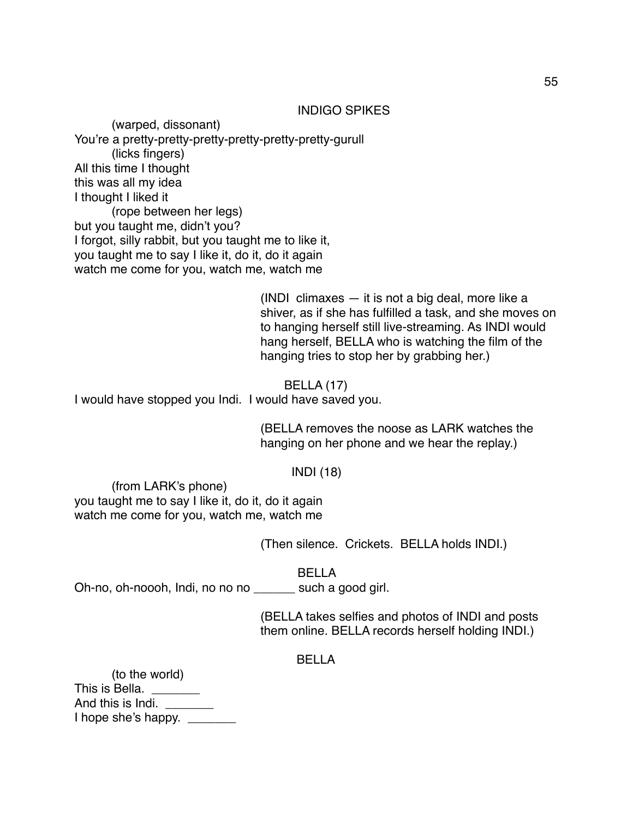#### INDIGO SPIKES

(warped, dissonant) You're a pretty-pretty-pretty-pretty-pretty-pretty-gurull (licks fingers) All this time I thought this was all my idea I thought I liked it (rope between her legs) but you taught me, didn't you? I forgot, silly rabbit, but you taught me to like it, you taught me to say I like it, do it, do it again watch me come for you, watch me, watch me

> (INDI climaxes — it is not a big deal, more like a shiver, as if she has fulfilled a task, and she moves on to hanging herself still live-streaming. As INDI would hang herself, BELLA who is watching the film of the hanging tries to stop her by grabbing her.)

BELLA (17) I would have stopped you Indi. I would have saved you.

> (BELLA removes the noose as LARK watches the hanging on her phone and we hear the replay.)

> > INDI (18)

(from LARK's phone) you taught me to say I like it, do it, do it again watch me come for you, watch me, watch me

(Then silence. Crickets. BELLA holds INDI.)

BELLA

Oh-no, oh-noooh, Indi, no no no \_\_\_\_\_\_ such a good girl.

(BELLA takes selfies and photos of INDI and posts them online. BELLA records herself holding INDI.)

#### BELLA

| (to the world)      |  |
|---------------------|--|
| This is Bella.      |  |
| And this is Indi.   |  |
| I hope she's happy. |  |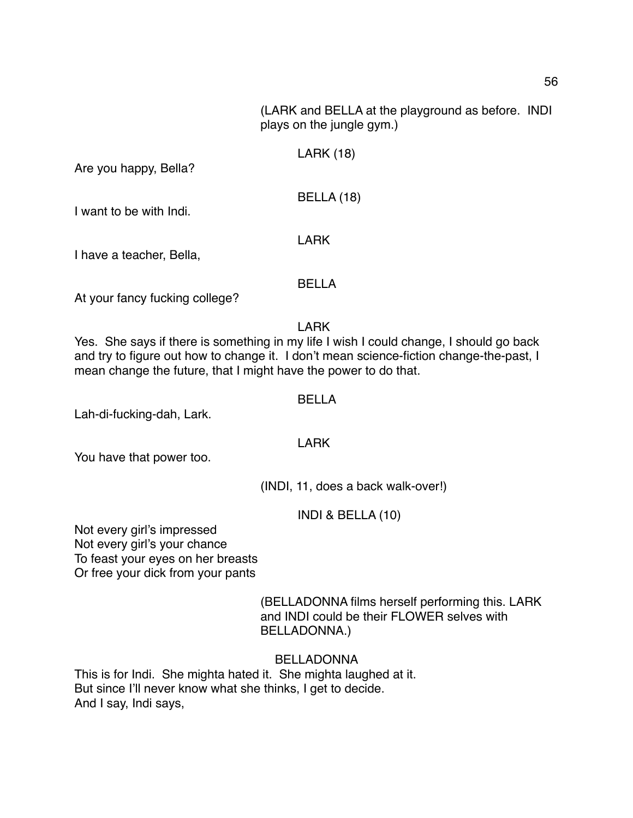(LARK and BELLA at the playground as before. INDI plays on the jungle gym.)

# LARK (18)

Are you happy, Bella?

BELLA (18)

I want to be with Indi.

I have a teacher, Bella,

#### BELLA

LARK

At your fancy fucking college?

LARK

Yes. She says if there is something in my life I wish I could change, I should go back and try to figure out how to change it. I don't mean science-fiction change-the-past, I mean change the future, that I might have the power to do that.

#### BELLA

Lah-di-fucking-dah, Lark.

LARK

You have that power too.

(INDI, 11, does a back walk-over!)

INDI & BELLA (10)

Not every girl's impressed Not every girl's your chance To feast your eyes on her breasts Or free your dick from your pants

> (BELLADONNA films herself performing this. LARK and INDI could be their FLOWER selves with BELLADONNA.)

BELLADONNA

This is for Indi. She mighta hated it. She mighta laughed at it. But since I'll never know what she thinks, I get to decide. And I say, Indi says,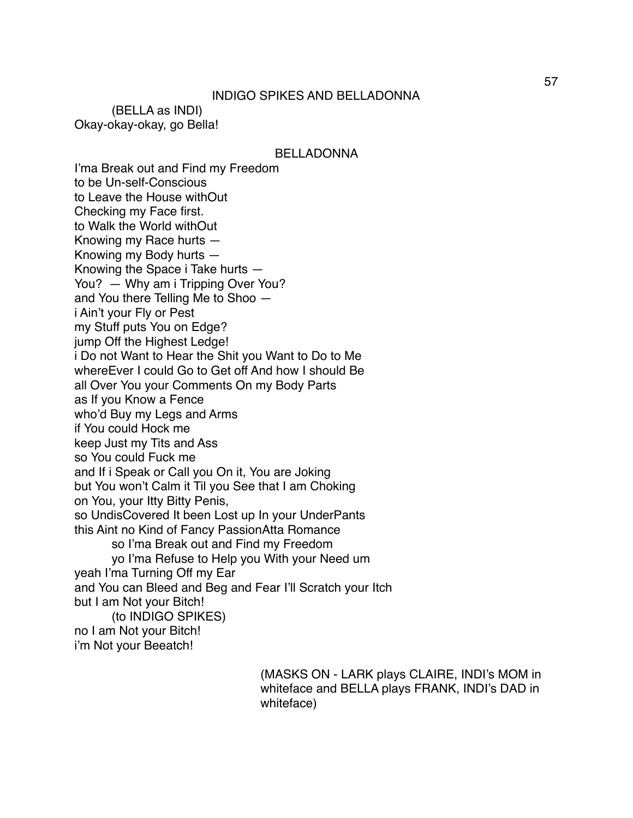(BELLA as INDI) Okay-okay-okay, go Bella!

BELLADONNA

I'ma Break out and Find my Freedom to be Un-self-Conscious to Leave the House withOut Checking my Face first. to Walk the World withOut Knowing my Race hurts — Knowing my Body hurts — Knowing the Space i Take hurts — You? — Why am i Tripping Over You? and You there Telling Me to Shoo i Ain't your Fly or Pest my Stuff puts You on Edge? jump Off the Highest Ledge! i Do not Want to Hear the Shit you Want to Do to Me whereEver I could Go to Get off And how I should Be all Over You your Comments On my Body Parts as If you Know a Fence who'd Buy my Legs and Arms if You could Hock me keep Just my Tits and Ass so You could Fuck me and If i Speak or Call you On it, You are Joking but You won't Calm it Til you See that I am Choking on You, your Itty Bitty Penis, so UndisCovered It been Lost up In your UnderPants this Aint no Kind of Fancy PassionAtta Romance so I'ma Break out and Find my Freedom yo I'ma Refuse to Help you With your Need um yeah I'ma Turning Off my Ear and You can Bleed and Beg and Fear I'll Scratch your Itch but I am Not your Bitch! (to INDIGO SPIKES) no I am Not your Bitch! i'm Not your Beeatch!

> (MASKS ON - LARK plays CLAIRE, INDI's MOM in whiteface and BELLA plays FRANK, INDI's DAD in whiteface)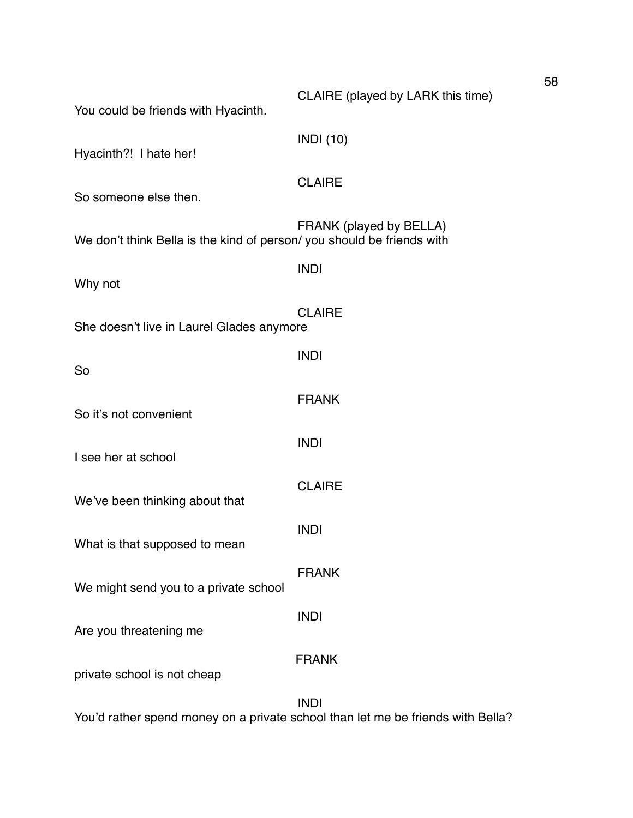| You could be friends with Hyacinth.                                   | CLAIRE (played by LARK this time) |
|-----------------------------------------------------------------------|-----------------------------------|
| Hyacinth?! I hate her!                                                | <b>INDI</b> (10)                  |
| So someone else then.                                                 | <b>CLAIRE</b>                     |
| We don't think Bella is the kind of person/you should be friends with | FRANK (played by BELLA)           |
| Why not                                                               | <b>INDI</b>                       |
| She doesn't live in Laurel Glades anymore                             | <b>CLAIRE</b>                     |
| So                                                                    | <b>INDI</b>                       |
| So it's not convenient                                                | <b>FRANK</b>                      |
| I see her at school                                                   | <b>INDI</b>                       |
| We've been thinking about that                                        | <b>CLAIRE</b>                     |
|                                                                       | <b>INDI</b>                       |
| What is that supposed to mean                                         | <b>FRANK</b>                      |
| We might send you to a private school                                 | <b>INDI</b>                       |
| Are you threatening me                                                | <b>FRANK</b>                      |
| private school is not cheap                                           |                                   |
|                                                                       | <b>INDI</b>                       |

You'd rather spend money on a private school than let me be friends with Bella?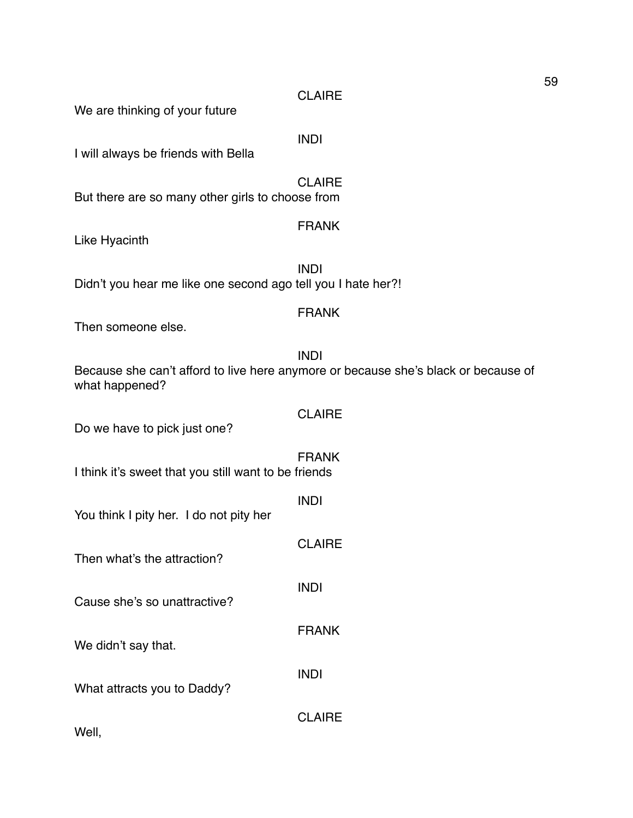**CLAIRE** 

We are thinking of your future

INDI

I will always be friends with Bella

**CLAIRE** But there are so many other girls to choose from

#### FRANK

Like Hyacinth

INDI Didn't you hear me like one second ago tell you I hate her?!

#### FRANK

**CLAIRE** 

INDI

INDI

INDI

FRANK

**CLAIRE** 

**CLAIRE** 

Then someone else.

INDI Because she can't afford to live here anymore or because she's black or because of what happened?

Do we have to pick just one?

FRANK I think it's sweet that you still want to be friends

You think I pity her. I do not pity her

Then what's the attraction?

Cause she's so unattractive?

We didn't say that.

What attracts you to Daddy?

Well,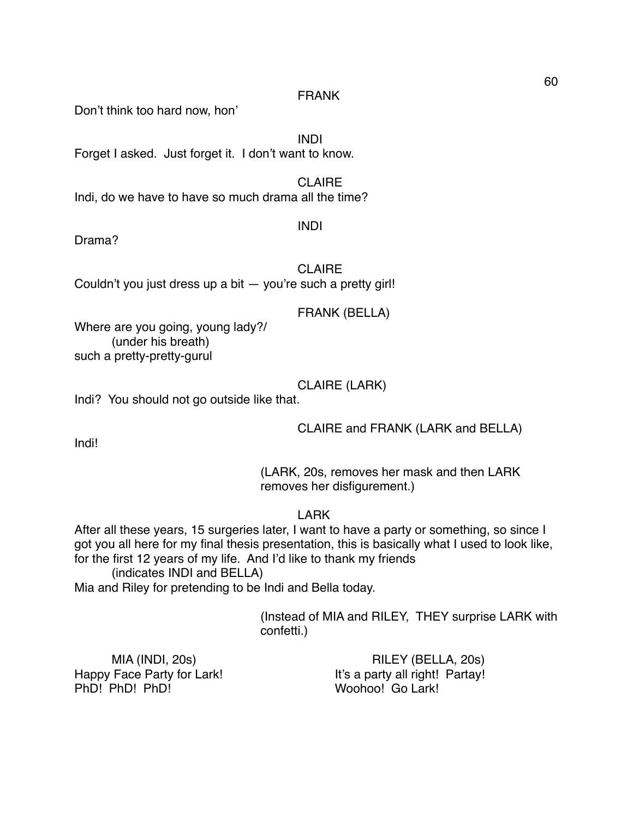#### FRANK

Don't think too hard now, hon'

INDI

Forget I asked. Just forget it. I don't want to know.

**CLAIRE** Indi, do we have to have so much drama all the time?

INDI

Drama?

CLAIRE

Couldn't you just dress up a bit — you're such a pretty girl!

# FRANK (BELLA)

Where are you going, young lady?/ (under his breath) such a pretty-pretty-gurul

# CLAIRE (LARK)

Indi? You should not go outside like that.

CLAIRE and FRANK (LARK and BELLA)

Indi!

(LARK, 20s, removes her mask and then LARK removes her disfigurement.)

LARK

After all these years, 15 surgeries later, I want to have a party or something, so since I got you all here for my final thesis presentation, this is basically what I used to look like, for the first 12 years of my life. And I'd like to thank my friends (indicates INDI and BELLA)

Mia and Riley for pretending to be Indi and Bella today.

(Instead of MIA and RILEY, THEY surprise LARK with confetti.)

PhD! PhD! PhD! Woohoo! Go Lark!

MIA (INDI, 20s) RILEY (BELLA, 20s) Happy Face Party for Lark! It's a party all right! Partay!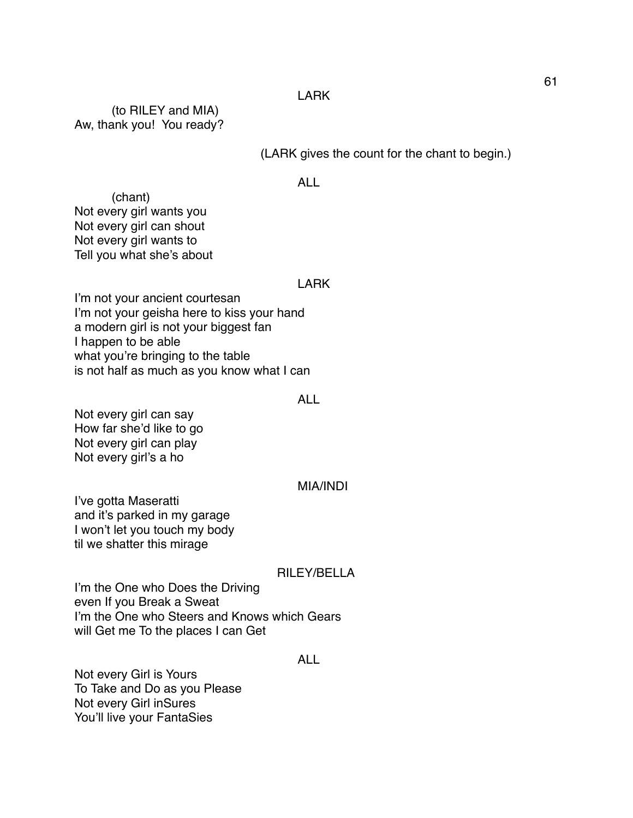#### LARK

(to RILEY and MIA) Aw, thank you! You ready?

(LARK gives the count for the chant to begin.)

#### ALL

(chant) Not every girl wants you Not every girl can shout Not every girl wants to Tell you what she's about

#### LARK

I'm not your ancient courtesan I'm not your geisha here to kiss your hand a modern girl is not your biggest fan I happen to be able what you're bringing to the table is not half as much as you know what I can

#### ALL

Not every girl can say How far she'd like to go Not every girl can play Not every girl's a ho

#### MIA/INDI

I've gotta Maseratti and it's parked in my garage I won't let you touch my body til we shatter this mirage

#### RILEY/BELLA

I'm the One who Does the Driving even If you Break a Sweat I'm the One who Steers and Knows which Gears will Get me To the places I can Get

#### ALL

Not every Girl is Yours To Take and Do as you Please Not every Girl inSures You'll live your FantaSies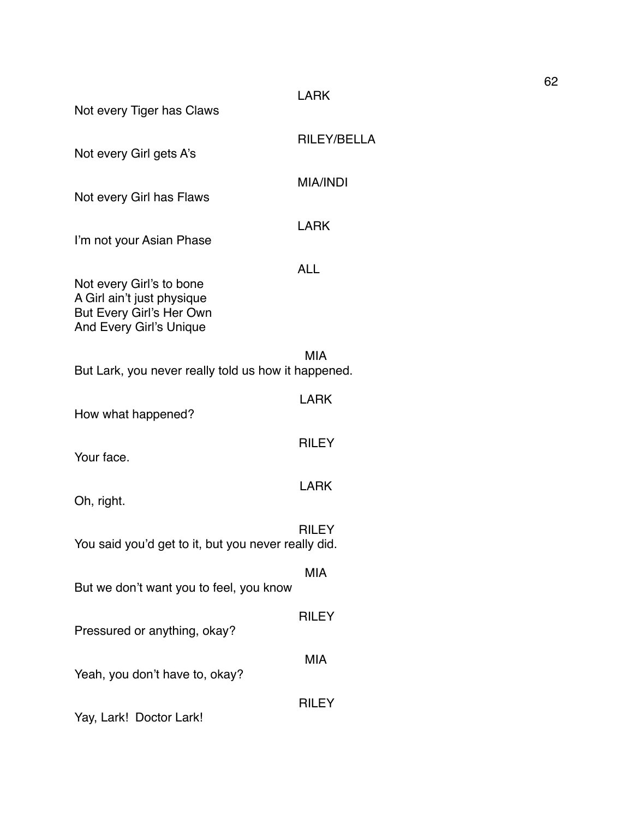| Not every Tiger has Claws                                                                                     | <b>LARK</b>     |
|---------------------------------------------------------------------------------------------------------------|-----------------|
| Not every Girl gets A's                                                                                       | RILEY/BELLA     |
| Not every Girl has Flaws                                                                                      | <b>MIA/INDI</b> |
| I'm not your Asian Phase                                                                                      | <b>LARK</b>     |
| Not every Girl's to bone<br>A Girl ain't just physique<br>But Every Girl's Her Own<br>And Every Girl's Unique | <b>ALL</b>      |
| But Lark, you never really told us how it happened.                                                           | MIA             |
| How what happened?                                                                                            | <b>LARK</b>     |
| Your face.                                                                                                    | <b>RILEY</b>    |
| Oh, right.                                                                                                    | <b>LARK</b>     |
| You said you'd get to it, but you never really did.                                                           | <b>RILEY</b>    |
| But we don't want you to feel, you know                                                                       | <b>MIA</b>      |
| Pressured or anything, okay?                                                                                  | <b>RILEY</b>    |
| Yeah, you don't have to, okay?                                                                                | <b>MIA</b>      |
| Yay, Lark! Doctor Lark!                                                                                       | <b>RILEY</b>    |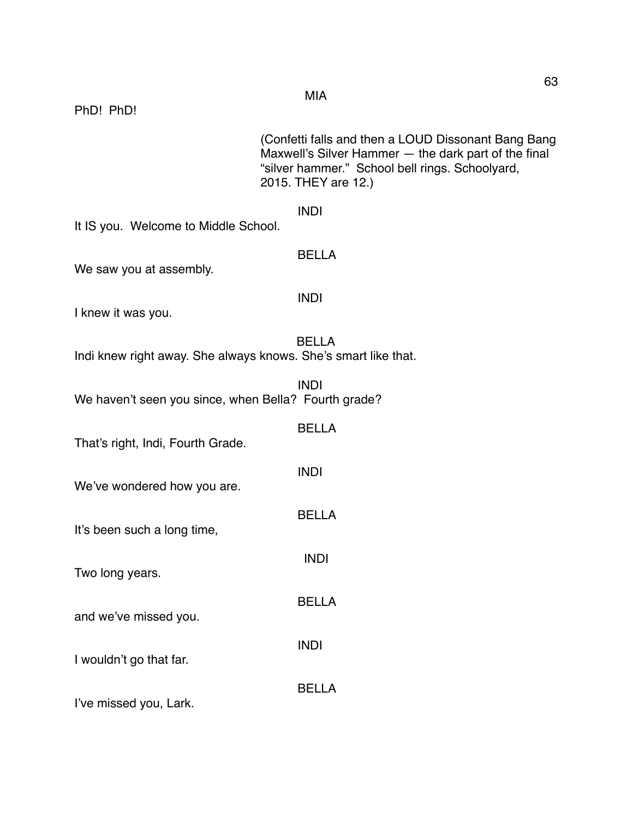|                                                                | (Confetti falls and then a LOUD Dissonant Bang Bang<br>Maxwell's Silver Hammer - the dark part of the final<br>"silver hammer." School bell rings. Schoolyard,<br>2015. THEY are 12.) |
|----------------------------------------------------------------|---------------------------------------------------------------------------------------------------------------------------------------------------------------------------------------|
| It IS you. Welcome to Middle School.                           | <b>INDI</b>                                                                                                                                                                           |
| We saw you at assembly.                                        | <b>BELLA</b>                                                                                                                                                                          |
| I knew it was you.                                             | <b>INDI</b>                                                                                                                                                                           |
| Indi knew right away. She always knows. She's smart like that. | <b>BELLA</b>                                                                                                                                                                          |
| We haven't seen you since, when Bella? Fourth grade?           | <b>INDI</b>                                                                                                                                                                           |
| That's right, Indi, Fourth Grade.                              | <b>BELLA</b>                                                                                                                                                                          |
| We've wondered how you are.                                    | <b>INDI</b>                                                                                                                                                                           |
| It's been such a long time,                                    | <b>BELLA</b>                                                                                                                                                                          |
| Two long years.                                                | <b>INDI</b>                                                                                                                                                                           |
| and we've missed you.                                          | <b>BELLA</b>                                                                                                                                                                          |
| I wouldn't go that far.                                        | <b>INDI</b>                                                                                                                                                                           |
|                                                                | <b>BELLA</b>                                                                                                                                                                          |

I've missed you, Lark.

PhD! PhD!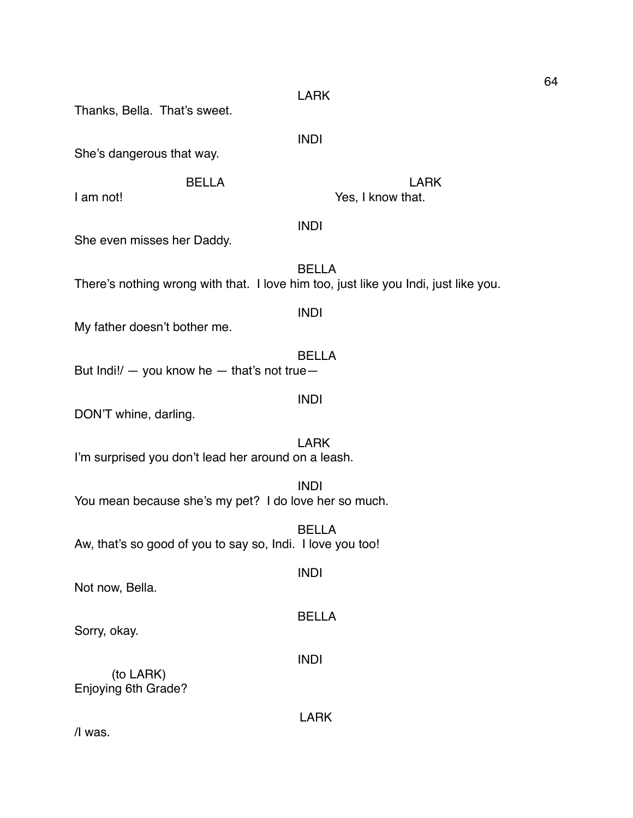Thanks, Bella. That's sweet. INDI She's dangerous that way. BELLA LARK I am not! Some that the set of the Second Second Yes, I know that. INDI She even misses her Daddy. BELLA There's nothing wrong with that. I love him too, just like you Indi, just like you. INDI My father doesn't bother me. BELLA But Indi! $/ -$  you know he  $-$  that's not true $-$ INDI DON'T whine, darling. LARK I'm surprised you don't lead her around on a leash. INDI You mean because she's my pet? I do love her so much. BELLA Aw, that's so good of you to say so, Indi. I love you too! INDI Not now, Bella. BELLA Sorry, okay. INDI (to LARK) Enjoying 6th Grade? LARK

LARK

/I was.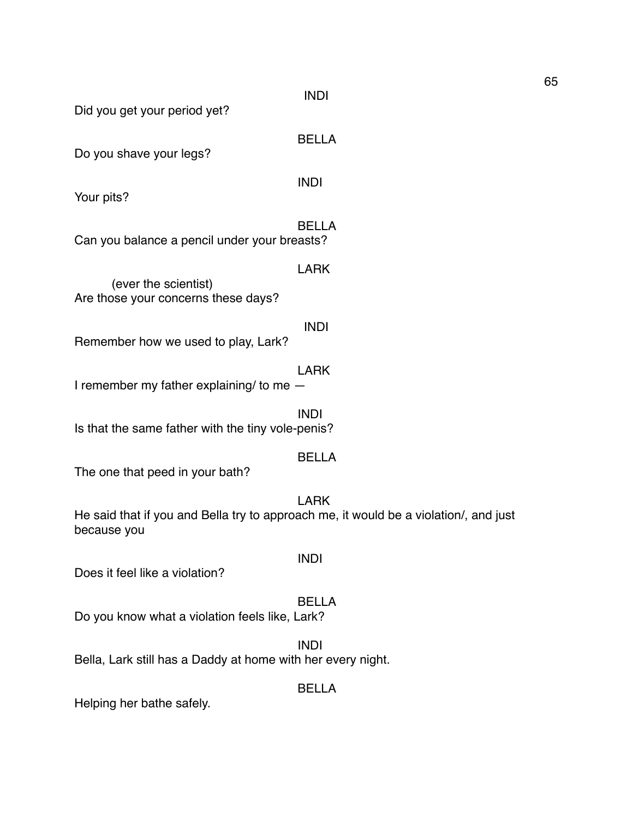Did you get your period yet?

BELLA

Do you shave your legs?

INDI

LARK

INDI

Your pits?

BELLA Can you balance a pencil under your breasts?

(ever the scientist) Are those your concerns these days?

Remember how we used to play, Lark?

LARK I remember my father explaining/ to me —

INDI Is that the same father with the tiny vole-penis?

#### BELLA

The one that peed in your bath?

# LARK

INDI

He said that if you and Bella try to approach me, it would be a violation/, and just because you

Does it feel like a violation?

#### BELLA

Do you know what a violation feels like, Lark?

#### INDI

Bella, Lark still has a Daddy at home with her every night.

#### BELLA

Helping her bathe safely.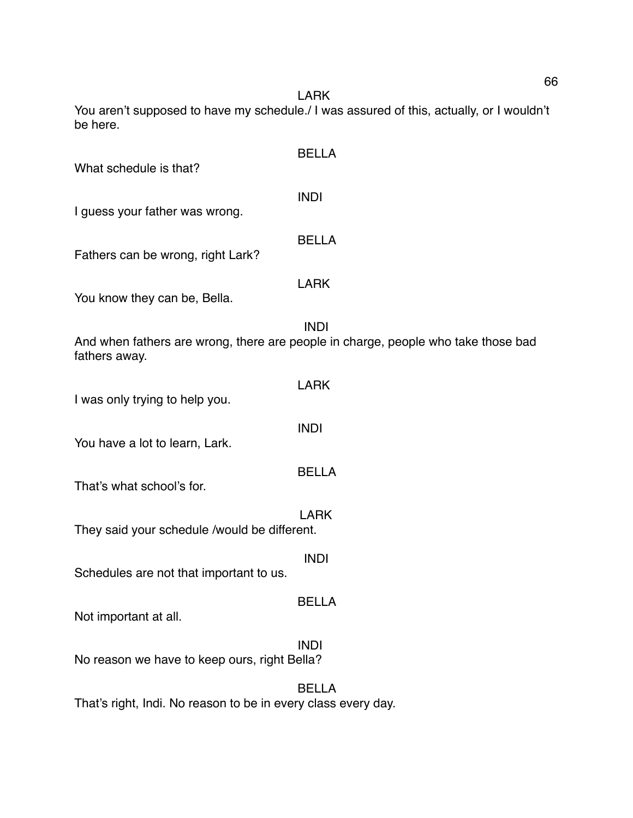LARK

You aren't supposed to have my schedule./ I was assured of this, actually, or I wouldn't be here.

| What schedule is that?                                        | <b>BELLA</b>                                                                                     |
|---------------------------------------------------------------|--------------------------------------------------------------------------------------------------|
| I guess your father was wrong.                                | <b>INDI</b>                                                                                      |
| Fathers can be wrong, right Lark?                             | <b>BELLA</b>                                                                                     |
| You know they can be, Bella.                                  | <b>LARK</b>                                                                                      |
| fathers away.                                                 | <b>INDI</b><br>And when fathers are wrong, there are people in charge, people who take those bad |
| I was only trying to help you.                                | <b>LARK</b>                                                                                      |
| You have a lot to learn, Lark.                                | <b>INDI</b>                                                                                      |
| That's what school's for.                                     | <b>BELLA</b>                                                                                     |
| They said your schedule /would be different.                  | <b>LARK</b>                                                                                      |
| Schedules are not that important to us.                       | <b>INDI</b>                                                                                      |
| Not important at all.                                         | <b>BELLA</b>                                                                                     |
| No reason we have to keep ours, right Bella?                  | <b>INDI</b>                                                                                      |
| That's right, Indi. No reason to be in every class every day. | <b>BELLA</b>                                                                                     |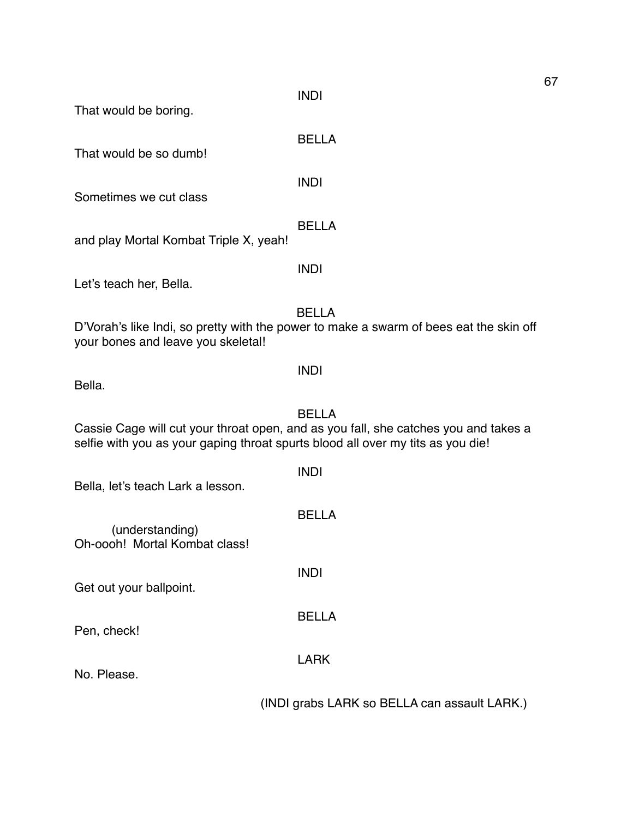INDI

BELLA

BELLA

That would be boring.

That would be so dumb!

INDI

Sometimes we cut class

and play Mortal Kombat Triple X, yeah!

Let's teach her, Bella.

BELLA

INDI

D'Vorah's like Indi, so pretty with the power to make a swarm of bees eat the skin off your bones and leave you skeletal!

INDI

Bella.

# BELLA

Cassie Cage will cut your throat open, and as you fall, she catches you and takes a selfie with you as your gaping throat spurts blood all over my tits as you die!

INDI

BELLA

INDI

BELLA

LARK

Bella, let's teach Lark a lesson.

(understanding) Oh-oooh! Mortal Kombat class!

Get out your ballpoint.

Pen, check!

No. Please.

(INDI grabs LARK so BELLA can assault LARK.)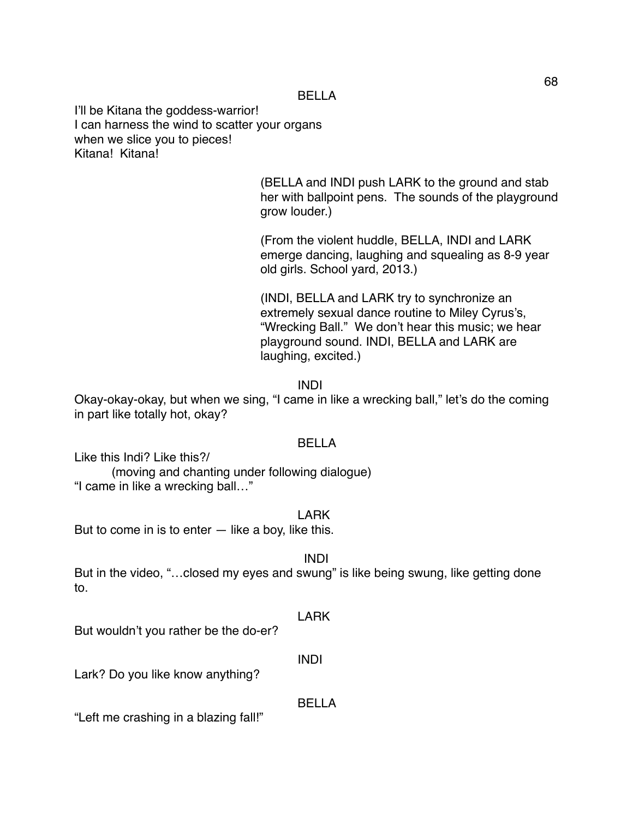I'll be Kitana the goddess-warrior! I can harness the wind to scatter your organs when we slice you to pieces! Kitana! Kitana!

> (BELLA and INDI push LARK to the ground and stab her with ballpoint pens. The sounds of the playground grow louder.)

(From the violent huddle, BELLA, INDI and LARK emerge dancing, laughing and squealing as 8-9 year old girls. School yard, 2013.)

(INDI, BELLA and LARK try to synchronize an extremely sexual dance routine to Miley Cyrus's, "Wrecking Ball." We don't hear this music; we hear playground sound. INDI, BELLA and LARK are laughing, excited.)

INDI

Okay-okay-okay, but when we sing, "I came in like a wrecking ball," let's do the coming in part like totally hot, okay?

# BELLA

Like this Indi? Like this?/

(moving and chanting under following dialogue) "I came in like a wrecking ball…"

LARK

But to come in is to enter  $-$  like a boy, like this.

INDI

But in the video, "... closed my eyes and swung" is like being swung, like getting done to.

LARK

But wouldn't you rather be the do-er?

INDI

BELLA

Lark? Do you like know anything?

"Left me crashing in a blazing fall!"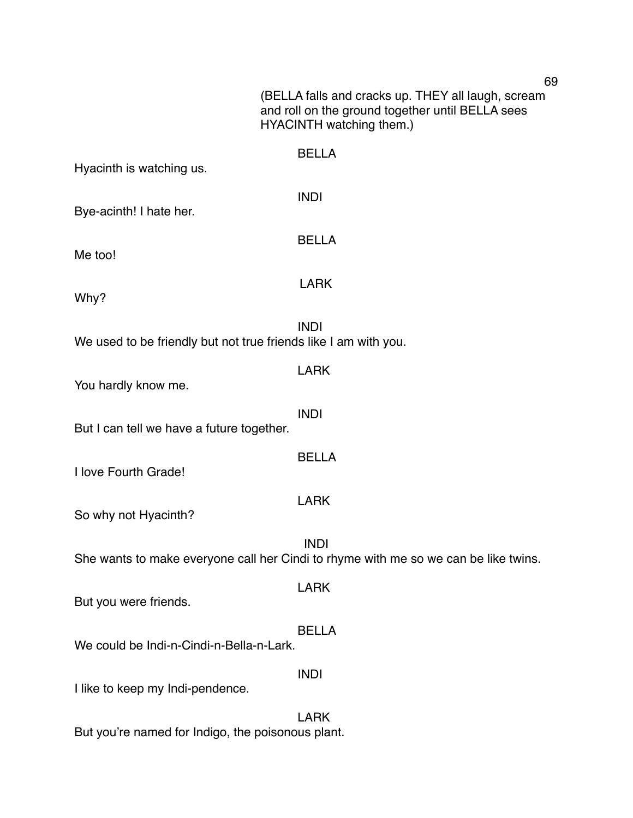|                                                                 | 69                                                                                                                                 |
|-----------------------------------------------------------------|------------------------------------------------------------------------------------------------------------------------------------|
|                                                                 | (BELLA falls and cracks up. THEY all laugh, scream<br>and roll on the ground together until BELLA sees<br>HYACINTH watching them.) |
| Hyacinth is watching us.                                        | <b>BELLA</b>                                                                                                                       |
| Bye-acinth! I hate her.                                         | <b>INDI</b>                                                                                                                        |
| Me too!                                                         | <b>BELLA</b>                                                                                                                       |
| Why?                                                            | <b>LARK</b>                                                                                                                        |
| We used to be friendly but not true friends like I am with you. | <b>INDI</b>                                                                                                                        |
| You hardly know me.                                             | <b>LARK</b>                                                                                                                        |
| But I can tell we have a future together.                       | <b>INDI</b>                                                                                                                        |
| I love Fourth Grade!                                            | <b>BELLA</b>                                                                                                                       |
| So why not Hyacinth?                                            | <b>LARK</b>                                                                                                                        |
|                                                                 | <b>INDI</b><br>She wants to make everyone call her Cindi to rhyme with me so we can be like twins.                                 |
| But you were friends.                                           | <b>LARK</b>                                                                                                                        |
| We could be Indi-n-Cindi-n-Bella-n-Lark.                        | <b>BELLA</b>                                                                                                                       |
| I like to keep my Indi-pendence.                                | <b>INDI</b>                                                                                                                        |
| But you're named for Indigo, the poisonous plant.               | <b>LARK</b>                                                                                                                        |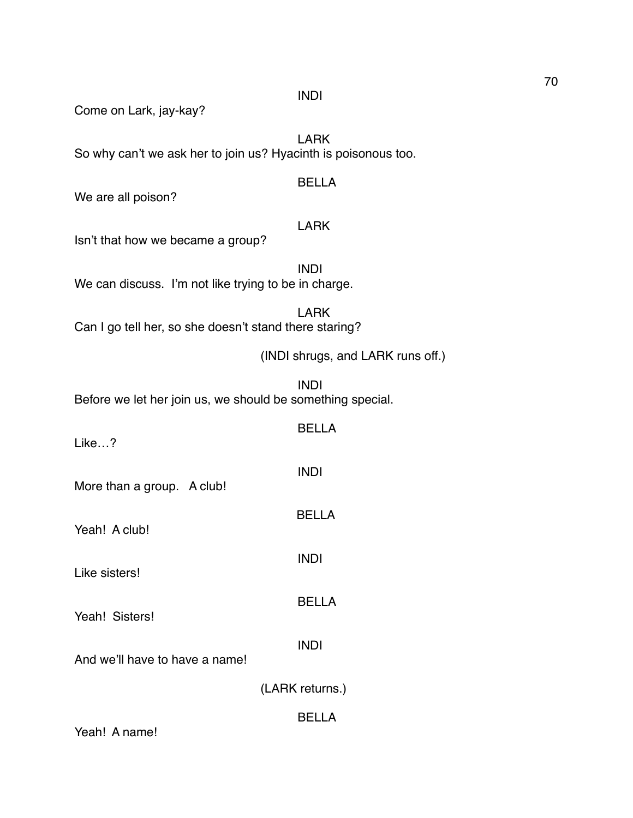INDI

Come on Lark, jay-kay?

LARK So why can't we ask her to join us? Hyacinth is poisonous too.

# BELLA

We are all poison?

# LARK

Isn't that how we became a group?

INDI We can discuss. I'm not like trying to be in charge.

LARK Can I go tell her, so she doesn't stand there staring?

(INDI shrugs, and LARK runs off.)

INDI Before we let her join us, we should be something special.

BELLA

INDI

BELLA

INDI

BELLA

Like…?

More than a group. A club!

Yeah! A club!

Like sisters!

Yeah! Sisters!

INDI

And we'll have to have a name!

(LARK returns.)

BELLA

Yeah! A name!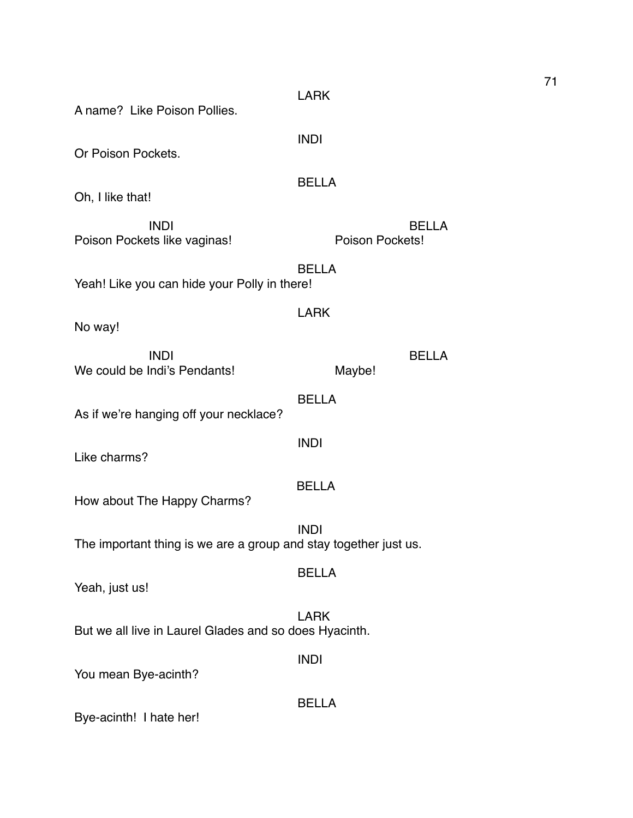| A name? Like Poison Pollies.                                                    | <b>LARK</b>                     |  |
|---------------------------------------------------------------------------------|---------------------------------|--|
| Or Poison Pockets.                                                              | <b>INDI</b>                     |  |
| Oh, I like that!                                                                | <b>BELLA</b>                    |  |
| <b>INDI</b><br>Poison Pockets like vaginas!                                     | <b>BELLA</b><br>Poison Pockets! |  |
| <b>BELLA</b><br>Yeah! Like you can hide your Polly in there!                    |                                 |  |
| No way!                                                                         | <b>LARK</b>                     |  |
| <b>INDI</b><br>We could be Indi's Pendants!                                     | <b>BELLA</b><br>Maybe!          |  |
| As if we're hanging off your necklace?                                          | <b>BELLA</b>                    |  |
| Like charms?                                                                    | <b>INDI</b>                     |  |
| How about The Happy Charms?                                                     | <b>BELLA</b>                    |  |
| <b>INDI</b><br>The important thing is we are a group and stay together just us. |                                 |  |
| Yeah, just us!                                                                  | <b>BELLA</b>                    |  |
| <b>LARK</b><br>But we all live in Laurel Glades and so does Hyacinth.           |                                 |  |
| You mean Bye-acinth?                                                            | <b>INDI</b>                     |  |
| Bye-acinth! I hate her!                                                         | <b>BELLA</b>                    |  |

71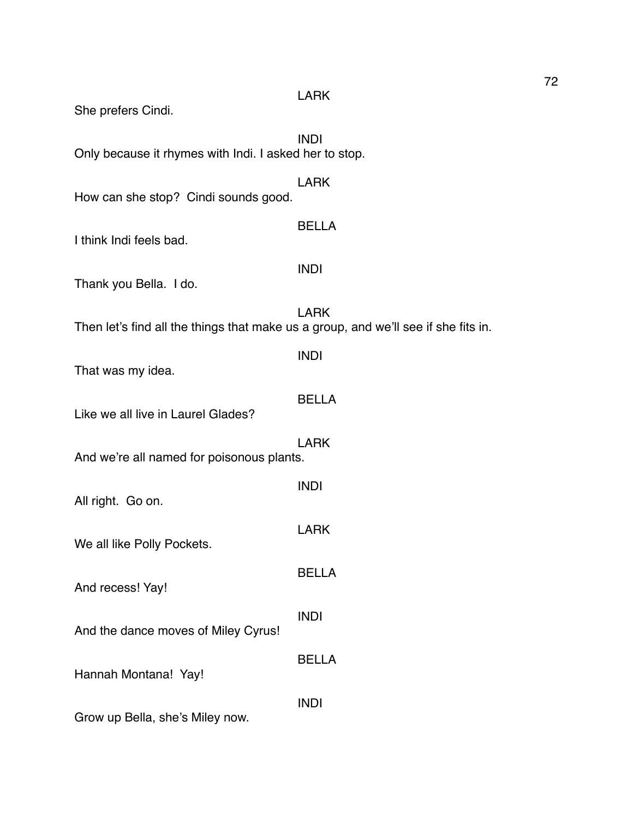| She prefers Cindi.                                                                 | <b>LARK</b>  |
|------------------------------------------------------------------------------------|--------------|
| Only because it rhymes with Indi. I asked her to stop.                             | <b>INDI</b>  |
| How can she stop? Cindi sounds good.                                               | <b>LARK</b>  |
| I think Indi feels bad.                                                            | <b>BELLA</b> |
| Thank you Bella. I do.                                                             | <b>INDI</b>  |
| Then let's find all the things that make us a group, and we'll see if she fits in. | <b>LARK</b>  |
| That was my idea.                                                                  | <b>INDI</b>  |
| Like we all live in Laurel Glades?                                                 | <b>BELLA</b> |
| And we're all named for poisonous plants.                                          | <b>LARK</b>  |
| All right. Go on.                                                                  | <b>INDI</b>  |
| We all like Polly Pockets.                                                         | <b>LARK</b>  |
| And recess! Yay!                                                                   | <b>BELLA</b> |
| And the dance moves of Miley Cyrus!                                                | <b>INDI</b>  |
| Hannah Montana! Yay!                                                               | <b>BELLA</b> |
| Grow up Bella, she's Miley now.                                                    | <b>INDI</b>  |
|                                                                                    |              |

72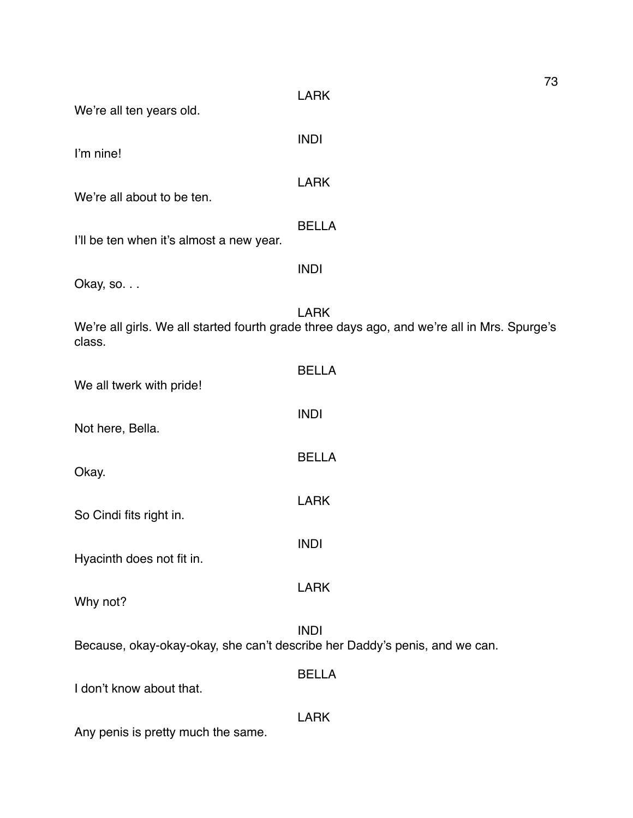| We're all ten years old.                                                   | 73<br><b>LARK</b>                                                                                          |
|----------------------------------------------------------------------------|------------------------------------------------------------------------------------------------------------|
| I'm nine!                                                                  | <b>INDI</b>                                                                                                |
| We're all about to be ten.                                                 | <b>LARK</b>                                                                                                |
| I'll be ten when it's almost a new year.                                   | <b>BELLA</b>                                                                                               |
| Okay, so.                                                                  | <b>INDI</b>                                                                                                |
| class.                                                                     | <b>LARK</b><br>We're all girls. We all started fourth grade three days ago, and we're all in Mrs. Spurge's |
| We all twerk with pride!                                                   | <b>BELLA</b>                                                                                               |
| Not here, Bella.                                                           | <b>INDI</b>                                                                                                |
| Okay.                                                                      | <b>BELLA</b>                                                                                               |
| So Cindi fits right in.                                                    | <b>LARK</b>                                                                                                |
| Hyacinth does not fit in.                                                  | <b>INDI</b>                                                                                                |
| Why not?                                                                   | <b>LARK</b>                                                                                                |
| Because, okay-okay-okay, she can't describe her Daddy's penis, and we can. | <b>INDI</b>                                                                                                |
| I don't know about that.                                                   | <b>BELLA</b>                                                                                               |
| Any penis is pretty much the same.                                         | <b>LARK</b>                                                                                                |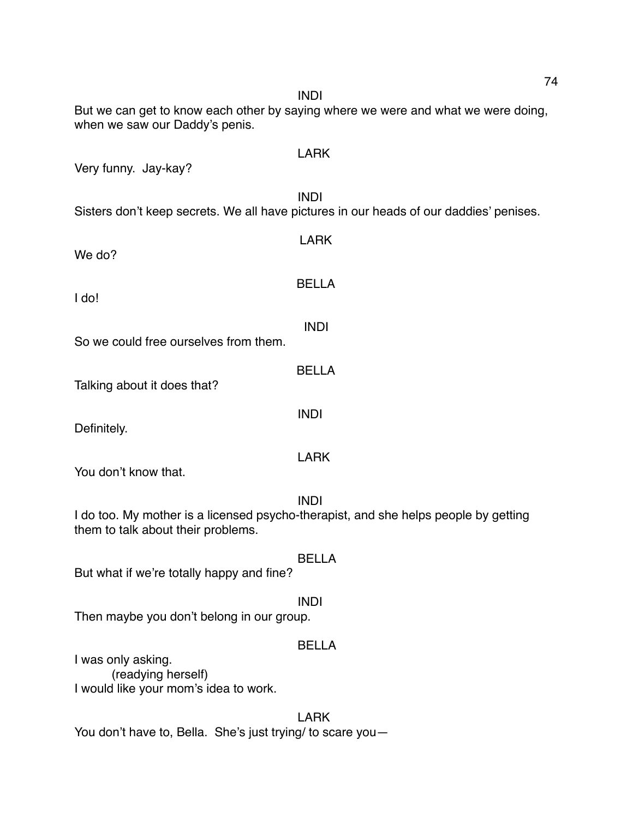But we can get to know each other by saying where we were and what we were doing, when we saw our Daddy's penis. LARK Very funny. Jay-kay? INDI Sisters don't keep secrets. We all have pictures in our heads of our daddies' penises. LARK We do? BELLA I do! INDI So we could free ourselves from them. BELLA Talking about it does that? INDI Definitely. LARK You don't know that. INDI I do too. My mother is a licensed psycho-therapist, and she helps people by getting them to talk about their problems. BELLA But what if we're totally happy and fine? INDI Then maybe you don't belong in our group. BELLA I was only asking. (readying herself) I would like your mom's idea to work. LARK

You don't have to, Bella. She's just trying/ to scare you—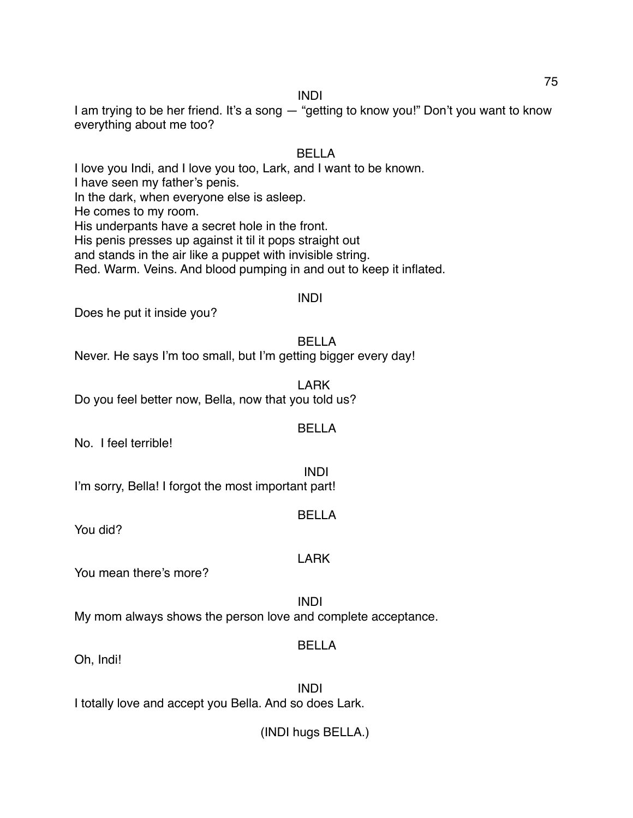## INDI

I am trying to be her friend. It's a song — "getting to know you!" Don't you want to know everything about me too?

# BELLA

I love you Indi, and I love you too, Lark, and I want to be known. I have seen my father's penis. In the dark, when everyone else is asleep. He comes to my room. His underpants have a secret hole in the front. His penis presses up against it til it pops straight out and stands in the air like a puppet with invisible string. Red. Warm. Veins. And blood pumping in and out to keep it inflated.

# INDI

Does he put it inside you?

BELLA

Never. He says I'm too small, but I'm getting bigger every day!

LARK Do you feel better now, Bella, now that you told us?

## BELLA

No. I feel terrible!

INDI I'm sorry, Bella! I forgot the most important part!

## BELLA

LARK

You did?

You mean there's more?

INDI My mom always shows the person love and complete acceptance.

# BELLA

Oh, Indi!

INDI I totally love and accept you Bella. And so does Lark.

(INDI hugs BELLA.)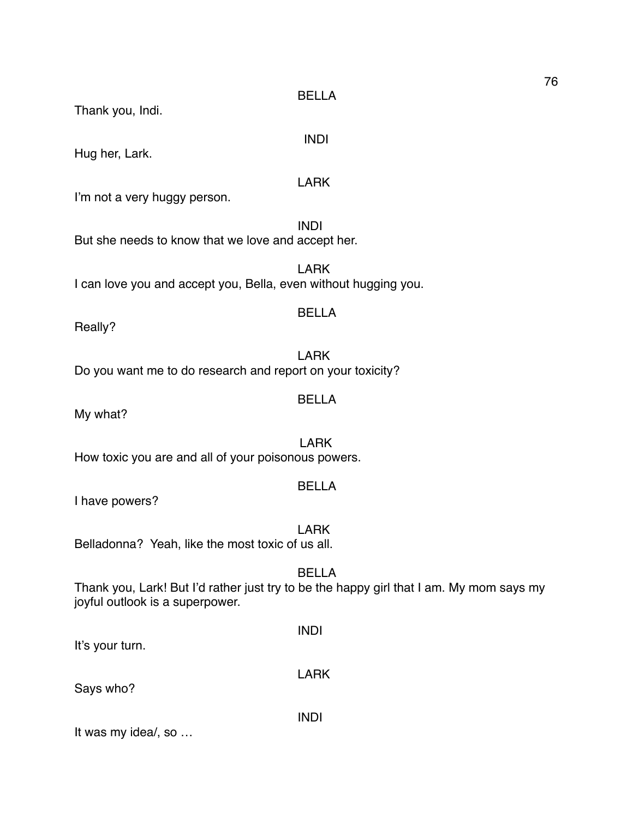BELLA

INDI

Thank you, Indi.

Hug her, Lark.

LARK

I'm not a very huggy person.

INDI But she needs to know that we love and accept her.

LARK I can love you and accept you, Bella, even without hugging you.

## BELLA

Really?

LARK Do you want me to do research and report on your toxicity?

# BELLA

My what?

LARK How toxic you are and all of your poisonous powers.

## BELLA

I have powers?

LARK Belladonna? Yeah, like the most toxic of us all.

## BELLA

Thank you, Lark! But I'd rather just try to be the happy girl that I am. My mom says my joyful outlook is a superpower.

| It's your turn.     | <b>INDI</b> |
|---------------------|-------------|
| Says who?           | <b>LARK</b> |
| It was my idea/, so | <b>INDI</b> |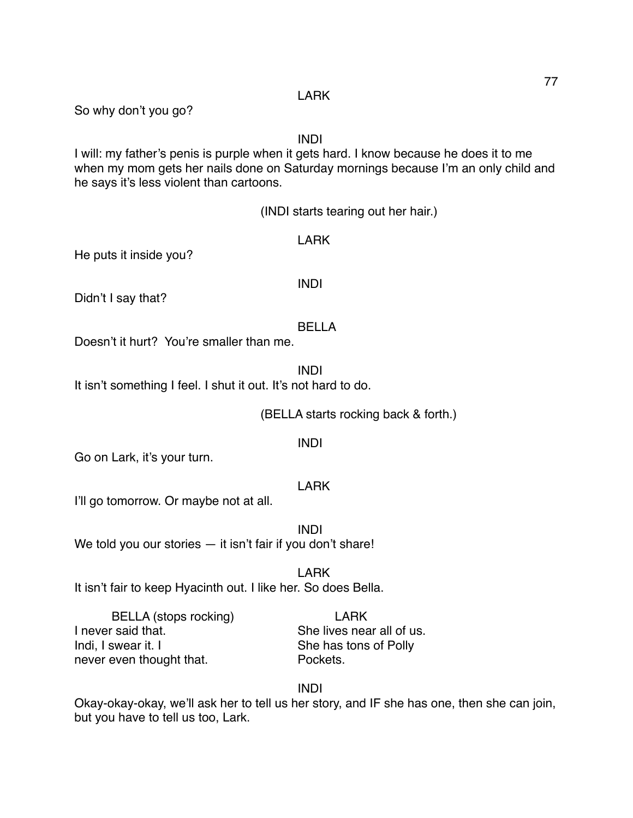LARK

So why don't you go?

# INDI

I will: my father's penis is purple when it gets hard. I know because he does it to me when my mom gets her nails done on Saturday mornings because I'm an only child and he says it's less violent than cartoons.

(INDI starts tearing out her hair.)

He puts it inside you?

Didn't I say that?

# BELLA

Doesn't it hurt? You're smaller than me.

INDI It isn't something I feel. I shut it out. It's not hard to do.

(BELLA starts rocking back & forth.)

## INDI

Go on Lark, it's your turn.

# LARK

I'll go tomorrow. Or maybe not at all.

INDI We told you our stories — it isn't fair if you don't share!

LARK

It isn't fair to keep Hyacinth out. I like her. So does Bella.

BELLA (stops rocking) LARK I never said that. She lives near all of us. Indi, I swear it. I She has tons of Polly never even thought that. The Pockets.

INDI

Okay-okay-okay, we'll ask her to tell us her story, and IF she has one, then she can join, but you have to tell us too, Lark.

INDI

LARK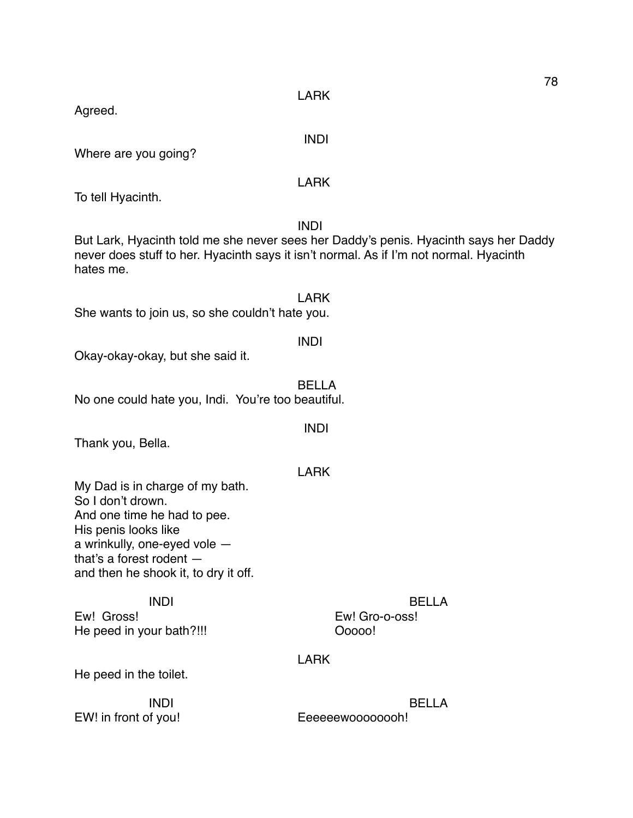LARK

INDI

Agreed.

Where are you going?

To tell Hyacinth.

INDI But Lark, Hyacinth told me she never sees her Daddy's penis. Hyacinth says her Daddy never does stuff to her. Hyacinth says it isn't normal. As if I'm not normal. Hyacinth hates me.

LARK She wants to join us, so she couldn't hate you.

Okay-okay-okay, but she said it.

BELLA No one could hate you, Indi. You're too beautiful.

Thank you, Bella.

LARK

INDI

My Dad is in charge of my bath. So I don't drown. And one time he had to pee. His penis looks like a wrinkully, one-eyed vole that's a forest rodent and then he shook it, to dry it off.

Ew! Gross! Ew! Gro-o-oss! He peed in your bath?!!! Ooooo!

INDI BELLA

# LARK

He peed in the toilet.

EW! in front of you! Eeeeeewoooooooh!

INDI BELLA

78

LARK

INDI